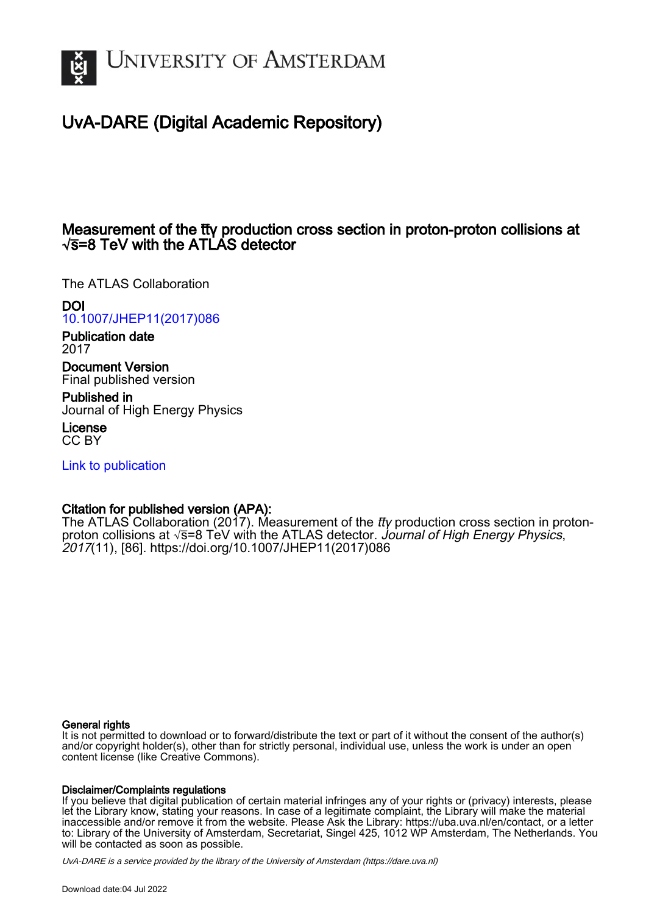

# UvA-DARE (Digital Academic Repository)

## Measurement of the tt̄γ production cross section in proton-proton collisions at √s=8 TeV with the ATLAS detector

The ATLAS Collaboration

DOI

[10.1007/JHEP11\(2017\)086](https://doi.org/10.1007/JHEP11(2017)086)

Publication date 2017

Document Version Final published version

Published in Journal of High Energy Physics

License CC BY

[Link to publication](https://dare.uva.nl/personal/pure/en/publications/measurement-of-the-tt-production-cross-section-in-protonproton-collisions-at-s8-tev-with-the-atlas-detector(0be63c2a-4d25-4fdd-96c4-ce602d29cb69).html)

## Citation for published version (APA):

The ATLAS Collaboration (2017). Measurement of the  $t\bar{t}$ y production cross section in protonproton collisions at √s=8 TeV with the ATLAS detector. Journal of High Energy Physics, 2017(11), [86]. [https://doi.org/10.1007/JHEP11\(2017\)086](https://doi.org/10.1007/JHEP11(2017)086)

#### General rights

It is not permitted to download or to forward/distribute the text or part of it without the consent of the author(s) and/or copyright holder(s), other than for strictly personal, individual use, unless the work is under an open content license (like Creative Commons).

#### Disclaimer/Complaints regulations

If you believe that digital publication of certain material infringes any of your rights or (privacy) interests, please let the Library know, stating your reasons. In case of a legitimate complaint, the Library will make the material inaccessible and/or remove it from the website. Please Ask the Library: https://uba.uva.nl/en/contact, or a letter to: Library of the University of Amsterdam, Secretariat, Singel 425, 1012 WP Amsterdam, The Netherlands. You will be contacted as soon as possible.

UvA-DARE is a service provided by the library of the University of Amsterdam (http*s*://dare.uva.nl)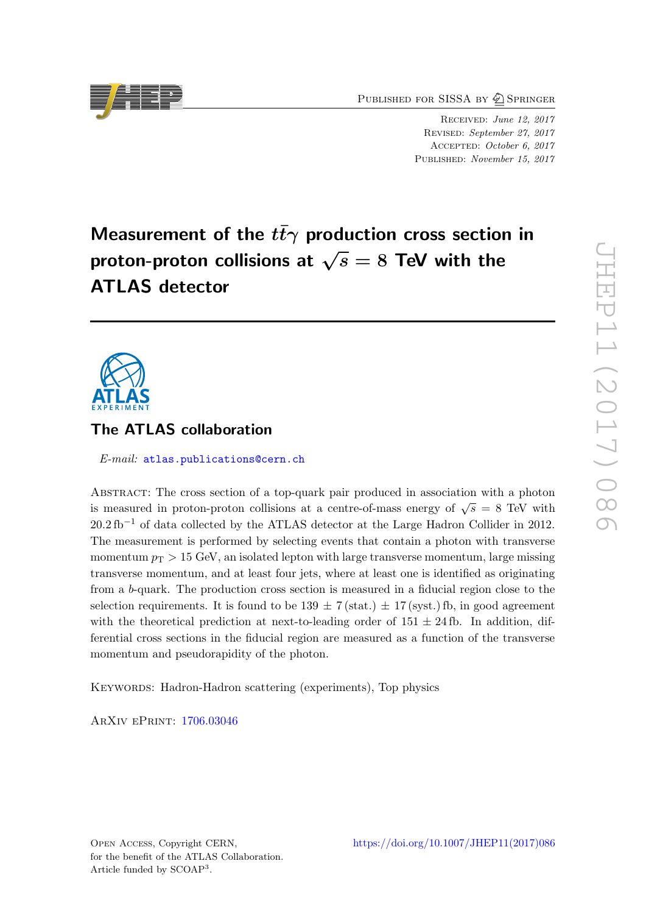PUBLISHED FOR SISSA BY 2 SPRINGER

Received: June 12, 2017 Revised: September 27, 2017 Accepted: October 6, 2017 Published: November 15, 2017

Measurement of the  $t\bar{t}\gamma$  production cross section in proton-proton collisions at  $\sqrt{s} = 8$  TeV with the ATLAS detector

## The ATLAS collaboration

E-mail: [atlas.publications@cern.ch](mailto:atlas.publications@cern.ch)

Abstract: The cross section of a top-quark pair produced in association with a photon is measured in proton-proton collisions at a centre-of-mass energy of  $\sqrt{s} = 8$  TeV with  $20.2 \text{ fb}^{-1}$  of data collected by the ATLAS detector at the Large Hadron Collider in 2012. The measurement is performed by selecting events that contain a photon with transverse momentum  $p_T > 15$  GeV, an isolated lepton with large transverse momentum, large missing transverse momentum, and at least four jets, where at least one is identified as originating from a b-quark. The production cross section is measured in a fiducial region close to the selection requirements. It is found to be  $139 \pm 7$  (stat.)  $\pm 17$  (syst.) fb, in good agreement with the theoretical prediction at next-to-leading order of  $151 \pm 24$  fb. In addition, differential cross sections in the fiducial region are measured as a function of the transverse momentum and pseudorapidity of the photon.

KEYWORDS: Hadron-Hadron scattering (experiments), Top physics

ArXiv ePrint: [1706.03046](https://arxiv.org/abs/1706.03046)

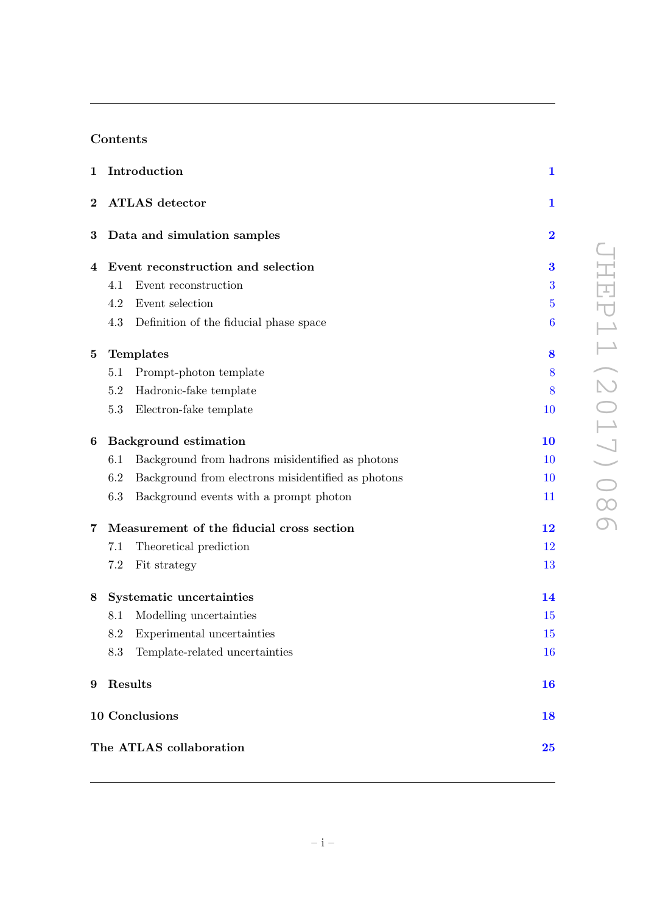# Contents

|          | 1 Introduction                            | $\mathbf{1}$                                       |                  |  |  |  |
|----------|-------------------------------------------|----------------------------------------------------|------------------|--|--|--|
| $\bf{2}$ |                                           | <b>ATLAS</b> detector                              | 1                |  |  |  |
| 3        | Data and simulation samples               | $\bf{2}$                                           |                  |  |  |  |
| 4        | Event reconstruction and selection        |                                                    |                  |  |  |  |
|          | 4.1                                       | Event reconstruction                               | 3                |  |  |  |
|          | 4.2                                       | Event selection                                    | $\overline{5}$   |  |  |  |
|          | 4.3                                       | Definition of the fiducial phase space             | $\boldsymbol{6}$ |  |  |  |
| 5        | <b>Templates</b>                          | 8                                                  |                  |  |  |  |
|          | 5.1                                       | Prompt-photon template                             | 8                |  |  |  |
|          | 5.2                                       | Hadronic-fake template                             | 8                |  |  |  |
|          | 5.3                                       | Electron-fake template                             | 10               |  |  |  |
| 6        | <b>Background</b> estimation              | 10                                                 |                  |  |  |  |
|          | 6.1                                       | Background from hadrons misidentified as photons   | 10               |  |  |  |
|          | 6.2                                       | Background from electrons misidentified as photons | 10               |  |  |  |
|          | 6.3                                       | Background events with a prompt photon             | 11               |  |  |  |
| 7        | Measurement of the fiducial cross section | 12                                                 |                  |  |  |  |
|          | 7.1                                       | Theoretical prediction                             | 12               |  |  |  |
|          | 7.2                                       | Fit strategy                                       | 13               |  |  |  |
| 8        | Systematic uncertainties                  | 14                                                 |                  |  |  |  |
|          | 8.1                                       | Modelling uncertainties                            | 15               |  |  |  |
|          | 8.2                                       | Experimental uncertainties                         | 15               |  |  |  |
|          |                                           | 8.3 Template-related uncertainties                 | 16               |  |  |  |
| 9        |                                           | Results                                            | <b>16</b>        |  |  |  |
|          |                                           | <b>10 Conclusions</b>                              | <b>18</b>        |  |  |  |
|          |                                           | The ATLAS collaboration                            | 25               |  |  |  |
|          |                                           |                                                    |                  |  |  |  |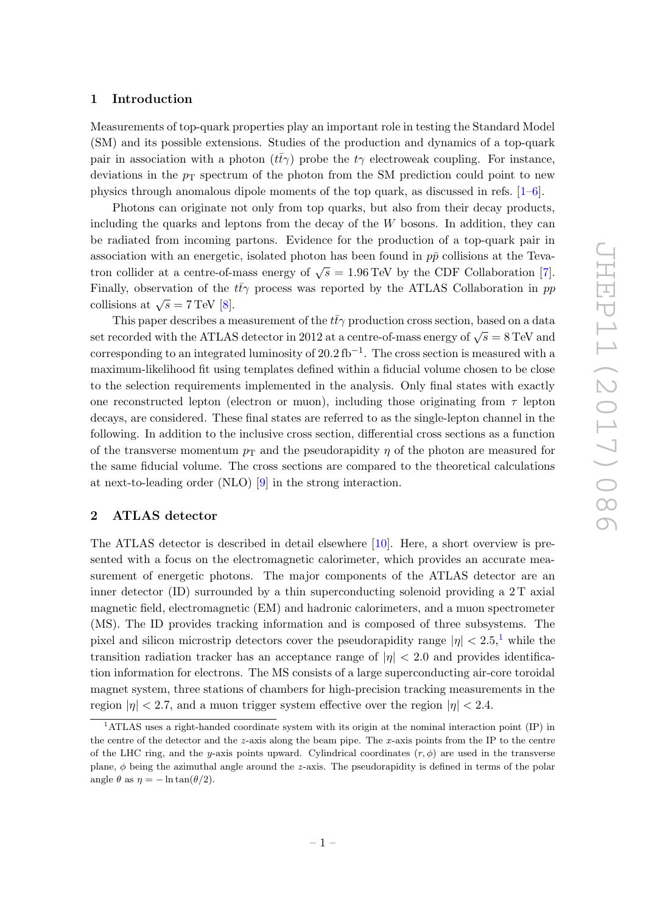#### <span id="page-3-0"></span>1 Introduction

Measurements of top-quark properties play an important role in testing the Standard Model (SM) and its possible extensions. Studies of the production and dynamics of a top-quark pair in association with a photon  $(t\bar{t}\gamma)$  probe the  $t\gamma$  electroweak coupling. For instance, deviations in the  $p_{\rm T}$  spectrum of the photon from the SM prediction could point to new physics through anomalous dipole moments of the top quark, as discussed in refs.  $[1-6]$  $[1-6]$ .

Photons can originate not only from top quarks, but also from their decay products, including the quarks and leptons from the decay of the  $W$  bosons. In addition, they can be radiated from incoming partons. Evidence for the production of a top-quark pair in association with an energetic, isolated photon has been found in  $p\bar{p}$  collisions at the Tevatron collider at a centre-of-mass energy of  $\sqrt{s} = 1.96 \text{ TeV}$  by the CDF Collaboration [\[7\]](#page-22-2). Finally, observation of the  $t\bar{t}\gamma$  process was reported by the ATLAS Collaboration in pp collisions at  $\sqrt{s} = 7 \text{ TeV}$  [\[8\]](#page-22-3).

This paper describes a measurement of the  $t\bar{t}\gamma$  production cross section, based on a data set recorded with the ATLAS detector in 2012 at a centre-of-mass energy of  $\sqrt{s} = 8$  TeV and corresponding to an integrated luminosity of 20.2 fb<sup>-1</sup>. The cross section is measured with a maximum-likelihood fit using templates defined within a fiducial volume chosen to be close to the selection requirements implemented in the analysis. Only final states with exactly one reconstructed lepton (electron or muon), including those originating from  $\tau$  lepton decays, are considered. These final states are referred to as the single-lepton channel in the following. In addition to the inclusive cross section, differential cross sections as a function of the transverse momentum  $p<sub>T</sub>$  and the pseudorapidity  $\eta$  of the photon are measured for the same fiducial volume. The cross sections are compared to the theoretical calculations at next-to-leading order (NLO) [\[9\]](#page-23-0) in the strong interaction.

### <span id="page-3-1"></span>2 ATLAS detector

The ATLAS detector is described in detail elsewhere [\[10\]](#page-23-1). Here, a short overview is presented with a focus on the electromagnetic calorimeter, which provides an accurate measurement of energetic photons. The major components of the ATLAS detector are an inner detector  $(ID)$  surrounded by a thin superconducting solenoid providing a  $2T$  axial magnetic field, electromagnetic (EM) and hadronic calorimeters, and a muon spectrometer (MS). The ID provides tracking information and is composed of three subsystems. The pixel and silicon microstrip detectors cover the pseudorapidity range  $|\eta| < 2.5$ ,<sup>[1](#page-3-2)</sup> while the transition radiation tracker has an acceptance range of  $|\eta| < 2.0$  and provides identification information for electrons. The MS consists of a large superconducting air-core toroidal magnet system, three stations of chambers for high-precision tracking measurements in the region  $|\eta| < 2.7$ , and a muon trigger system effective over the region  $|\eta| < 2.4$ .

<span id="page-3-2"></span><sup>1</sup>ATLAS uses a right-handed coordinate system with its origin at the nominal interaction point (IP) in the centre of the detector and the  $z$ -axis along the beam pipe. The  $x$ -axis points from the IP to the centre of the LHC ring, and the y-axis points upward. Cylindrical coordinates  $(r, \phi)$  are used in the transverse plane,  $\phi$  being the azimuthal angle around the z-axis. The pseudorapidity is defined in terms of the polar angle  $\theta$  as  $\eta = -\ln \tan(\theta/2)$ .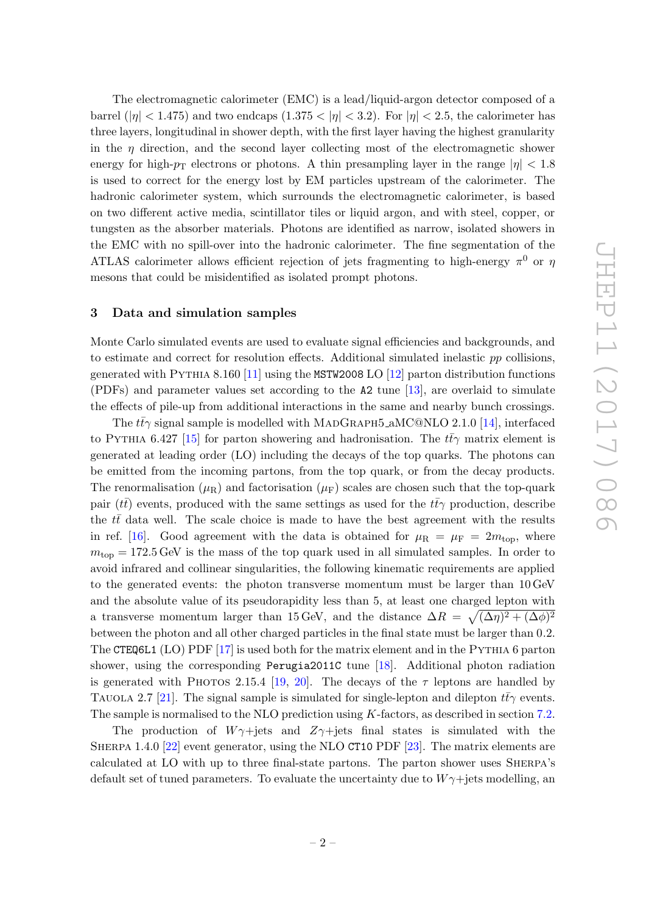The electromagnetic calorimeter (EMC) is a lead/liquid-argon detector composed of a barrel ( $|\eta|$  < 1.475) and two endcaps (1.375 <  $|\eta|$  < 3.2). For  $|\eta|$  < 2.5, the calorimeter has three layers, longitudinal in shower depth, with the first layer having the highest granularity in the  $\eta$  direction, and the second layer collecting most of the electromagnetic shower energy for high- $p_T$  electrons or photons. A thin presampling layer in the range  $|\eta| < 1.8$ is used to correct for the energy lost by EM particles upstream of the calorimeter. The hadronic calorimeter system, which surrounds the electromagnetic calorimeter, is based on two different active media, scintillator tiles or liquid argon, and with steel, copper, or tungsten as the absorber materials. Photons are identified as narrow, isolated showers in the EMC with no spill-over into the hadronic calorimeter. The fine segmentation of the ATLAS calorimeter allows efficient rejection of jets fragmenting to high-energy  $\pi^0$  or  $\eta$ mesons that could be misidentified as isolated prompt photons.

#### <span id="page-4-0"></span>3 Data and simulation samples

Monte Carlo simulated events are used to evaluate signal efficiencies and backgrounds, and to estimate and correct for resolution effects. Additional simulated inelastic pp collisions, generated with PYTHIA 8.160 [\[11\]](#page-23-2) using the MSTW2008 LO [\[12\]](#page-23-3) parton distribution functions (PDFs) and parameter values set according to the A2 tune [\[13\]](#page-23-4), are overlaid to simulate the effects of pile-up from additional interactions in the same and nearby bunch crossings.

The  $t\bar{t}\gamma$  signal sample is modelled with MADGRAPH5 aMC@NLO 2.1.0 [\[14\]](#page-23-5), interfaced to PYTHIA 6.427 [\[15\]](#page-23-6) for parton showering and hadronisation. The  $t\bar{t}\gamma$  matrix element is generated at leading order (LO) including the decays of the top quarks. The photons can be emitted from the incoming partons, from the top quark, or from the decay products. The renormalisation  $(\mu_R)$  and factorisation  $(\mu_F)$  scales are chosen such that the top-quark pair ( $t\bar{t}$ ) events, produced with the same settings as used for the  $t\bar{t}\gamma$  production, describe the  $t\bar{t}$  data well. The scale choice is made to have the best agreement with the results in ref. [\[16\]](#page-23-7). Good agreement with the data is obtained for  $\mu_R = \mu_F = 2m_{\text{top}}$ , where  $m_{\text{top}} = 172.5 \,\text{GeV}$  is the mass of the top quark used in all simulated samples. In order to avoid infrared and collinear singularities, the following kinematic requirements are applied to the generated events: the photon transverse momentum must be larger than 10 GeV and the absolute value of its pseudorapidity less than 5, at least one charged lepton with a transverse momentum larger than 15 GeV, and the distance  $\Delta R = \sqrt{(\Delta \eta)^2 + (\Delta \phi)^2}$ between the photon and all other charged particles in the final state must be larger than 0.2. The CTEQ6L1 (LO) PDF [\[17\]](#page-23-8) is used both for the matrix element and in the PYTHIA 6 parton shower, using the corresponding Perugia2011C tune [\[18\]](#page-23-9). Additional photon radiation is generated with Photos 2.15.4 [\[19,](#page-23-10) [20\]](#page-23-11). The decays of the  $\tau$  leptons are handled by TAUOLA 2.7 [\[21\]](#page-23-12). The signal sample is simulated for single-lepton and dilepton  $t\bar{t}\gamma$  events. The sample is normalised to the NLO prediction using K-factors, as described in section [7.2.](#page-15-0)

The production of  $W\gamma$ +jets and  $Z\gamma$ +jets final states is simulated with the SHERPA 1.4.0  $[22]$  event generator, using the NLO CT10 PDF  $[23]$ . The matrix elements are calculated at LO with up to three final-state partons. The parton shower uses Sherpa's default set of tuned parameters. To evaluate the uncertainty due to  $W\gamma$ +jets modelling, an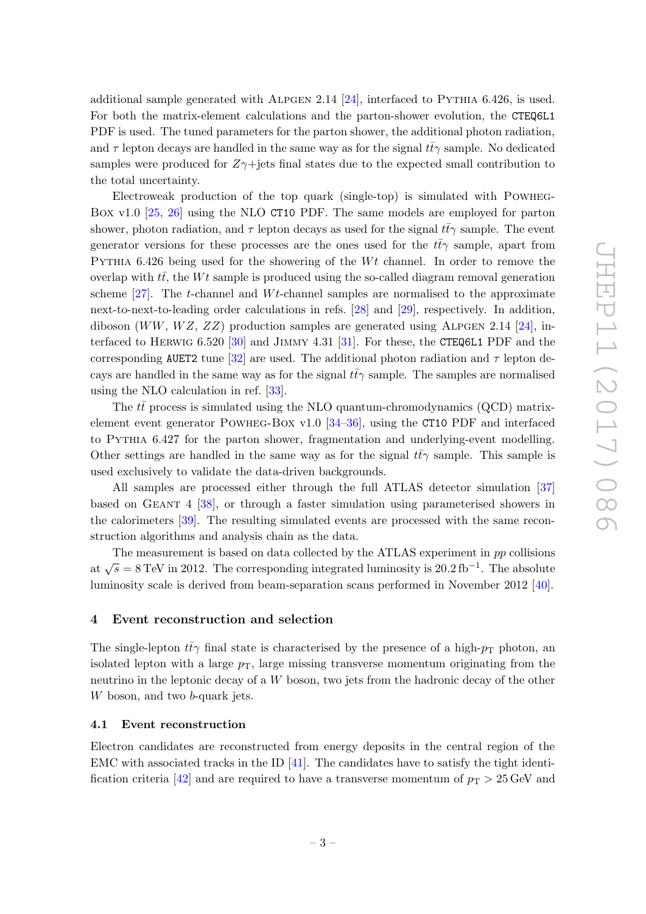additional sample generated with ALPGEN 2.14 [\[24\]](#page-23-15), interfaced to PYTHIA  $6.426$ , is used. For both the matrix-element calculations and the parton-shower evolution, the CTEQ6L1 PDF is used. The tuned parameters for the parton shower, the additional photon radiation, and  $\tau$  lepton decays are handled in the same way as for the signal  $t\bar{t}\gamma$  sample. No dedicated samples were produced for  $Z\gamma$ +jets final states due to the expected small contribution to the total uncertainty.

Electroweak production of the top quark (single-top) is simulated with Powheg-Box v1.0 [\[25,](#page-23-16) [26\]](#page-23-17) using the NLO CT10 PDF. The same models are employed for parton shower, photon radiation, and  $\tau$  lepton decays as used for the signal  $t\bar{t}\gamma$  sample. The event generator versions for these processes are the ones used for the  $t\bar{t}\gamma$  sample, apart from PYTHIA 6.426 being used for the showering of the  $Wt$  channel. In order to remove the overlap with  $t\bar{t}$ , the Wt sample is produced using the so-called diagram removal generation scheme  $[27]$ . The t-channel and W<sub>t-channel</sub> samples are normalised to the approximate next-to-next-to-leading order calculations in refs. [\[28\]](#page-24-1) and [\[29\]](#page-24-2), respectively. In addition, diboson (WW, WZ,  $ZZ$ ) production samples are generated using ALPGEN 2.14 [\[24\]](#page-23-15), interfaced to Herwig 6.520 [\[30\]](#page-24-3) and Jimmy 4.31 [\[31\]](#page-24-4). For these, the CTEQ6L1 PDF and the corresponding AUET2 tune [\[32\]](#page-24-5) are used. The additional photon radiation and  $\tau$  lepton decays are handled in the same way as for the signal  $t\bar{t}\gamma$  sample. The samples are normalised using the NLO calculation in ref. [\[33\]](#page-24-6).

The  $t\bar{t}$  process is simulated using the NLO quantum-chromodynamics (QCD) matrixelement event generator Powheg-Box v1.0 [\[34–](#page-24-7)[36\]](#page-24-8), using the CT10 PDF and interfaced to Pythia 6.427 for the parton shower, fragmentation and underlying-event modelling. Other settings are handled in the same way as for the signal  $t\bar{t}\gamma$  sample. This sample is used exclusively to validate the data-driven backgrounds.

All samples are processed either through the full ATLAS detector simulation [\[37\]](#page-24-9) based on Geant 4 [\[38\]](#page-24-10), or through a faster simulation using parameterised showers in the calorimeters [\[39\]](#page-24-11). The resulting simulated events are processed with the same reconstruction algorithms and analysis chain as the data.

The measurement is based on data collected by the ATLAS experiment in pp collisions at  $\sqrt{s} = 8$  TeV in 2012. The corresponding integrated luminosity is 20.2 fb<sup>-1</sup>. The absolute luminosity scale is derived from beam-separation scans performed in November 2012 [\[40\]](#page-24-12).

#### <span id="page-5-0"></span>4 Event reconstruction and selection

The single-lepton  $t\bar{t}\gamma$  final state is characterised by the presence of a high- $p_T$  photon, an isolated lepton with a large  $p<sub>T</sub>$ , large missing transverse momentum originating from the neutrino in the leptonic decay of a  $W$  boson, two jets from the hadronic decay of the other W boson, and two b-quark jets.

#### <span id="page-5-1"></span>4.1 Event reconstruction

Electron candidates are reconstructed from energy deposits in the central region of the EMC with associated tracks in the ID  $[41]$ . The candidates have to satisfy the tight identi-fication criteria [\[42\]](#page-24-14) and are required to have a transverse momentum of  $p_T > 25$  GeV and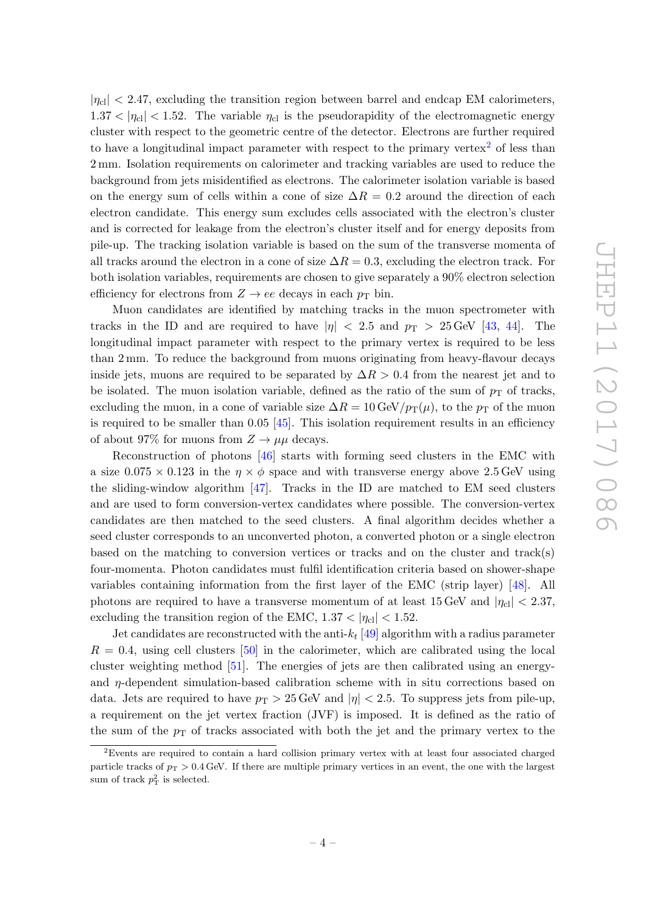$|\eta_{\text{cl}}| < 2.47$ , excluding the transition region between barrel and endcap EM calorimeters,  $1.37 < |\eta_{\text{cl}}| < 1.52$ . The variable  $\eta_{\text{cl}}$  is the pseudorapidity of the electromagnetic energy cluster with respect to the geometric centre of the detector. Electrons are further required to have a longitudinal impact parameter with respect to the primary vertex<sup>[2](#page-6-0)</sup> of less than 2 mm. Isolation requirements on calorimeter and tracking variables are used to reduce the background from jets misidentified as electrons. The calorimeter isolation variable is based on the energy sum of cells within a cone of size  $\Delta R = 0.2$  around the direction of each electron candidate. This energy sum excludes cells associated with the electron's cluster and is corrected for leakage from the electron's cluster itself and for energy deposits from pile-up. The tracking isolation variable is based on the sum of the transverse momenta of all tracks around the electron in a cone of size  $\Delta R = 0.3$ , excluding the electron track. For both isolation variables, requirements are chosen to give separately a 90% electron selection efficiency for electrons from  $Z \rightarrow ee$  decays in each  $p_T$  bin.

Muon candidates are identified by matching tracks in the muon spectrometer with tracks in the ID and are required to have  $|\eta| < 2.5$  and  $p_T > 25$  GeV [\[43,](#page-24-15) [44\]](#page-25-0). The longitudinal impact parameter with respect to the primary vertex is required to be less than 2 mm. To reduce the background from muons originating from heavy-flavour decays inside jets, muons are required to be separated by  $\Delta R > 0.4$  from the nearest jet and to be isolated. The muon isolation variable, defined as the ratio of the sum of  $p<sub>T</sub>$  of tracks, excluding the muon, in a cone of variable size  $\Delta R = 10 \,\text{GeV}/p_T(\mu)$ , to the  $p_T$  of the muon is required to be smaller than  $0.05 \; \frac{45}{10}$ . This isolation requirement results in an efficiency of about 97% for muons from  $Z \to \mu\mu$  decays.

Reconstruction of photons [\[46\]](#page-25-2) starts with forming seed clusters in the EMC with a size  $0.075 \times 0.123$  in the  $\eta \times \phi$  space and with transverse energy above 2.5 GeV using the sliding-window algorithm  $[47]$ . Tracks in the ID are matched to EM seed clusters and are used to form conversion-vertex candidates where possible. The conversion-vertex candidates are then matched to the seed clusters. A final algorithm decides whether a seed cluster corresponds to an unconverted photon, a converted photon or a single electron based on the matching to conversion vertices or tracks and on the cluster and track(s) four-momenta. Photon candidates must fulfil identification criteria based on shower-shape variables containing information from the first layer of the EMC (strip layer) [\[48\]](#page-25-4). All photons are required to have a transverse momentum of at least 15 GeV and  $|\eta_{\text{cl}}| < 2.37$ , excluding the transition region of the EMC,  $1.37 < |\eta_{\text{cl}}| < 1.52$ .

Jet candidates are reconstructed with the anti- $k_t$  [\[49\]](#page-25-5) algorithm with a radius parameter  $R = 0.4$ , using cell clusters [\[50\]](#page-25-6) in the calorimeter, which are calibrated using the local cluster weighting method [\[51\]](#page-25-7). The energies of jets are then calibrated using an energyand  $\eta$ -dependent simulation-based calibration scheme with in situ corrections based on data. Jets are required to have  $p_T > 25$  GeV and  $|\eta| < 2.5$ . To suppress jets from pile-up, a requirement on the jet vertex fraction (JVF) is imposed. It is defined as the ratio of the sum of the  $p<sub>T</sub>$  of tracks associated with both the jet and the primary vertex to the

<span id="page-6-0"></span><sup>2</sup>Events are required to contain a hard collision primary vertex with at least four associated charged particle tracks of  $p_T > 0.4$  GeV. If there are multiple primary vertices in an event, the one with the largest sum of track  $p_{\rm T}^2$  is selected.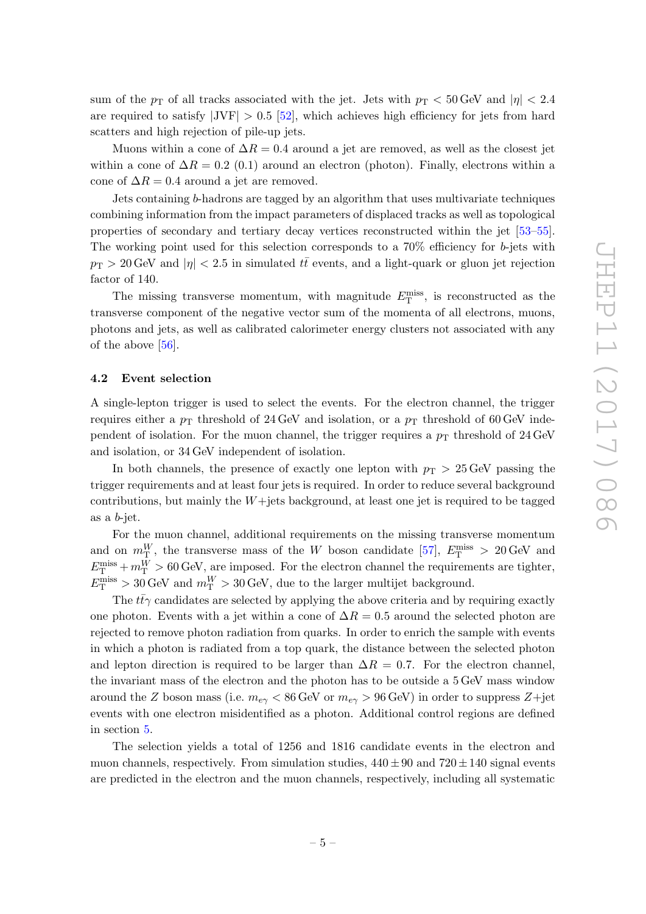sum of the  $p_T$  of all tracks associated with the jet. Jets with  $p_T < 50$  GeV and  $|\eta| < 2.4$ are required to satisfy  $|JVF| > 0.5$  [\[52\]](#page-25-8), which achieves high efficiency for jets from hard scatters and high rejection of pile-up jets.

Muons within a cone of  $\Delta R = 0.4$  around a jet are removed, as well as the closest jet within a cone of  $\Delta R = 0.2$  (0.1) around an electron (photon). Finally, electrons within a cone of  $\Delta R = 0.4$  around a jet are removed.

Jets containing b-hadrons are tagged by an algorithm that uses multivariate techniques combining information from the impact parameters of displaced tracks as well as topological properties of secondary and tertiary decay vertices reconstructed within the jet [\[53–](#page-25-9)[55\]](#page-25-10). The working point used for this selection corresponds to a 70% efficiency for b-jets with  $p_T > 20$  GeV and  $|\eta| < 2.5$  in simulated  $t\bar{t}$  events, and a light-quark or gluon jet rejection factor of 140.

The missing transverse momentum, with magnitude  $E_{\rm T}^{\rm miss}$ , is reconstructed as the transverse component of the negative vector sum of the momenta of all electrons, muons, photons and jets, as well as calibrated calorimeter energy clusters not associated with any of the above  $[56]$ .

#### <span id="page-7-0"></span>4.2 Event selection

A single-lepton trigger is used to select the events. For the electron channel, the trigger requires either a  $p_T$  threshold of 24 GeV and isolation, or a  $p_T$  threshold of 60 GeV independent of isolation. For the muon channel, the trigger requires a  $p<sub>T</sub>$  threshold of 24 GeV and isolation, or 34 GeV independent of isolation.

In both channels, the presence of exactly one lepton with  $p_T > 25$  GeV passing the trigger requirements and at least four jets is required. In order to reduce several background contributions, but mainly the  $W+$ jets background, at least one jet is required to be tagged as a b-jet.

For the muon channel, additional requirements on the missing transverse momentum and on  $m_{\rm T}^W$ , the transverse mass of the W boson candidate [\[57\]](#page-25-12),  $E_{\rm T}^{\rm miss} > 20\,\text{GeV}$  and  $E_{\rm T}^{\rm miss} + m_{\rm T}^W > 60\,\text{GeV}$ , are imposed. For the electron channel the requirements are tighter,  $E_{\rm T}^{\rm miss} > 30\,\text{GeV}$  and  $m_{\rm T}^W > 30\,\text{GeV}$ , due to the larger multijet background.

The  $t\bar{t}\gamma$  candidates are selected by applying the above criteria and by requiring exactly one photon. Events with a jet within a cone of  $\Delta R = 0.5$  around the selected photon are rejected to remove photon radiation from quarks. In order to enrich the sample with events in which a photon is radiated from a top quark, the distance between the selected photon and lepton direction is required to be larger than  $\Delta R = 0.7$ . For the electron channel, the invariant mass of the electron and the photon has to be outside a 5 GeV mass window around the Z boson mass (i.e.  $m_{e\gamma} < 86$  GeV or  $m_{e\gamma} > 96$  GeV) in order to suppress Z+jet events with one electron misidentified as a photon. Additional control regions are defined in section [5.](#page-10-0)

The selection yields a total of 1256 and 1816 candidate events in the electron and muon channels, respectively. From simulation studies,  $440 \pm 90$  and  $720 \pm 140$  signal events are predicted in the electron and the muon channels, respectively, including all systematic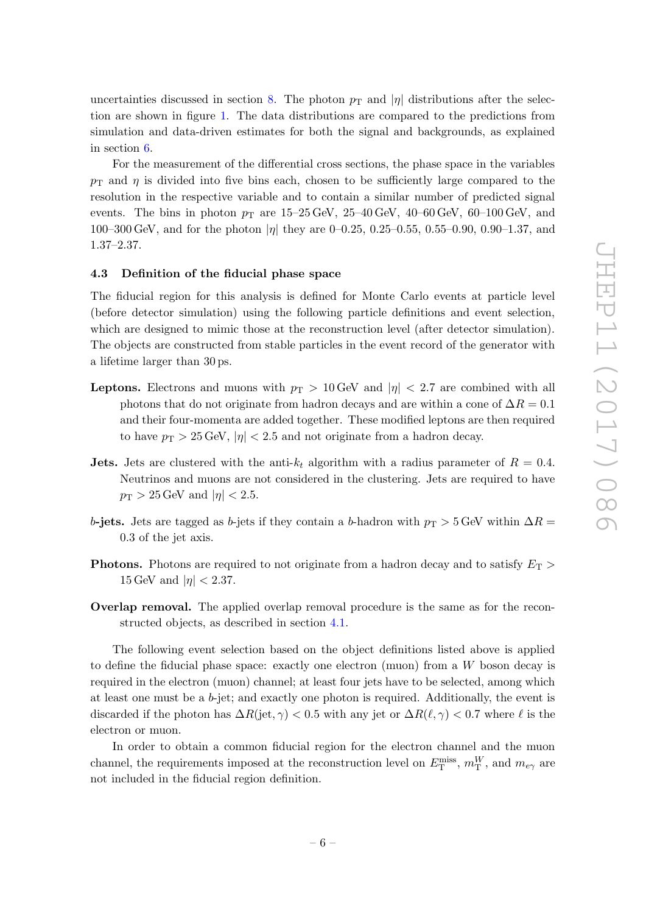uncertainties discussed in section [8.](#page-16-0) The photon  $p_T$  and  $|\eta|$  distributions after the selection are shown in figure [1.](#page-9-0) The data distributions are compared to the predictions from simulation and data-driven estimates for both the signal and backgrounds, as explained in section [6.](#page-12-1)

For the measurement of the differential cross sections, the phase space in the variables  $p_{\text{T}}$  and  $\eta$  is divided into five bins each, chosen to be sufficiently large compared to the resolution in the respective variable and to contain a similar number of predicted signal events. The bins in photon  $p_T$  are 15–25 GeV, 25–40 GeV, 40–60 GeV, 60–100 GeV, and 100–300 GeV, and for the photon  $|\eta|$  they are 0–0.25, 0.25–0.55, 0.55–0.90, 0.90–1.37, and 1.37–2.37.

#### <span id="page-8-0"></span>4.3 Definition of the fiducial phase space

The fiducial region for this analysis is defined for Monte Carlo events at particle level (before detector simulation) using the following particle definitions and event selection, which are designed to mimic those at the reconstruction level (after detector simulation). The objects are constructed from stable particles in the event record of the generator with a lifetime larger than 30 ps.

- **Leptons.** Electrons and muons with  $p_T > 10$  GeV and  $|\eta| < 2.7$  are combined with all photons that do not originate from hadron decays and are within a cone of  $\Delta R = 0.1$ and their four-momenta are added together. These modified leptons are then required to have  $p_T > 25 \text{ GeV}, |\eta| < 2.5$  and not originate from a hadron decay.
- **Jets.** Jets are clustered with the anti- $k_t$  algorithm with a radius parameter of  $R = 0.4$ . Neutrinos and muons are not considered in the clustering. Jets are required to have  $p_{\rm T} > 25 \,\text{GeV}$  and  $|\eta| < 2.5$ .
- b-jets. Jets are tagged as b-jets if they contain a b-hadron with  $p_T > 5$  GeV within  $\Delta R =$ 0.3 of the jet axis.
- **Photons.** Photons are required to not originate from a hadron decay and to satisfy  $E_T$  > 15 GeV and  $|\eta| < 2.37$ .
- Overlap removal. The applied overlap removal procedure is the same as for the reconstructed objects, as described in section [4.1.](#page-5-1)

The following event selection based on the object definitions listed above is applied to define the fiducial phase space: exactly one electron (muon) from a W boson decay is required in the electron (muon) channel; at least four jets have to be selected, among which at least one must be a  $b$ -jet; and exactly one photon is required. Additionally, the event is discarded if the photon has  $\Delta R(\text{jet}, \gamma) < 0.5$  with any jet or  $\Delta R(\ell, \gamma) < 0.7$  where  $\ell$  is the electron or muon.

In order to obtain a common fiducial region for the electron channel and the muon channel, the requirements imposed at the reconstruction level on  $E_{\rm T}^{\rm miss}$ ,  $m_{\rm T}^W$ , and  $m_{e\gamma}$  are not included in the fiducial region definition.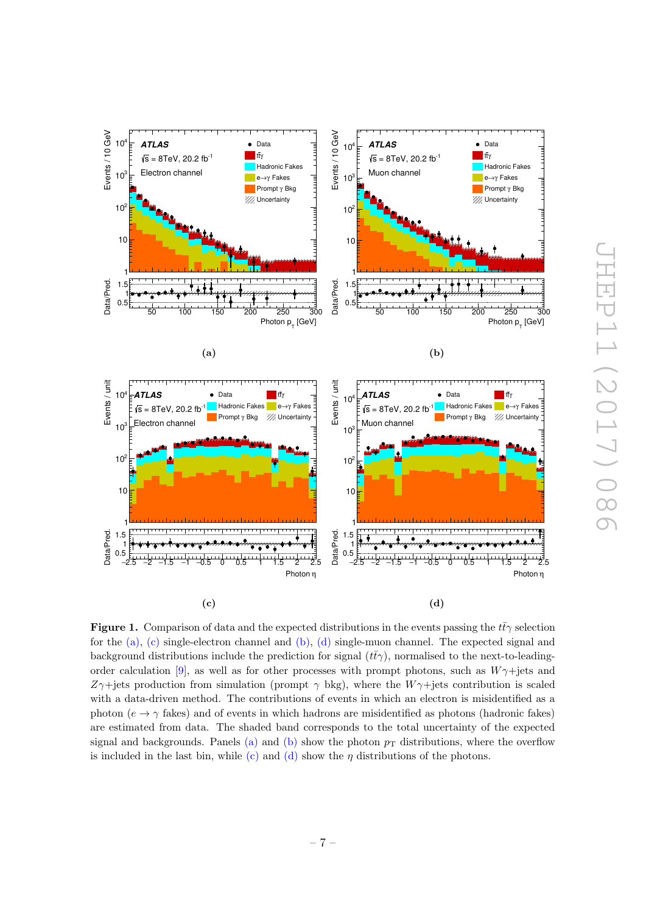<span id="page-9-3"></span><span id="page-9-1"></span><span id="page-9-0"></span>

<span id="page-9-4"></span><span id="page-9-2"></span>**Figure 1.** Comparison of data and the expected distributions in the events passing the  $t\bar{t}\gamma$  selection for the [\(a\),](#page-9-1) [\(c\)](#page-9-2) single-electron channel and [\(b\),](#page-9-3) [\(d\)](#page-9-4) single-muon channel. The expected signal and background distributions include the prediction for signal  $(t\bar{t}\gamma)$ , normalised to the next-to-leading-order calculation [\[9\]](#page-23-0), as well as for other processes with prompt photons, such as  $W\gamma$ +jets and  $Z\gamma$ +jets production from simulation (prompt  $\gamma$  bkg), where the  $W\gamma$ +jets contribution is scaled with a data-driven method. The contributions of events in which an electron is misidentified as a photon ( $e \rightarrow \gamma$  fakes) and of events in which hadrons are misidentified as photons (hadronic fakes) are estimated from data. The shaded band corresponds to the total uncertainty of the expected signal and backgrounds. Panels [\(a\)](#page-9-1) and [\(b\)](#page-9-3) show the photon  $p<sub>T</sub>$  distributions, where the overflow is included in the last bin, while [\(c\)](#page-9-2) and [\(d\)](#page-9-4) show the  $\eta$  distributions of the photons.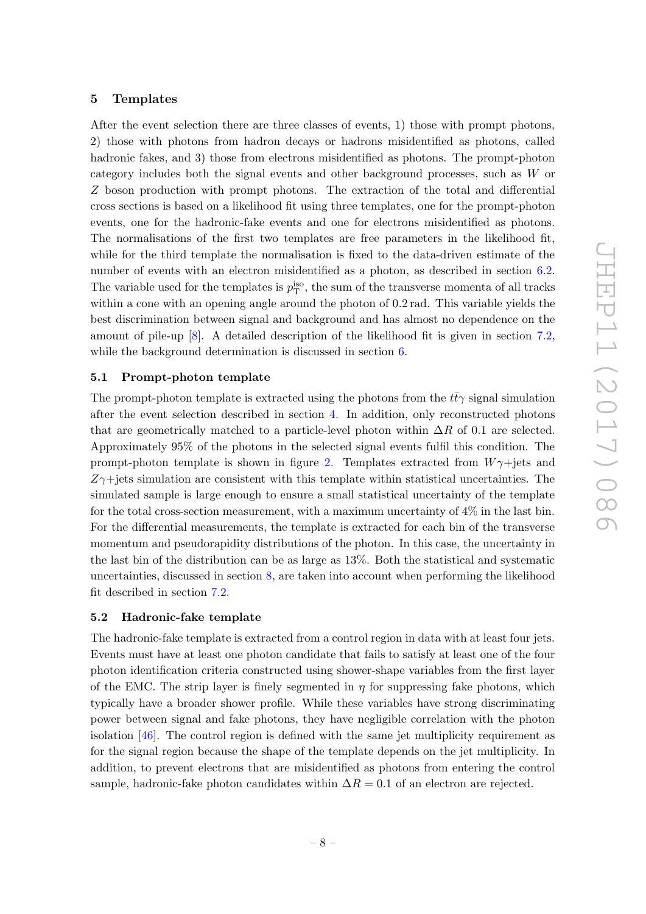#### <span id="page-10-0"></span>5 Templates

After the event selection there are three classes of events, 1) those with prompt photons, 2) those with photons from hadron decays or hadrons misidentified as photons, called hadronic fakes, and 3) those from electrons misidentified as photons. The prompt-photon category includes both the signal events and other background processes, such as W or Z boson production with prompt photons. The extraction of the total and differential cross sections is based on a likelihood fit using three templates, one for the prompt-photon events, one for the hadronic-fake events and one for electrons misidentified as photons. The normalisations of the first two templates are free parameters in the likelihood fit, while for the third template the normalisation is fixed to the data-driven estimate of the number of events with an electron misidentified as a photon, as described in section [6.2.](#page-12-3) The variable used for the templates is  $p_T^{\text{iso}}$ , the sum of the transverse momenta of all tracks within a cone with an opening angle around the photon of 0.2 rad. This variable yields the best discrimination between signal and background and has almost no dependence on the amount of pile-up [\[8\]](#page-22-3). A detailed description of the likelihood fit is given in section [7.2,](#page-15-0) while the background determination is discussed in section  $6$ .

#### <span id="page-10-1"></span>5.1 Prompt-photon template

The prompt-photon template is extracted using the photons from the  $t\bar{t}\gamma$  signal simulation after the event selection described in section [4.](#page-5-0) In addition, only reconstructed photons that are geometrically matched to a particle-level photon within  $\Delta R$  of 0.1 are selected. Approximately 95% of the photons in the selected signal events fulfil this condition. The prompt-photon template is shown in figure [2.](#page-11-0) Templates extracted from  $W\gamma$ +jets and  $Z\gamma$ +jets simulation are consistent with this template within statistical uncertainties. The simulated sample is large enough to ensure a small statistical uncertainty of the template for the total cross-section measurement, with a maximum uncertainty of 4% in the last bin. For the differential measurements, the template is extracted for each bin of the transverse momentum and pseudorapidity distributions of the photon. In this case, the uncertainty in the last bin of the distribution can be as large as 13%. Both the statistical and systematic uncertainties, discussed in section [8,](#page-16-0) are taken into account when performing the likelihood fit described in section [7.2.](#page-15-0)

#### <span id="page-10-2"></span>5.2 Hadronic-fake template

The hadronic-fake template is extracted from a control region in data with at least four jets. Events must have at least one photon candidate that fails to satisfy at least one of the four photon identification criteria constructed using shower-shape variables from the first layer of the EMC. The strip layer is finely segmented in  $\eta$  for suppressing fake photons, which typically have a broader shower profile. While these variables have strong discriminating power between signal and fake photons, they have negligible correlation with the photon isolation [\[46\]](#page-25-2). The control region is defined with the same jet multiplicity requirement as for the signal region because the shape of the template depends on the jet multiplicity. In addition, to prevent electrons that are misidentified as photons from entering the control sample, hadronic-fake photon candidates within  $\Delta R = 0.1$  of an electron are rejected.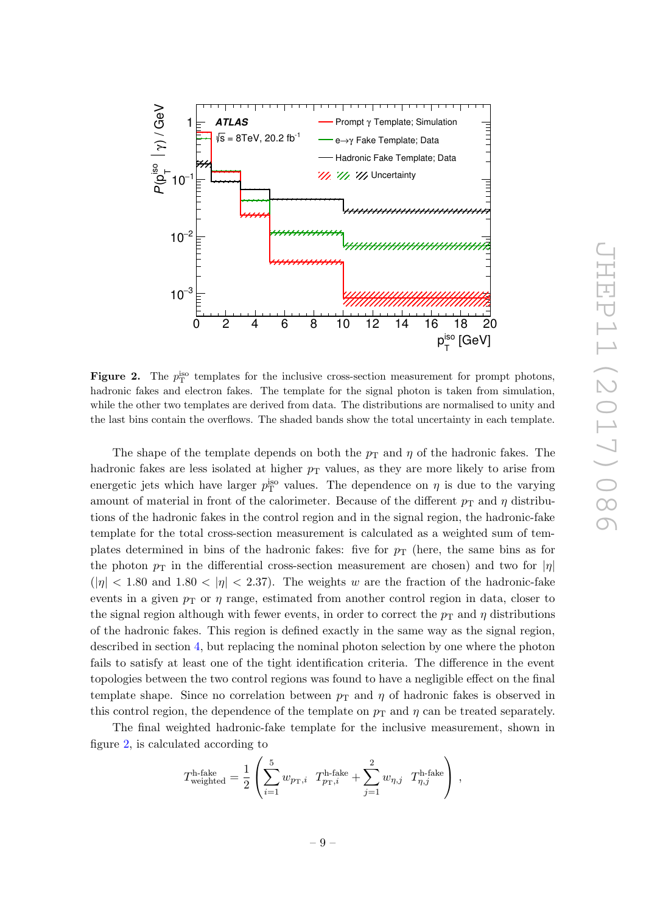<span id="page-11-0"></span>

**Figure 2.** The  $p_T^{\text{iso}}$  templates for the inclusive cross-section measurement for prompt photons, hadronic fakes and electron fakes. The template for the signal photon is taken from simulation, while the other two templates are derived from data. The distributions are normalised to unity and the last bins contain the overflows. The shaded bands show the total uncertainty in each template.

The shape of the template depends on both the  $p_T$  and  $\eta$  of the hadronic fakes. The hadronic fakes are less isolated at higher  $p<sub>T</sub>$  values, as they are more likely to arise from energetic jets which have larger  $p_T^{iso}$  values. The dependence on  $\eta$  is due to the varying amount of material in front of the calorimeter. Because of the different  $p_T$  and  $\eta$  distributions of the hadronic fakes in the control region and in the signal region, the hadronic-fake template for the total cross-section measurement is calculated as a weighted sum of templates determined in bins of the hadronic fakes: five for  $p<sub>T</sub>$  (here, the same bins as for the photon  $p<sub>T</sub>$  in the differential cross-section measurement are chosen) and two for  $|\eta|$  $(|\eta| < 1.80$  and  $1.80 < |\eta| < 2.37$ ). The weights w are the fraction of the hadronic-fake events in a given  $p_T$  or  $\eta$  range, estimated from another control region in data, closer to the signal region although with fewer events, in order to correct the  $p_T$  and  $\eta$  distributions of the hadronic fakes. This region is defined exactly in the same way as the signal region, described in section [4,](#page-5-0) but replacing the nominal photon selection by one where the photon fails to satisfy at least one of the tight identification criteria. The difference in the event topologies between the two control regions was found to have a negligible effect on the final template shape. Since no correlation between  $p_T$  and  $\eta$  of hadronic fakes is observed in this control region, the dependence of the template on  $p<sub>T</sub>$  and  $\eta$  can be treated separately.

The final weighted hadronic-fake template for the inclusive measurement, shown in figure [2,](#page-11-0) is calculated according to

$$
T_{\text{weighted}}^{\text{h-fake}} = \frac{1}{2} \left( \sum_{i=1}^{5} w_{p_{\text{T}},i} \ T_{p_{\text{T}},i}^{\text{h-fake}} + \sum_{j=1}^{2} w_{\eta,j} \ T_{\eta,j}^{\text{h-fake}} \right) ,
$$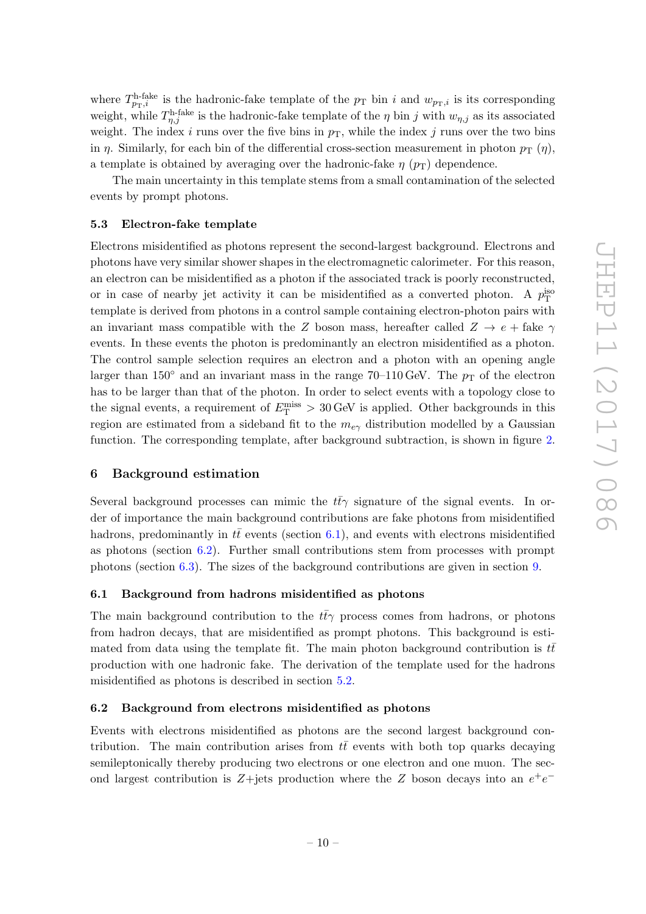where  $T_{p_T,i}^{\text{h-fake}}$  is the hadronic-fake template of the  $p_T$  bin i and  $w_{p_T,i}$  is its corresponding weight, while  $T_{\eta,j}^{\text{h-fake}}$  is the hadronic-fake template of the  $\eta$  bin j with  $w_{\eta,j}$  as its associated weight. The index i runs over the five bins in  $p<sub>T</sub>$ , while the index j runs over the two bins in  $\eta$ . Similarly, for each bin of the differential cross-section measurement in photon  $p_T(\eta)$ , a template is obtained by averaging over the hadronic-fake  $\eta$  ( $p_T$ ) dependence.

The main uncertainty in this template stems from a small contamination of the selected events by prompt photons.

#### <span id="page-12-0"></span>5.3 Electron-fake template

Electrons misidentified as photons represent the second-largest background. Electrons and photons have very similar shower shapes in the electromagnetic calorimeter. For this reason, an electron can be misidentified as a photon if the associated track is poorly reconstructed, or in case of nearby jet activity it can be misidentified as a converted photon. A  $p_T^{\text{iso}}$ template is derived from photons in a control sample containing electron-photon pairs with an invariant mass compatible with the Z boson mass, hereafter called  $Z \rightarrow e + \text{fake } \gamma$ events. In these events the photon is predominantly an electron misidentified as a photon. The control sample selection requires an electron and a photon with an opening angle larger than 150 $\degree$  and an invariant mass in the range 70–110 GeV. The  $p_T$  of the electron has to be larger than that of the photon. In order to select events with a topology close to the signal events, a requirement of  $E_{\rm T}^{\rm miss} > 30 \,\text{GeV}$  is applied. Other backgrounds in this region are estimated from a sideband fit to the  $m_{e\gamma}$  distribution modelled by a Gaussian function. The corresponding template, after background subtraction, is shown in figure [2.](#page-11-0)

#### <span id="page-12-1"></span>6 Background estimation

Several background processes can mimic the  $t\bar{t}\gamma$  signature of the signal events. In order of importance the main background contributions are fake photons from misidentified hadrons, predominantly in  $t\bar{t}$  events (section [6.1\)](#page-12-2), and events with electrons misidentified as photons (section [6.2\)](#page-12-3). Further small contributions stem from processes with prompt photons (section [6.3\)](#page-13-0). The sizes of the background contributions are given in section [9.](#page-18-1)

#### <span id="page-12-2"></span>6.1 Background from hadrons misidentified as photons

The main background contribution to the  $t\bar{t}\gamma$  process comes from hadrons, or photons from hadron decays, that are misidentified as prompt photons. This background is estimated from data using the template fit. The main photon background contribution is  $t\bar{t}$ production with one hadronic fake. The derivation of the template used for the hadrons misidentified as photons is described in section [5.2.](#page-10-2)

#### <span id="page-12-3"></span>6.2 Background from electrons misidentified as photons

Events with electrons misidentified as photons are the second largest background contribution. The main contribution arises from  $t\bar{t}$  events with both top quarks decaying semileptonically thereby producing two electrons or one electron and one muon. The second largest contribution is Z+jets production where the Z boson decays into an  $e^+e^-$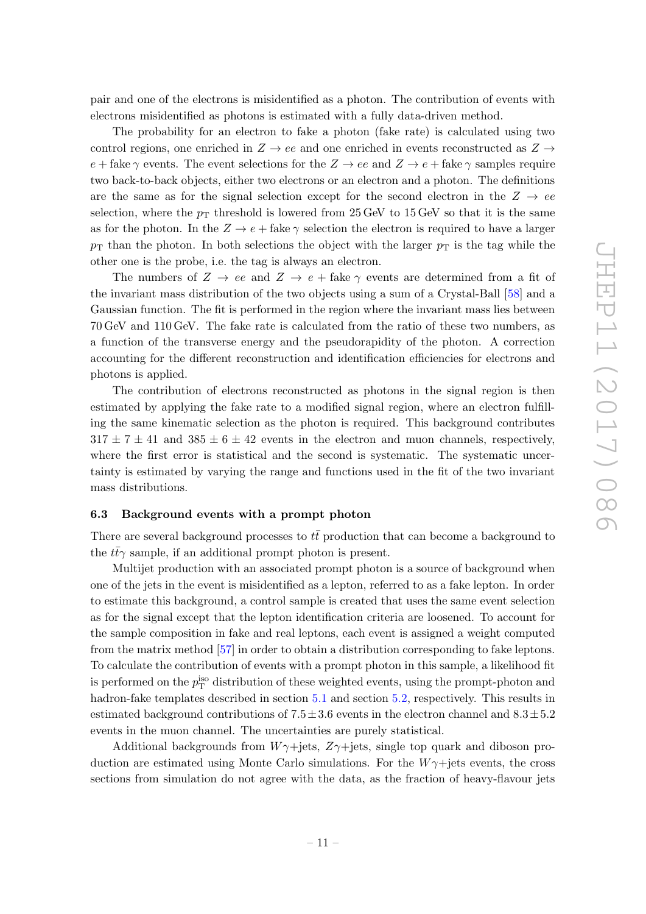pair and one of the electrons is misidentified as a photon. The contribution of events with electrons misidentified as photons is estimated with a fully data-driven method.

The probability for an electron to fake a photon (fake rate) is calculated using two control regions, one enriched in  $Z \rightarrow ee$  and one enriched in events reconstructed as  $Z \rightarrow$  $e + \text{fake } \gamma$  events. The event selections for the  $Z \to ee$  and  $Z \to e + \text{fake } \gamma$  samples require two back-to-back objects, either two electrons or an electron and a photon. The definitions are the same as for the signal selection except for the second electron in the  $Z \rightarrow ee$ selection, where the  $p<sub>T</sub>$  threshold is lowered from 25 GeV to 15 GeV so that it is the same as for the photon. In the  $Z \to e + \text{fake } \gamma$  selection the electron is required to have a larger  $p_T$  than the photon. In both selections the object with the larger  $p_T$  is the tag while the other one is the probe, i.e. the tag is always an electron.

The numbers of  $Z \to ee$  and  $Z \to e + \text{fake } \gamma$  events are determined from a fit of the invariant mass distribution of the two objects using a sum of a Crystal-Ball [\[58\]](#page-25-13) and a Gaussian function. The fit is performed in the region where the invariant mass lies between 70 GeV and 110 GeV. The fake rate is calculated from the ratio of these two numbers, as a function of the transverse energy and the pseudorapidity of the photon. A correction accounting for the different reconstruction and identification efficiencies for electrons and photons is applied.

The contribution of electrons reconstructed as photons in the signal region is then estimated by applying the fake rate to a modified signal region, where an electron fulfilling the same kinematic selection as the photon is required. This background contributes  $317 \pm 7 \pm 41$  and  $385 \pm 6 \pm 42$  events in the electron and muon channels, respectively, where the first error is statistical and the second is systematic. The systematic uncertainty is estimated by varying the range and functions used in the fit of the two invariant mass distributions.

#### <span id="page-13-0"></span>6.3 Background events with a prompt photon

There are several background processes to  $t\bar{t}$  production that can become a background to the  $t\bar{t}\gamma$  sample, if an additional prompt photon is present.

Multijet production with an associated prompt photon is a source of background when one of the jets in the event is misidentified as a lepton, referred to as a fake lepton. In order to estimate this background, a control sample is created that uses the same event selection as for the signal except that the lepton identification criteria are loosened. To account for the sample composition in fake and real leptons, each event is assigned a weight computed from the matrix method [\[57\]](#page-25-12) in order to obtain a distribution corresponding to fake leptons. To calculate the contribution of events with a prompt photon in this sample, a likelihood fit is performed on the  $p_T^{\text{iso}}$  distribution of these weighted events, using the prompt-photon and hadron-fake templates described in section [5.1](#page-10-1) and section [5.2,](#page-10-2) respectively. This results in estimated background contributions of  $7.5 \pm 3.6$  events in the electron channel and  $8.3 \pm 5.2$ events in the muon channel. The uncertainties are purely statistical.

Additional backgrounds from  $W\gamma$ +jets,  $Z\gamma$ +jets, single top quark and diboson production are estimated using Monte Carlo simulations. For the  $W\gamma +$  jets events, the cross sections from simulation do not agree with the data, as the fraction of heavy-flavour jets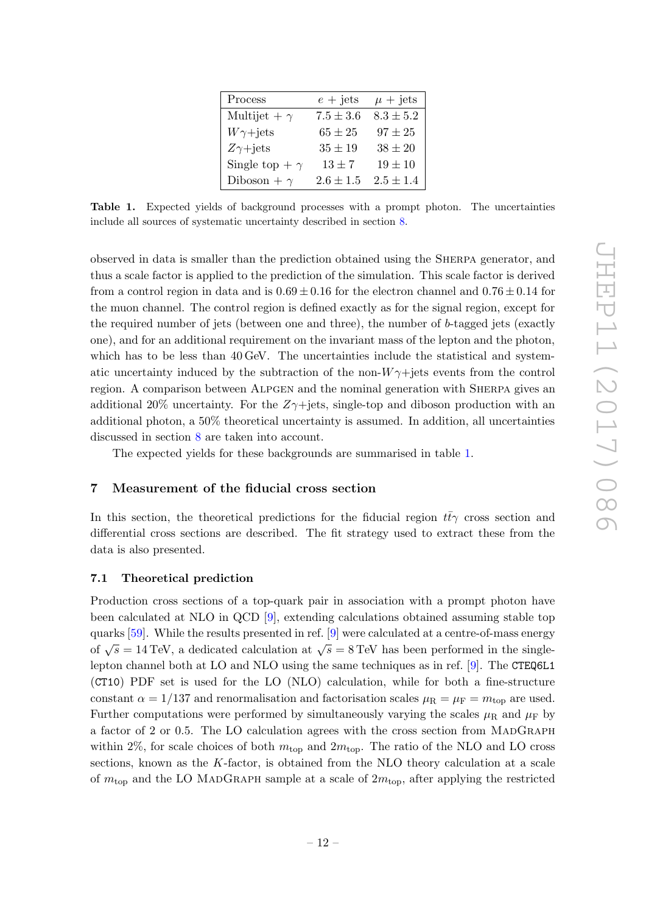| Process                 | $e + \text{jets}$ | $\mu$ + jets  |
|-------------------------|-------------------|---------------|
| Multijet + $\gamma$     | $7.5 \pm 3.6$     | $8.3 \pm 5.2$ |
| $W\gamma + \text{jets}$ | $65 \pm 25$       | $97 \pm 25$   |
| $Z\gamma + \text{jets}$ | $35 \pm 19$       | $38 \pm 20$   |
| Single top + $\gamma$   | $13 \pm 7$        | $19 \pm 10$   |
| Diboson + $\gamma$      | $2.6 \pm 1.5$     | $2.5 \pm 1.4$ |

<span id="page-14-2"></span>Table 1. Expected yields of background processes with a prompt photon. The uncertainties include all sources of systematic uncertainty described in section [8.](#page-16-0)

observed in data is smaller than the prediction obtained using the Sherpa generator, and thus a scale factor is applied to the prediction of the simulation. This scale factor is derived from a control region in data and is  $0.69 \pm 0.16$  for the electron channel and  $0.76 \pm 0.14$  for the muon channel. The control region is defined exactly as for the signal region, except for the required number of jets (between one and three), the number of b-tagged jets (exactly one), and for an additional requirement on the invariant mass of the lepton and the photon, which has to be less than  $40 \,\text{GeV}$ . The uncertainties include the statistical and systematic uncertainty induced by the subtraction of the non- $W\gamma$ +jets events from the control region. A comparison between ALPGEN and the nominal generation with SHERPA gives an additional 20% uncertainty. For the  $Z\gamma$ +jets, single-top and diboson production with an additional photon, a 50% theoretical uncertainty is assumed. In addition, all uncertainties discussed in section [8](#page-16-0) are taken into account.

The expected yields for these backgrounds are summarised in table [1.](#page-14-2)

#### <span id="page-14-0"></span>7 Measurement of the fiducial cross section

In this section, the theoretical predictions for the fiducial region  $t\bar{t}\gamma$  cross section and differential cross sections are described. The fit strategy used to extract these from the data is also presented.

#### <span id="page-14-1"></span>7.1 Theoretical prediction

Production cross sections of a top-quark pair in association with a prompt photon have been calculated at NLO in QCD [\[9\]](#page-23-0), extending calculations obtained assuming stable top quarks [\[59\]](#page-25-14). While the results presented in ref. [\[9\]](#page-23-0) were calculated at a centre-of-mass energy of  $\sqrt{s} = 14 \text{ TeV}$ , a dedicated calculation at  $\sqrt{s} = 8 \text{ TeV}$  has been performed in the singlelepton channel both at LO and NLO using the same techniques as in ref. [\[9\]](#page-23-0). The CTEQ6L1 (CT10) PDF set is used for the LO (NLO) calculation, while for both a fine-structure constant  $\alpha = 1/137$  and renormalisation and factorisation scales  $\mu_R = \mu_F = m_{top}$  are used. Further computations were performed by simultaneously varying the scales  $\mu<sub>R</sub>$  and  $\mu<sub>F</sub>$  by a factor of 2 or 0.5. The LO calculation agrees with the cross section from MADGRAPH within 2%, for scale choices of both  $m_{\text{top}}$  and  $2m_{\text{top}}$ . The ratio of the NLO and LO cross sections, known as the  $K$ -factor, is obtained from the NLO theory calculation at a scale of  $m_{\text{top}}$  and the LO MADGRAPH sample at a scale of  $2m_{\text{top}}$ , after applying the restricted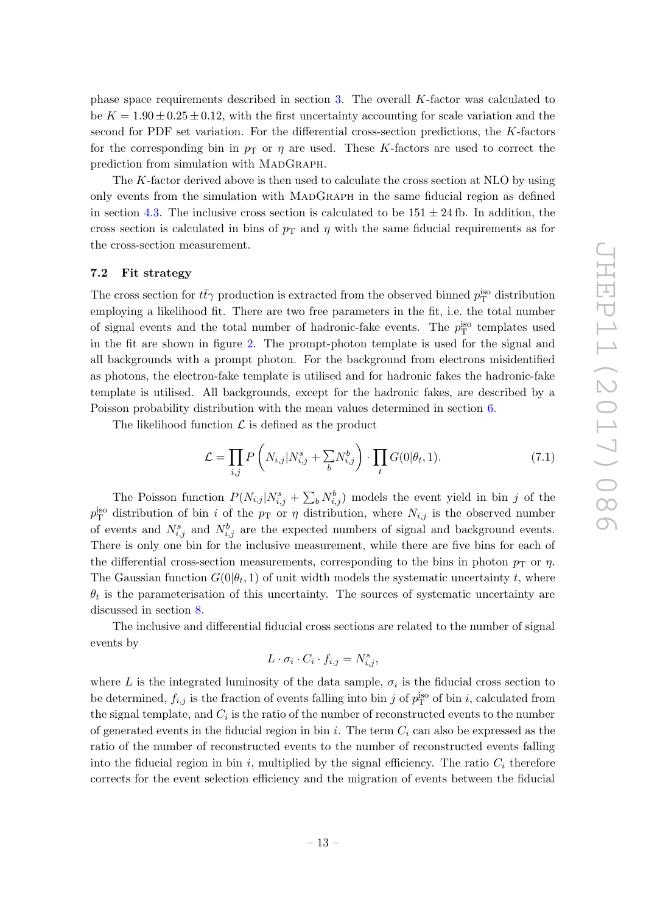phase space requirements described in section [3.](#page-4-0) The overall K-factor was calculated to be  $K = 1.90 \pm 0.25 \pm 0.12$ , with the first uncertainty accounting for scale variation and the second for PDF set variation. For the differential cross-section predictions, the K-factors for the corresponding bin in  $p<sub>T</sub>$  or  $\eta$  are used. These K-factors are used to correct the prediction from simulation with MADGRAPH.

The K-factor derived above is then used to calculate the cross section at NLO by using only events from the simulation with MadGraph in the same fiducial region as defined in section [4.3.](#page-8-0) The inclusive cross section is calculated to be  $151 \pm 24$  fb. In addition, the cross section is calculated in bins of  $p_T$  and  $\eta$  with the same fiducial requirements as for the cross-section measurement.

#### <span id="page-15-0"></span>7.2 Fit strategy

The cross section for  $t\bar{t}\gamma$  production is extracted from the observed binned  $p_T^{\text{iso}}$  distribution employing a likelihood fit. There are two free parameters in the fit, i.e. the total number of signal events and the total number of hadronic-fake events. The  $p_{\rm T}^{\rm iso}$  templates used in the fit are shown in figure [2.](#page-11-0) The prompt-photon template is used for the signal and all backgrounds with a prompt photon. For the background from electrons misidentified as photons, the electron-fake template is utilised and for hadronic fakes the hadronic-fake template is utilised. All backgrounds, except for the hadronic fakes, are described by a Poisson probability distribution with the mean values determined in section [6.](#page-12-1)

The likelihood function  $\mathcal L$  is defined as the product

<span id="page-15-1"></span>
$$
\mathcal{L} = \prod_{i,j} P\left(N_{i,j}|N_{i,j}^s + \sum_b N_{i,j}^b\right) \cdot \prod_t G(0|\theta_t, 1). \tag{7.1}
$$

The Poisson function  $P(N_{i,j}|N_{i,j}^s + \sum_b N_{i,j}^b)$  models the event yield in bin j of the  $p_{\text{T}}^{\text{iso}}$  distribution of bin i of the  $p_{\text{T}}$  or  $\eta$  distribution, where  $N_{i,j}$  is the observed number of events and  $N_{i,j}^s$  and  $N_{i,j}^b$  are the expected numbers of signal and background events. There is only one bin for the inclusive measurement, while there are five bins for each of the differential cross-section measurements, corresponding to the bins in photon  $p<sub>T</sub>$  or  $\eta$ . The Gaussian function  $G(0|\theta_t, 1)$  of unit width models the systematic uncertainty t, where  $\theta_t$  is the parameterisation of this uncertainty. The sources of systematic uncertainty are discussed in section [8.](#page-16-0)

The inclusive and differential fiducial cross sections are related to the number of signal events by

$$
L \cdot \sigma_i \cdot C_i \cdot f_{i,j} = N_{i,j}^s,
$$

where L is the integrated luminosity of the data sample,  $\sigma_i$  is the fiducial cross section to be determined,  $f_{i,j}$  is the fraction of events falling into bin j of  $p_T^{\text{iso}}$  of bin i, calculated from the signal template, and  $C_i$  is the ratio of the number of reconstructed events to the number of generated events in the fiducial region in bin i. The term  $C_i$  can also be expressed as the ratio of the number of reconstructed events to the number of reconstructed events falling into the fiducial region in bin  $i$ , multiplied by the signal efficiency. The ratio  $C_i$  therefore corrects for the event selection efficiency and the migration of events between the fiducial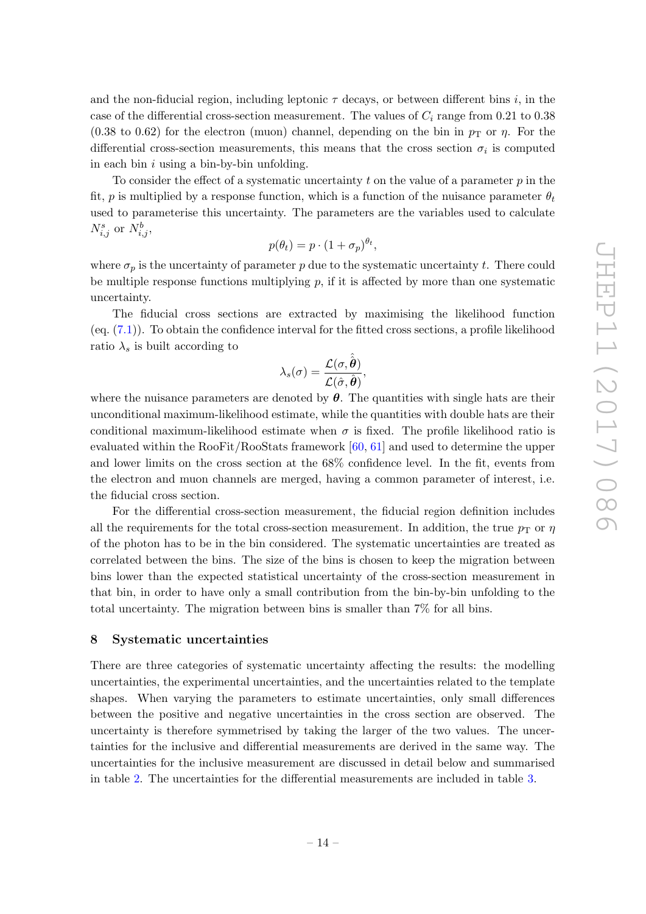and the non-fiducial region, including leptonic  $\tau$  decays, or between different bins i, in the case of the differential cross-section measurement. The values of  $C_i$  range from 0.21 to 0.38 (0.38 to 0.62) for the electron (muon) channel, depending on the bin in  $p_T$  or  $\eta$ . For the differential cross-section measurements, this means that the cross section  $\sigma_i$  is computed in each bin  $i$  using a bin-by-bin unfolding.

To consider the effect of a systematic uncertainty t on the value of a parameter  $p$  in the fit, p is multiplied by a response function, which is a function of the nuisance parameter  $\theta_t$ used to parameterise this uncertainty. The parameters are the variables used to calculate  $N_{i,j}^s$  or  $N_{i,j}^b$ ,

$$
p(\theta_t) = p \cdot (1 + \sigma_p)^{\theta_t},
$$

where  $\sigma_p$  is the uncertainty of parameter p due to the systematic uncertainty t. There could be multiple response functions multiplying  $p$ , if it is affected by more than one systematic uncertainty.

The fiducial cross sections are extracted by maximising the likelihood function (eq. [\(7.1\)](#page-15-1)). To obtain the confidence interval for the fitted cross sections, a profile likelihood ratio  $\lambda_s$  is built according to

$$
\lambda_s(\sigma)=\frac{\mathcal{L}(\sigma,\hat{\hat{\boldsymbol{\theta}}})}{\mathcal{L}(\hat{\sigma},\hat{\boldsymbol{\theta}})},
$$

where the nuisance parameters are denoted by  $\theta$ . The quantities with single hats are their unconditional maximum-likelihood estimate, while the quantities with double hats are their conditional maximum-likelihood estimate when  $\sigma$  is fixed. The profile likelihood ratio is evaluated within the RooFit/RooStats framework [\[60,](#page-25-15) [61\]](#page-25-16) and used to determine the upper and lower limits on the cross section at the 68% confidence level. In the fit, events from the electron and muon channels are merged, having a common parameter of interest, i.e. the fiducial cross section.

For the differential cross-section measurement, the fiducial region definition includes all the requirements for the total cross-section measurement. In addition, the true  $p_T$  or  $\eta$ of the photon has to be in the bin considered. The systematic uncertainties are treated as correlated between the bins. The size of the bins is chosen to keep the migration between bins lower than the expected statistical uncertainty of the cross-section measurement in that bin, in order to have only a small contribution from the bin-by-bin unfolding to the total uncertainty. The migration between bins is smaller than 7% for all bins.

#### <span id="page-16-0"></span>8 Systematic uncertainties

There are three categories of systematic uncertainty affecting the results: the modelling uncertainties, the experimental uncertainties, and the uncertainties related to the template shapes. When varying the parameters to estimate uncertainties, only small differences between the positive and negative uncertainties in the cross section are observed. The uncertainty is therefore symmetrised by taking the larger of the two values. The uncertainties for the inclusive and differential measurements are derived in the same way. The uncertainties for the inclusive measurement are discussed in detail below and summarised in table [2.](#page-19-0) The uncertainties for the differential measurements are included in table [3.](#page-19-1)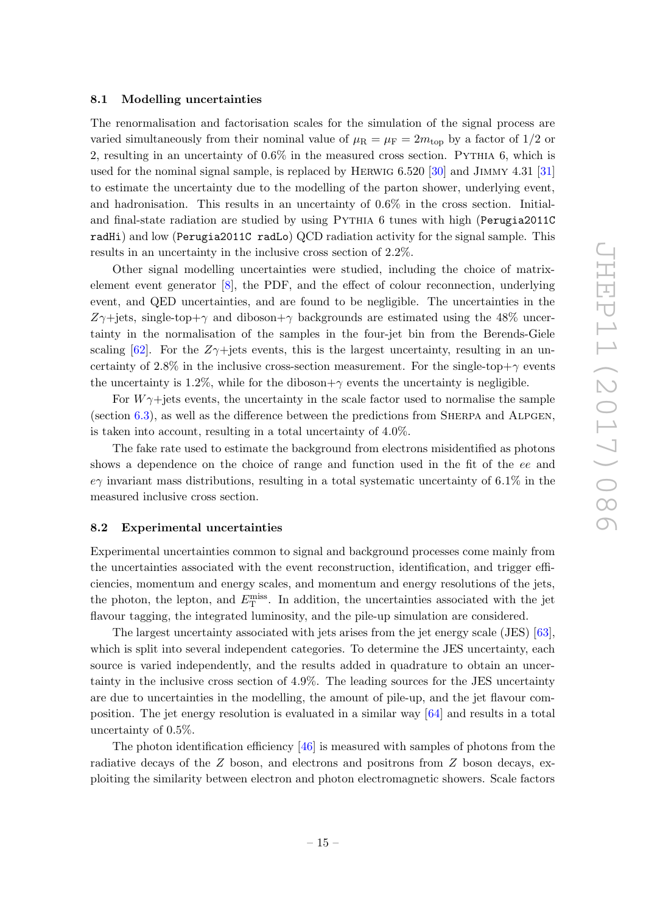#### <span id="page-17-0"></span>8.1 Modelling uncertainties

The renormalisation and factorisation scales for the simulation of the signal process are varied simultaneously from their nominal value of  $\mu_R = \mu_F = 2m_{top}$  by a factor of 1/2 or 2, resulting in an uncertainty of  $0.6\%$  in the measured cross section. PYTHIA 6, which is used for the nominal signal sample, is replaced by Herwig 6.520 [\[30\]](#page-24-3) and Jimmy 4.31 [\[31\]](#page-24-4) to estimate the uncertainty due to the modelling of the parton shower, underlying event, and hadronisation. This results in an uncertainty of 0.6% in the cross section. Initialand final-state radiation are studied by using Pythia 6 tunes with high (Perugia2011C radHi) and low (Perugia2011C radLo) QCD radiation activity for the signal sample. This results in an uncertainty in the inclusive cross section of 2.2%.

Other signal modelling uncertainties were studied, including the choice of matrixelement event generator [\[8\]](#page-22-3), the PDF, and the effect of colour reconnection, underlying event, and QED uncertainties, and are found to be negligible. The uncertainties in the  $Z\gamma$ +jets, single-top+ $\gamma$  and diboson+ $\gamma$  backgrounds are estimated using the 48% uncertainty in the normalisation of the samples in the four-jet bin from the Berends-Giele scaling [\[62\]](#page-26-0). For the  $Z\gamma$ +jets events, this is the largest uncertainty, resulting in an uncertainty of 2.8% in the inclusive cross-section measurement. For the single-top+ $\gamma$  events the uncertainty is 1.2%, while for the diboson+ $\gamma$  events the uncertainty is negligible.

For  $W\gamma$ +jets events, the uncertainty in the scale factor used to normalise the sample (section  $(6.3)$  $(6.3)$ , as well as the difference between the predictions from SHERPA and ALPGEN, is taken into account, resulting in a total uncertainty of 4.0%.

The fake rate used to estimate the background from electrons misidentified as photons shows a dependence on the choice of range and function used in the fit of the ee and  $e\gamma$  invariant mass distributions, resulting in a total systematic uncertainty of 6.1% in the measured inclusive cross section.

#### <span id="page-17-1"></span>8.2 Experimental uncertainties

Experimental uncertainties common to signal and background processes come mainly from the uncertainties associated with the event reconstruction, identification, and trigger efficiencies, momentum and energy scales, and momentum and energy resolutions of the jets, the photon, the lepton, and  $E_{\rm T}^{\rm miss}$ . In addition, the uncertainties associated with the jet flavour tagging, the integrated luminosity, and the pile-up simulation are considered.

The largest uncertainty associated with jets arises from the jet energy scale (JES) [\[63\]](#page-26-1), which is split into several independent categories. To determine the JES uncertainty, each source is varied independently, and the results added in quadrature to obtain an uncertainty in the inclusive cross section of 4.9%. The leading sources for the JES uncertainty are due to uncertainties in the modelling, the amount of pile-up, and the jet flavour composition. The jet energy resolution is evaluated in a similar way [\[64\]](#page-26-2) and results in a total uncertainty of 0.5%.

The photon identification efficiency [\[46\]](#page-25-2) is measured with samples of photons from the radiative decays of the Z boson, and electrons and positrons from Z boson decays, exploiting the similarity between electron and photon electromagnetic showers. Scale factors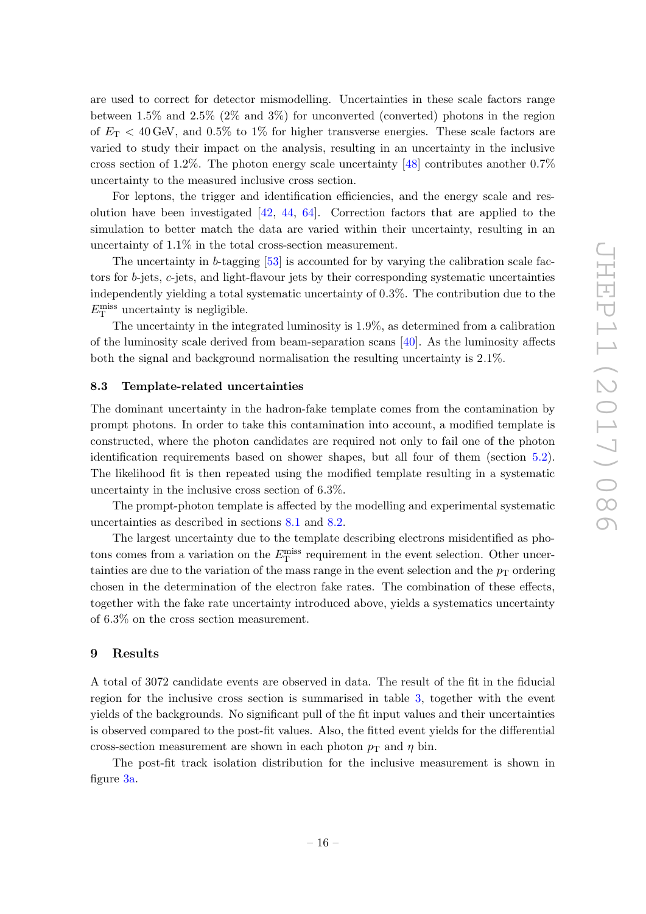are used to correct for detector mismodelling. Uncertainties in these scale factors range between 1.5% and 2.5% ( $2\%$  and  $3\%$ ) for unconverted (converted) photons in the region of  $E_T < 40$  GeV, and 0.5% to 1% for higher transverse energies. These scale factors are varied to study their impact on the analysis, resulting in an uncertainty in the inclusive cross section of 1.2%. The photon energy scale uncertainty [\[48\]](#page-25-4) contributes another  $0.7\%$ uncertainty to the measured inclusive cross section.

For leptons, the trigger and identification efficiencies, and the energy scale and resolution have been investigated  $[42, 44, 64]$  $[42, 44, 64]$  $[42, 44, 64]$  $[42, 44, 64]$  $[42, 44, 64]$ . Correction factors that are applied to the simulation to better match the data are varied within their uncertainty, resulting in an uncertainty of 1.1% in the total cross-section measurement.

The uncertainty in b-tagging  $[53]$  is accounted for by varying the calibration scale factors for b-jets, c-jets, and light-flavour jets by their corresponding systematic uncertainties independently yielding a total systematic uncertainty of 0.3%. The contribution due to the  $E_{\rm T}^{\rm miss}$  uncertainty is negligible.

The uncertainty in the integrated luminosity is 1.9%, as determined from a calibration of the luminosity scale derived from beam-separation scans [\[40\]](#page-24-12). As the luminosity affects both the signal and background normalisation the resulting uncertainty is 2.1%.

#### <span id="page-18-0"></span>8.3 Template-related uncertainties

The dominant uncertainty in the hadron-fake template comes from the contamination by prompt photons. In order to take this contamination into account, a modified template is constructed, where the photon candidates are required not only to fail one of the photon identification requirements based on shower shapes, but all four of them (section [5.2\)](#page-10-2). The likelihood fit is then repeated using the modified template resulting in a systematic uncertainty in the inclusive cross section of 6.3%.

The prompt-photon template is affected by the modelling and experimental systematic uncertainties as described in sections [8.1](#page-17-0) and [8.2.](#page-17-1)

The largest uncertainty due to the template describing electrons misidentified as photons comes from a variation on the  $E_{\rm T}^{\rm miss}$  requirement in the event selection. Other uncertainties are due to the variation of the mass range in the event selection and the  $p_T$  ordering chosen in the determination of the electron fake rates. The combination of these effects, together with the fake rate uncertainty introduced above, yields a systematics uncertainty of 6.3% on the cross section measurement.

#### <span id="page-18-1"></span>9 Results

A total of 3072 candidate events are observed in data. The result of the fit in the fiducial region for the inclusive cross section is summarised in table [3,](#page-19-1) together with the event yields of the backgrounds. No significant pull of the fit input values and their uncertainties is observed compared to the post-fit values. Also, the fitted event yields for the differential cross-section measurement are shown in each photon  $p_T$  and  $\eta$  bin.

The post-fit track isolation distribution for the inclusive measurement is shown in figure [3a.](#page-20-1)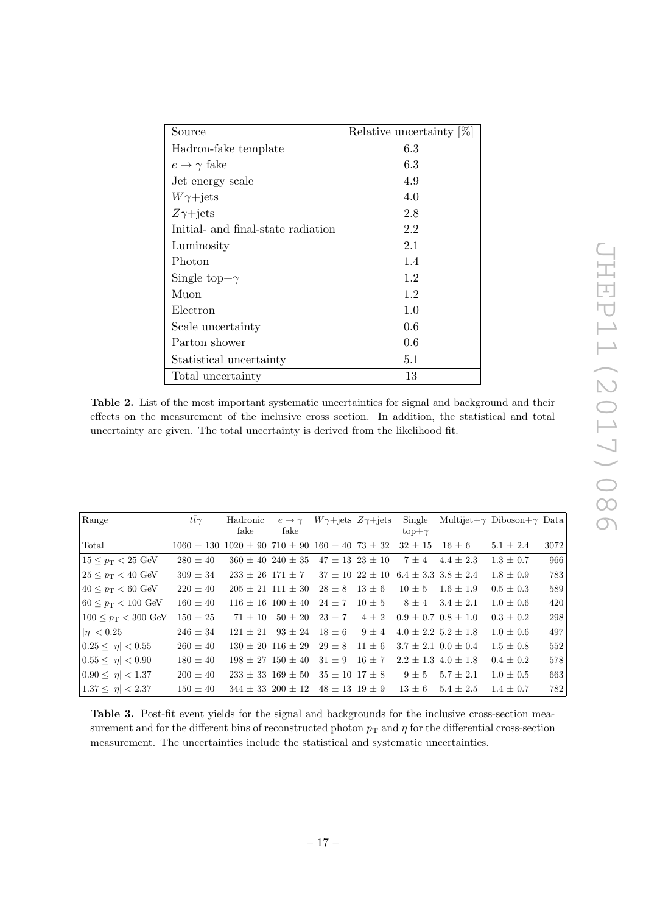<span id="page-19-0"></span>

| Source                             | Relative uncertainty [%] |  |  |  |
|------------------------------------|--------------------------|--|--|--|
| Hadron-fake template               | 6.3                      |  |  |  |
| $e \rightarrow \gamma$ fake        | 6.3                      |  |  |  |
| Jet energy scale                   | 4.9                      |  |  |  |
| $W\gamma + \text{jets}$            | 4.0                      |  |  |  |
| $Z\gamma + \text{jets}$            | 2.8                      |  |  |  |
| Initial- and final-state radiation | 2.2                      |  |  |  |
| Luminosity                         | 2.1                      |  |  |  |
| Photon                             | 1.4                      |  |  |  |
| Single top+ $\gamma$               | 1.2                      |  |  |  |
| Muon                               | 1.2                      |  |  |  |
| Electron                           | 1.0                      |  |  |  |
| Scale uncertainty                  | 0.6                      |  |  |  |
| Parton shower                      | 0.6                      |  |  |  |
| Statistical uncertainty            | 5.1                      |  |  |  |
| Total uncertainty                  | 13                       |  |  |  |

Table 2. List of the most important systematic uncertainties for signal and background and their effects on the measurement of the inclusive cross section. In addition, the statistical and total uncertainty are given. The total uncertainty is derived from the likelihood fit.

<span id="page-19-1"></span>

| Range                               | $tt\gamma$                                                                     | Hadronic                  | $e \rightarrow \gamma$    | $W\gamma$ +jets $Z\gamma$ +jets |                         | Single                                        |                             | Multijet $+\gamma$ Diboson $+\gamma$ Data |      |
|-------------------------------------|--------------------------------------------------------------------------------|---------------------------|---------------------------|---------------------------------|-------------------------|-----------------------------------------------|-----------------------------|-------------------------------------------|------|
|                                     |                                                                                | fake                      | fake                      |                                 |                         | $top+\gamma$                                  |                             |                                           |      |
| Total                               | $1060 \pm 130$ $1020 \pm 90$ $710 \pm 90$ $160 \pm 40$ $73 \pm 32$ $32 \pm 15$ |                           |                           |                                 |                         |                                               | $16 \pm 6$                  | $5.1 \pm 2.4$                             | 3072 |
| $15 \leq p_{\rm T} < 25$ GeV        | $280 \pm 40$                                                                   | $360 \pm 40$ 240 $\pm$ 35 |                           |                                 | $47 \pm 13$ $23 \pm 10$ | $7 \pm 4$                                     | $4.4 \pm 2.3$               | $1.3 \pm 0.7$                             | 966  |
| $25 \le p_{\rm T} < 40~{\rm GeV}$   | $309 \pm 34$                                                                   |                           | $233 \pm 26$ 171 $\pm$ 7  |                                 | $37 \pm 10$ $22 \pm 10$ |                                               | $6.4 \pm 3.3$ $3.8 \pm 2.4$ | $1.8 \pm 0.9$                             | 783  |
| $40 \le p_{\rm T} < 60~{\rm GeV}$   | $220 \pm 40$                                                                   | $205 \pm 21$ 111 $\pm$ 30 |                           | $28 \pm 8$ 13 $\pm$ 6           |                         | $10 \pm 5$                                    | $1.6 \pm 1.9$               | $0.5 \pm 0.3$                             | 589  |
| $60 \le p_{\rm T} < 100~\text{GeV}$ | $160 \pm 40$                                                                   |                           | $116 \pm 16$ $100 \pm 40$ |                                 |                         | $24 \pm 7$ $10 \pm 5$ $8 \pm 4$ $3.4 \pm 2.1$ |                             | $1.0 \pm 0.6$                             | 420  |
| $100 \leq p_{\rm T} < 300$ GeV      | $150 \pm 25$                                                                   | $71 \pm 10$               | $50 \pm 20$               | $23 \pm 7$ $4 \pm 2$            |                         |                                               | $0.9 \pm 0.7$ $0.8 \pm 1.0$ | $0.3 \pm 0.2$                             | 298  |
| $ \eta  < 0.25$                     | $246 \pm 34$                                                                   | $121 \pm 21$              | $93 \pm 24$               | $18 \pm 6$ $9 \pm 4$            |                         |                                               | $4.0 \pm 2.2$ 5.2 $\pm$ 1.8 | $1.0 \pm 0.6$                             | 497  |
| $0.25 \leq  \eta  < 0.55$           | $260 \pm 40$                                                                   |                           | $130 \pm 20$ 116 $\pm 29$ | $29 \pm 8$                      | $11 \pm 6$              |                                               | $3.7 \pm 2.1$ $0.0 \pm 0.4$ | $1.5 \pm 0.8$                             | 552  |
| $0.55 \leq  \eta  < 0.90$           | $180 \pm 40$                                                                   |                           | $198 \pm 27$ $150 \pm 40$ | $31 \pm 9$                      | $16 \pm 7$              |                                               | $2.2 \pm 1.3$ 4.0 $\pm$ 1.8 | $0.4 \pm 0.2$                             | 578  |
| $ 0.90 \leq  \eta  < 1.37$          | $200 \pm 40$                                                                   |                           | $233 \pm 33$ 169 $\pm$ 50 | $35 \pm 10$ 17 $\pm$ 8          |                         | $9 \pm 5$                                     | $5.7 \pm 2.1$               | $1.0 \pm 0.5$                             | 663  |
| $ 1.37 \leq  \eta  < 2.37$          | $150 \pm 40$                                                                   |                           | $344 \pm 33$ 200 $\pm$ 12 | $48 \pm 13$ 19 $\pm$ 9          |                         | $13 \pm 6$                                    | $5.4 \pm 2.5$               | $1.4 \pm 0.7$                             | 782  |

Table 3. Post-fit event yields for the signal and backgrounds for the inclusive cross-section measurement and for the different bins of reconstructed photon  $p_T$  and  $\eta$  for the differential cross-section measurement. The uncertainties include the statistical and systematic uncertainties.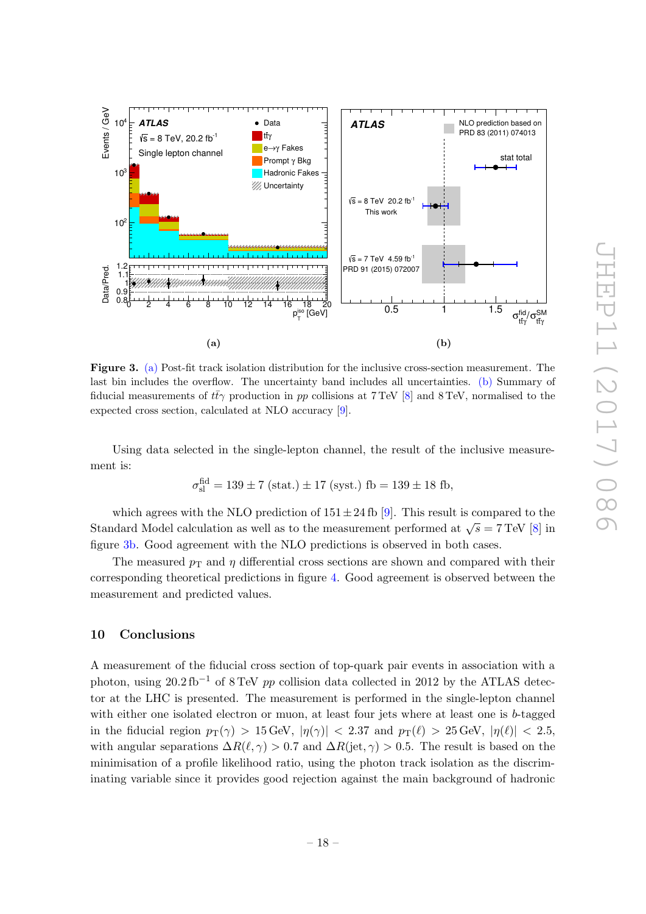<span id="page-20-1"></span>

Figure 3. [\(a\)](#page-20-1) Post-fit track isolation distribution for the inclusive cross-section measurement. The last bin includes the overflow. The uncertainty band includes all uncertainties. [\(b\)](#page-20-2) Summary of fiducial measurements of  $t\bar{t}\gamma$  production in pp collisions at 7 TeV [\[8\]](#page-22-3) and 8 TeV, normalised to the expected cross section, calculated at NLO accuracy [\[9\]](#page-23-0).

Using data selected in the single-lepton channel, the result of the inclusive measurement is:

<span id="page-20-2"></span>
$$
\sigma_{\rm sl}^{\rm fid} = 139 \pm 7
$$
 (stat.)  $\pm 17$  (syst.) fb =  $139 \pm 18$  fb,

which agrees with the NLO prediction of  $151 \pm 24$  fb [\[9\]](#page-23-0). This result is compared to the Standard Model calculation as well as to the measurement performed at  $\sqrt{s} = 7$  TeV [\[8\]](#page-22-3) in figure [3b.](#page-20-2) Good agreement with the NLO predictions is observed in both cases.

The measured  $p_T$  and  $\eta$  differential cross sections are shown and compared with their corresponding theoretical predictions in figure [4.](#page-21-0) Good agreement is observed between the measurement and predicted values.

#### <span id="page-20-0"></span>10 Conclusions

A measurement of the fiducial cross section of top-quark pair events in association with a photon, using 20.2 fb<sup>-1</sup> of 8 TeV pp collision data collected in 2012 by the ATLAS detector at the LHC is presented. The measurement is performed in the single-lepton channel with either one isolated electron or muon, at least four jets where at least one is b-tagged in the fiducial region  $p_T(\gamma) > 15$  GeV,  $|\eta(\gamma)| < 2.37$  and  $p_T(\ell) > 25$  GeV,  $|\eta(\ell)| < 2.5$ , with angular separations  $\Delta R(\ell, \gamma) > 0.7$  and  $\Delta R(\text{jet}, \gamma) > 0.5$ . The result is based on the minimisation of a profile likelihood ratio, using the photon track isolation as the discriminating variable since it provides good rejection against the main background of hadronic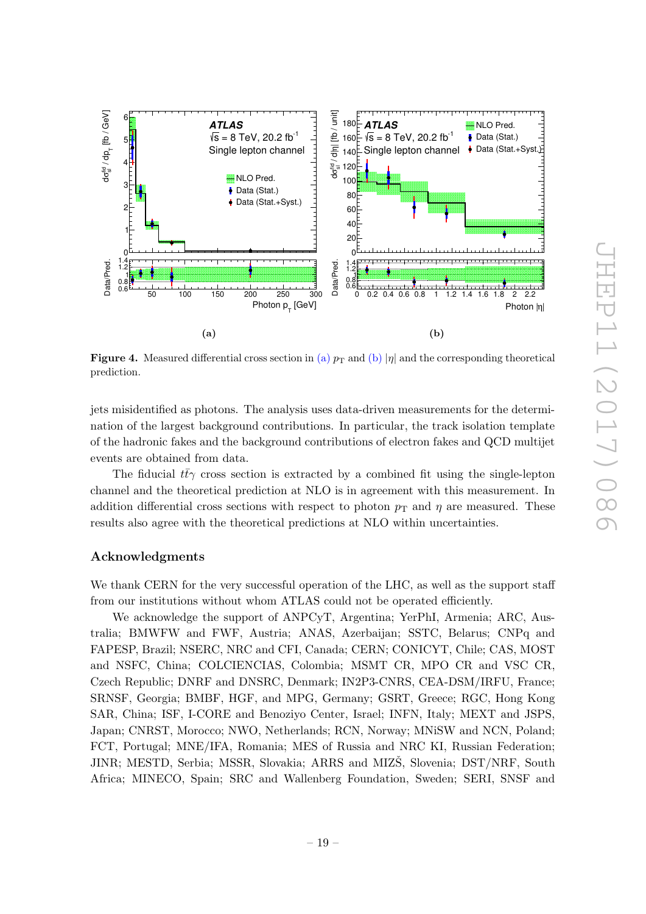<span id="page-21-1"></span><span id="page-21-0"></span>

<span id="page-21-2"></span>Figure 4. Measured differential cross section in [\(a\)](#page-21-1)  $p_T$  and [\(b\)](#page-21-2)  $|\eta|$  and the corresponding theoretical prediction.

jets misidentified as photons. The analysis uses data-driven measurements for the determination of the largest background contributions. In particular, the track isolation template of the hadronic fakes and the background contributions of electron fakes and QCD multijet events are obtained from data.

The fiducial  $t\bar{t}\gamma$  cross section is extracted by a combined fit using the single-lepton channel and the theoretical prediction at NLO is in agreement with this measurement. In addition differential cross sections with respect to photon  $p_T$  and  $\eta$  are measured. These results also agree with the theoretical predictions at NLO within uncertainties.

#### Acknowledgments

We thank CERN for the very successful operation of the LHC, as well as the support staff from our institutions without whom ATLAS could not be operated efficiently.

We acknowledge the support of ANPCyT, Argentina; YerPhI, Armenia; ARC, Australia; BMWFW and FWF, Austria; ANAS, Azerbaijan; SSTC, Belarus; CNPq and FAPESP, Brazil; NSERC, NRC and CFI, Canada; CERN; CONICYT, Chile; CAS, MOST and NSFC, China; COLCIENCIAS, Colombia; MSMT CR, MPO CR and VSC CR, Czech Republic; DNRF and DNSRC, Denmark; IN2P3-CNRS, CEA-DSM/IRFU, France; SRNSF, Georgia; BMBF, HGF, and MPG, Germany; GSRT, Greece; RGC, Hong Kong SAR, China; ISF, I-CORE and Benoziyo Center, Israel; INFN, Italy; MEXT and JSPS, Japan; CNRST, Morocco; NWO, Netherlands; RCN, Norway; MNiSW and NCN, Poland; FCT, Portugal; MNE/IFA, Romania; MES of Russia and NRC KI, Russian Federation; JINR; MESTD, Serbia; MSSR, Slovakia; ARRS and MIZS, Slovenia; DST/NRF, South Africa; MINECO, Spain; SRC and Wallenberg Foundation, Sweden; SERI, SNSF and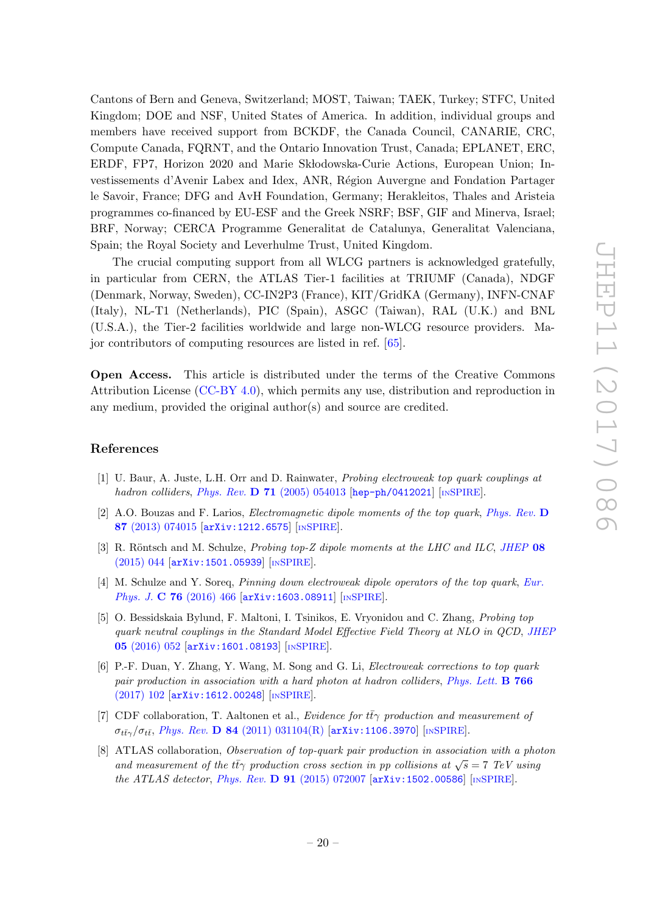Cantons of Bern and Geneva, Switzerland; MOST, Taiwan; TAEK, Turkey; STFC, United Kingdom; DOE and NSF, United States of America. In addition, individual groups and members have received support from BCKDF, the Canada Council, CANARIE, CRC, Compute Canada, FQRNT, and the Ontario Innovation Trust, Canada; EPLANET, ERC, ERDF, FP7, Horizon 2020 and Marie Skłodowska-Curie Actions, European Union; Investissements d'Avenir Labex and Idex, ANR, Région Auvergne and Fondation Partager le Savoir, France; DFG and AvH Foundation, Germany; Herakleitos, Thales and Aristeia programmes co-financed by EU-ESF and the Greek NSRF; BSF, GIF and Minerva, Israel; BRF, Norway; CERCA Programme Generalitat de Catalunya, Generalitat Valenciana, Spain; the Royal Society and Leverhulme Trust, United Kingdom.

The crucial computing support from all WLCG partners is acknowledged gratefully, in particular from CERN, the ATLAS Tier-1 facilities at TRIUMF (Canada), NDGF (Denmark, Norway, Sweden), CC-IN2P3 (France), KIT/GridKA (Germany), INFN-CNAF (Italy), NL-T1 (Netherlands), PIC (Spain), ASGC (Taiwan), RAL (U.K.) and BNL (U.S.A.), the Tier-2 facilities worldwide and large non-WLCG resource providers. Major contributors of computing resources are listed in ref. [\[65\]](#page-26-3).

Open Access. This article is distributed under the terms of the Creative Commons Attribution License [\(CC-BY 4.0\)](https://creativecommons.org/licenses/by/4.0/), which permits any use, distribution and reproduction in any medium, provided the original author(s) and source are credited.

#### References

- <span id="page-22-0"></span>[1] U. Baur, A. Juste, L.H. Orr and D. Rainwater, Probing electroweak top quark couplings at hadron colliders, Phys. Rev.  $D$  71 [\(2005\) 054013](https://doi.org/10.1103/PhysRevD.71.054013) [[hep-ph/0412021](https://arxiv.org/abs/hep-ph/0412021)] [IN[SPIRE](https://inspirehep.net/search?p=find+EPRINT+hep-ph/0412021)].
- [2] A.O. Bouzas and F. Larios, Electromagnetic dipole moments of the top quark, [Phys. Rev.](https://doi.org/10.1103/PhysRevD.87.074015) D 87 [\(2013\) 074015](https://doi.org/10.1103/PhysRevD.87.074015) [[arXiv:1212.6575](https://arxiv.org/abs/1212.6575)] [IN[SPIRE](https://inspirehep.net/search?p=find+EPRINT+arXiv:1212.6575)].
- [3] R. Röntsch and M. Schulze, *Probing top-Z dipole moments at the LHC and ILC, [JHEP](https://doi.org/10.1007/JHEP08(2015)044)* 08 [\(2015\) 044](https://doi.org/10.1007/JHEP08(2015)044) [[arXiv:1501.05939](https://arxiv.org/abs/1501.05939)] [IN[SPIRE](https://inspirehep.net/search?p=find+EPRINT+arXiv:1501.05939)].
- [4] M. Schulze and Y. Soreq, Pinning down electroweak dipole operators of the top quark, [Eur.](https://doi.org/10.1140/epjc/s10052-016-4263-x) Phys. J. C 76 [\(2016\) 466](https://doi.org/10.1140/epjc/s10052-016-4263-x) [[arXiv:1603.08911](https://arxiv.org/abs/1603.08911)] [IN[SPIRE](https://inspirehep.net/search?p=find+EPRINT+arXiv:1603.08911)].
- [5] O. Bessidskaia Bylund, F. Maltoni, I. Tsinikos, E. Vryonidou and C. Zhang, Probing top quark neutral couplings in the Standard Model Effective Field Theory at NLO in QCD, [JHEP](https://doi.org/10.1007/JHEP05(2016)052) 05 [\(2016\) 052](https://doi.org/10.1007/JHEP05(2016)052) [[arXiv:1601.08193](https://arxiv.org/abs/1601.08193)] [IN[SPIRE](https://inspirehep.net/search?p=find+EPRINT+arXiv:1601.08193)].
- <span id="page-22-1"></span>[6] P.-F. Duan, Y. Zhang, Y. Wang, M. Song and G. Li, Electroweak corrections to top quark pair production in association with a hard photon at hadron colliders, [Phys. Lett.](https://doi.org/10.1016/j.physletb.2016.12.061) B 766 [\(2017\) 102](https://doi.org/10.1016/j.physletb.2016.12.061) [[arXiv:1612.00248](https://arxiv.org/abs/1612.00248)] [IN[SPIRE](https://inspirehep.net/search?p=find+EPRINT+arXiv:1612.00248)].
- <span id="page-22-2"></span>[7] CDF collaboration, T. Aaltonen et al., Evidence for  $t\bar{t}\gamma$  production and measurement of  $\sigma_{t\bar{t}\gamma}/\sigma_{t\bar{t}},$  Phys. Rev. D 84 [\(2011\) 031104\(R\)](https://doi.org/10.1103/PhysRevD.84.031104) [[arXiv:1106.3970](https://arxiv.org/abs/1106.3970)] [IN[SPIRE](https://inspirehep.net/search?p=find+EPRINT+arXiv:1106.3970)].
- <span id="page-22-3"></span>[8] ATLAS collaboration, Observation of top-quark pair production in association with a photon and measurement of the  $t\bar{t}\gamma$  production cross section in pp collisions at  $\sqrt{s} = 7$  TeV using the ATLAS detector, Phys. Rev. D 91 [\(2015\) 072007](https://doi.org/10.1103/PhysRevD.91.072007)  $arXiv:1502.00586$  [IN[SPIRE](https://inspirehep.net/search?p=find+EPRINT+arXiv:1502.00586)].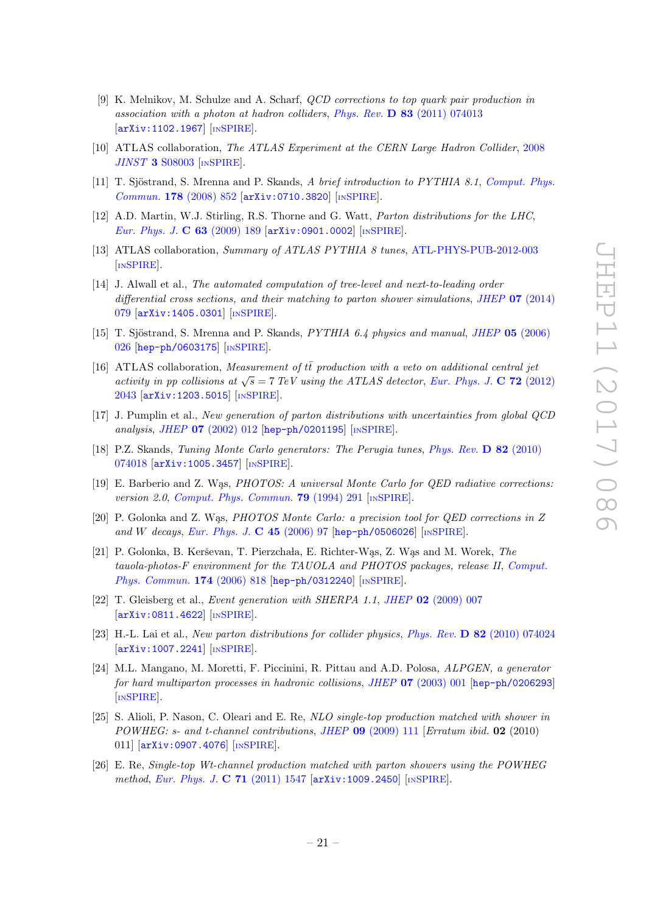- <span id="page-23-0"></span>[9] K. Melnikov, M. Schulze and A. Scharf, QCD corrections to top quark pair production in association with a photon at hadron colliders, Phys. Rev.  $\bf{D}$  83 [\(2011\) 074013](https://doi.org/10.1103/PhysRevD.83.074013) [[arXiv:1102.1967](https://arxiv.org/abs/1102.1967)] [IN[SPIRE](https://inspirehep.net/search?p=find+EPRINT+arXiv:1102.1967)].
- <span id="page-23-1"></span>[10] ATLAS collaboration, The ATLAS Experiment at the CERN Large Hadron Collider, [2008](https://doi.org/10.1088/1748-0221/3/08/S08003) JINST 3 [S08003](https://doi.org/10.1088/1748-0221/3/08/S08003) [IN[SPIRE](https://inspirehep.net/search?p=find+J+%22JINST,3,S08003%22)].
- <span id="page-23-2"></span>[11] T. Sjöstrand, S. Mrenna and P. Skands, A brief introduction to PYTHIA 8.1, [Comput. Phys.](https://doi.org/10.1016/j.cpc.2008.01.036) Commun. 178 [\(2008\) 852](https://doi.org/10.1016/j.cpc.2008.01.036) [[arXiv:0710.3820](https://arxiv.org/abs/0710.3820)] [IN[SPIRE](https://inspirehep.net/search?p=find+EPRINT+arXiv:0710.3820)].
- <span id="page-23-3"></span>[12] A.D. Martin, W.J. Stirling, R.S. Thorne and G. Watt, Parton distributions for the LHC, [Eur. Phys. J.](https://doi.org/10.1140/epjc/s10052-009-1072-5) C 63 (2009) 189 [[arXiv:0901.0002](https://arxiv.org/abs/0901.0002)] [IN[SPIRE](https://inspirehep.net/search?p=find+EPRINT+arXiv:0901.0002)].
- <span id="page-23-4"></span>[13] ATLAS collaboration, Summary of ATLAS PYTHIA 8 tunes, [ATL-PHYS-PUB-2012-003](http://cds.cern.ch/record/1474107) [IN[SPIRE](https://inspirehep.net/search?p=find+R+ATL-PHYS-PUB-2012-003)].
- <span id="page-23-5"></span>[14] J. Alwall et al., The automated computation of tree-level and next-to-leading order differential cross sections, and their matching to parton shower simulations, JHEP 07 [\(2014\)](https://doi.org/10.1007/JHEP07(2014)079) [079](https://doi.org/10.1007/JHEP07(2014)079) [[arXiv:1405.0301](https://arxiv.org/abs/1405.0301)] [IN[SPIRE](https://inspirehep.net/search?p=find+EPRINT+arXiv:1405.0301)].
- <span id="page-23-6"></span>[15] T. Sjöstrand, S. Mrenna and P. Skands,  $PYTHIA$  6.4 physics and manual, JHEP 05 [\(2006\)](https://doi.org/10.1088/1126-6708/2006/05/026) [026](https://doi.org/10.1088/1126-6708/2006/05/026) [[hep-ph/0603175](https://arxiv.org/abs/hep-ph/0603175)] [IN[SPIRE](https://inspirehep.net/search?p=find+EPRINT+hep-ph/0603175)].
- <span id="page-23-7"></span>[16] ATLAS collaboration, Measurement of  $t\bar{t}$  production with a veto on additional central jet activity in pp collisions at  $\sqrt{s} = 7$  TeV using the ATLAS detector, [Eur. Phys. J.](https://doi.org/10.1140/epjc/s10052-012-2043-9) C 72 (2012) [2043](https://doi.org/10.1140/epjc/s10052-012-2043-9) [[arXiv:1203.5015](https://arxiv.org/abs/1203.5015)] [IN[SPIRE](https://inspirehep.net/search?p=find+EPRINT+arXiv:1203.5015)].
- <span id="page-23-8"></span>[17] J. Pumplin et al., New generation of parton distributions with uncertainties from global QCD analysis, JHEP 07 [\(2002\) 012](https://doi.org/10.1088/1126-6708/2002/07/012) [[hep-ph/0201195](https://arxiv.org/abs/hep-ph/0201195)] [IN[SPIRE](https://inspirehep.net/search?p=find+EPRINT+hep-ph/0201195)].
- <span id="page-23-9"></span>[18] P.Z. Skands, Tuning Monte Carlo generators: The Perugia tunes, [Phys. Rev.](https://doi.org/10.1103/PhysRevD.82.074018) D 82 (2010) [074018](https://doi.org/10.1103/PhysRevD.82.074018) [[arXiv:1005.3457](https://arxiv.org/abs/1005.3457)] [IN[SPIRE](https://inspirehep.net/search?p=find+EPRINT+arXiv:1005.3457)].
- <span id="page-23-10"></span>[19] E. Barberio and Z. Was, *PHOTOS: A universal Monte Carlo for QED radiative corrections:* version 2.0, [Comput. Phys. Commun.](https://doi.org/10.1016/0010-4655(94)90074-4)  $79$  (1994) 291  $\text{[insPIRE]}$ .
- <span id="page-23-11"></span>[20] P. Golonka and Z. Was, PHOTOS Monte Carlo: a precision tool for OED corrections in Z and W decays, [Eur. Phys. J.](https://doi.org/10.1140/epjc/s2005-02396-4)  $C$  45 (2006) 97 [[hep-ph/0506026](https://arxiv.org/abs/hep-ph/0506026)] [IN[SPIRE](https://inspirehep.net/search?p=find+EPRINT+hep-ph/0506026)].
- <span id="page-23-12"></span>[21] P. Golonka, B. Kerševan, T. Pierzchała, E. Richter-Wąs, Z. Wąs and M. Worek, The tauola-photos-F environment for the TAUOLA and PHOTOS packages, release II, [Comput.](https://doi.org/10.1016/j.cpc.2005.12.018) [Phys. Commun.](https://doi.org/10.1016/j.cpc.2005.12.018) 174 (2006) 818 [[hep-ph/0312240](https://arxiv.org/abs/hep-ph/0312240)] [IN[SPIRE](https://inspirehep.net/search?p=find+EPRINT+hep-ph/0312240)].
- <span id="page-23-13"></span>[22] T. Gleisberg et al., Event generation with SHERPA 1.1, JHEP 02 [\(2009\) 007](https://doi.org/10.1088/1126-6708/2009/02/007) [[arXiv:0811.4622](https://arxiv.org/abs/0811.4622)] [IN[SPIRE](https://inspirehep.net/search?p=find+EPRINT+arXiv:0811.4622)].
- <span id="page-23-14"></span>[23] H.-L. Lai et al., New parton distributions for collider physics, Phys. Rev. D 82 [\(2010\) 074024](https://doi.org/10.1103/PhysRevD.82.074024) [[arXiv:1007.2241](https://arxiv.org/abs/1007.2241)] [IN[SPIRE](https://inspirehep.net/search?p=find+EPRINT+arXiv:1007.2241)].
- <span id="page-23-15"></span>[24] M.L. Mangano, M. Moretti, F. Piccinini, R. Pittau and A.D. Polosa, ALPGEN, a generator for hard multiparton processes in hadronic collisions, JHEP 07 [\(2003\) 001](https://doi.org/10.1088/1126-6708/2003/07/001) [[hep-ph/0206293](https://arxiv.org/abs/hep-ph/0206293)] [IN[SPIRE](https://inspirehep.net/search?p=find+EPRINT+hep-ph/0206293)].
- <span id="page-23-16"></span>[25] S. Alioli, P. Nason, C. Oleari and E. Re, NLO single-top production matched with shower in POWHEG: s- and t-channel contributions, JHEP 09 [\(2009\) 111](https://doi.org/10.1088/1126-6708/2009/09/111) [Erratum ibid. 02 (2010) 011] [[arXiv:0907.4076](https://arxiv.org/abs/0907.4076)] [IN[SPIRE](https://inspirehep.net/search?p=find+EPRINT+arXiv:0907.4076)].
- <span id="page-23-17"></span>[26] E. Re, Single-top Wt-channel production matched with parton showers using the POWHEG method, [Eur. Phys. J.](https://doi.org/10.1140/epjc/s10052-011-1547-z) C 71 (2011) 1547  $\left[$ [arXiv:1009.2450](https://arxiv.org/abs/1009.2450) $\right]$  [IN[SPIRE](https://inspirehep.net/search?p=find+EPRINT+arXiv:1009.2450)].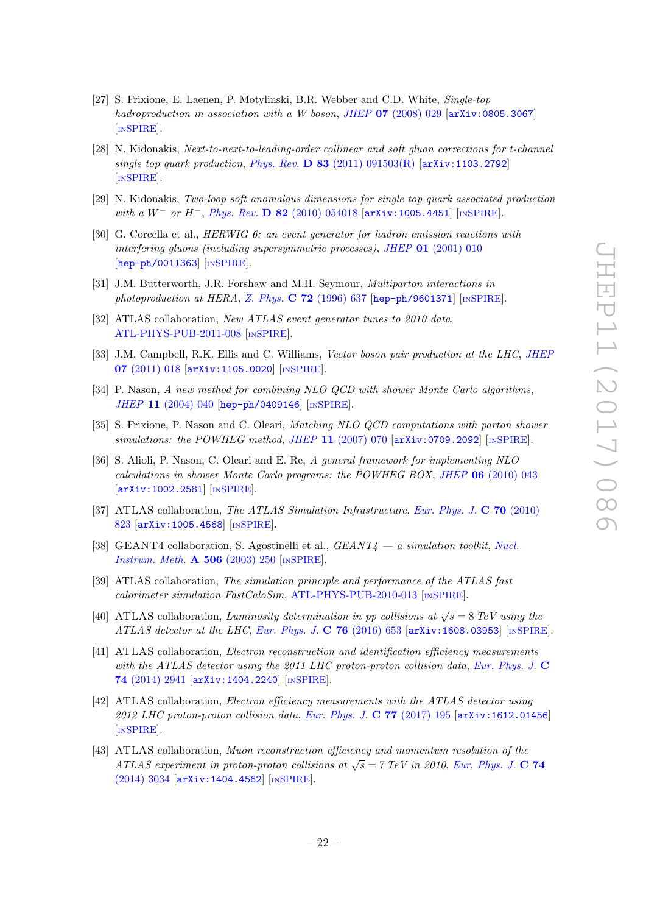- <span id="page-24-0"></span>[27] S. Frixione, E. Laenen, P. Motylinski, B.R. Webber and C.D. White, Single-top hadroproduction in association with a W boson, JHEP  $07$  [\(2008\) 029](https://doi.org/10.1088/1126-6708/2008/07/029) [[arXiv:0805.3067](https://arxiv.org/abs/0805.3067)] [IN[SPIRE](https://inspirehep.net/search?p=find+EPRINT+arXiv:0805.3067)].
- <span id="page-24-1"></span>[28] N. Kidonakis, Next-to-next-to-leading-order collinear and soft gluon corrections for t-channel single top quark production, Phys. Rev.  $\bf{D} 83$  [\(2011\) 091503\(R\)](https://doi.org/10.1103/PhysRevD.83.091503) [[arXiv:1103.2792](https://arxiv.org/abs/1103.2792)] [IN[SPIRE](https://inspirehep.net/search?p=find+EPRINT+arXiv:1103.2792)].
- <span id="page-24-2"></span>[29] N. Kidonakis, Two-loop soft anomalous dimensions for single top quark associated production with a  $W^-$  or  $H^-$ , Phys. Rev. D 82 [\(2010\) 054018](https://doi.org/10.1103/PhysRevD.82.054018) [[arXiv:1005.4451](https://arxiv.org/abs/1005.4451)] [IN[SPIRE](https://inspirehep.net/search?p=find+EPRINT+arXiv:1005.4451)].
- <span id="page-24-3"></span>[30] G. Corcella et al., HERWIG 6: an event generator for hadron emission reactions with interfering gluons (including supersymmetric processes), JHEP 01 [\(2001\) 010](https://doi.org/10.1088/1126-6708/2001/01/010) [[hep-ph/0011363](https://arxiv.org/abs/hep-ph/0011363)] [IN[SPIRE](https://inspirehep.net/search?p=find+EPRINT+hep-ph/0011363)].
- <span id="page-24-4"></span>[31] J.M. Butterworth, J.R. Forshaw and M.H. Seymour, Multiparton interactions in photoproduction at HERA, Z. Phys.  $C$  72 [\(1996\) 637](https://doi.org/10.1007/BF02909195) [[hep-ph/9601371](https://arxiv.org/abs/hep-ph/9601371)] [IN[SPIRE](https://inspirehep.net/search?p=find+EPRINT+hep-ph/9601371)].
- <span id="page-24-5"></span>[32] ATLAS collaboration, New ATLAS event generator tunes to 2010 data, [ATL-PHYS-PUB-2011-008](http://cds.cern.ch/record/1345343) [IN[SPIRE](https://inspirehep.net/search?p=find+R+ATL-PHYS-PUB-2011-008)].
- <span id="page-24-6"></span>[33] J.M. Campbell, R.K. Ellis and C. Williams, Vector boson pair production at the LHC, [JHEP](https://doi.org/10.1007/JHEP07(2011)018) 07 [\(2011\) 018](https://doi.org/10.1007/JHEP07(2011)018) [[arXiv:1105.0020](https://arxiv.org/abs/1105.0020)] [IN[SPIRE](https://inspirehep.net/search?p=find+EPRINT+arXiv:1105.0020)].
- <span id="page-24-7"></span>[34] P. Nason, A new method for combining NLO OCD with shower Monte Carlo algorithms, JHEP 11 [\(2004\) 040](https://doi.org/10.1088/1126-6708/2004/11/040) [[hep-ph/0409146](https://arxiv.org/abs/hep-ph/0409146)] [IN[SPIRE](https://inspirehep.net/search?p=find+EPRINT+hep-ph/0409146)].
- [35] S. Frixione, P. Nason and C. Oleari, Matching NLO QCD computations with parton shower simulations: the POWHEG method, JHEP 11 [\(2007\) 070](https://doi.org/10.1088/1126-6708/2007/11/070) [[arXiv:0709.2092](https://arxiv.org/abs/0709.2092)] [IN[SPIRE](https://inspirehep.net/search?p=find+EPRINT+arXiv:0709.2092)].
- <span id="page-24-8"></span>[36] S. Alioli, P. Nason, C. Oleari and E. Re, A general framework for implementing NLO calculations in shower Monte Carlo programs: the POWHEG BOX, JHEP 06 [\(2010\) 043](https://doi.org/10.1007/JHEP06(2010)043) [[arXiv:1002.2581](https://arxiv.org/abs/1002.2581)] [IN[SPIRE](https://inspirehep.net/search?p=find+EPRINT+arXiv:1002.2581)].
- <span id="page-24-9"></span>[37] ATLAS collaboration, The ATLAS Simulation Infrastructure, [Eur. Phys. J.](https://doi.org/10.1140/epjc/s10052-010-1429-9) C 70 (2010) [823](https://doi.org/10.1140/epjc/s10052-010-1429-9) [[arXiv:1005.4568](https://arxiv.org/abs/1005.4568)] [IN[SPIRE](https://inspirehep.net/search?p=find+EPRINT+arXiv:1005.4568)].
- <span id="page-24-10"></span>[38] GEANT4 collaboration, S. Agostinelli et al.,  $GEANT4 - a simulation toolkit$ , [Nucl.](https://doi.org/10.1016/S0168-9002(03)01368-8) [Instrum. Meth.](https://doi.org/10.1016/S0168-9002(03)01368-8) A 506 (2003) 250 [IN[SPIRE](https://inspirehep.net/search?p=find+J+%22Nucl.Instrum.Meth.,A506,250%22)].
- <span id="page-24-11"></span>[39] ATLAS collaboration, The simulation principle and performance of the ATLAS fast calorimeter simulation FastCaloSim, [ATL-PHYS-PUB-2010-013](http://cds.cern.ch/record/1300517) [IN[SPIRE](https://inspirehep.net/search?p=find+R+ATL-PHYS-PUB-2010-013)].
- <span id="page-24-12"></span>[40] ATLAS collaboration, Luminosity determination in pp collisions at  $\sqrt{s} = 8$  TeV using the ATLAS detector at the LHC, [Eur. Phys. J.](https://doi.org/10.1140/epjc/s10052-016-4466-1) C  $76$  (2016) 653 [[arXiv:1608.03953](https://arxiv.org/abs/1608.03953)] [IN[SPIRE](https://inspirehep.net/search?p=find+EPRINT+arXiv:1608.03953)].
- <span id="page-24-13"></span>[41] ATLAS collaboration, Electron reconstruction and identification efficiency measurements with the ATLAS detector using the 2011 LHC proton-proton collision data, [Eur. Phys. J.](https://doi.org/10.1140/epjc/s10052-014-2941-0) C 74 [\(2014\) 2941](https://doi.org/10.1140/epjc/s10052-014-2941-0) [[arXiv:1404.2240](https://arxiv.org/abs/1404.2240)] [IN[SPIRE](https://inspirehep.net/search?p=find+EPRINT+arXiv:1404.2240)].
- <span id="page-24-14"></span>[42] ATLAS collaboration, Electron efficiency measurements with the ATLAS detector using 2012 LHC proton-proton collision data, [Eur. Phys. J.](https://doi.org/10.1140/epjc/s10052-017-4756-2) C  $77$  (2017) 195  $\left[\text{arXiv}:1612.01456\right]$ [IN[SPIRE](https://inspirehep.net/search?p=find+EPRINT+arXiv:1612.01456)].
- <span id="page-24-15"></span>[43] ATLAS collaboration, Muon reconstruction efficiency and momentum resolution of the ATLAS experiment in proton-proton collisions at  $\sqrt{s} = 7$  TeV in 2010, [Eur. Phys. J.](https://doi.org/10.1140/epjc/s10052-014-3034-9) C 74 [\(2014\) 3034](https://doi.org/10.1140/epjc/s10052-014-3034-9) [[arXiv:1404.4562](https://arxiv.org/abs/1404.4562)] [IN[SPIRE](https://inspirehep.net/search?p=find+EPRINT+arXiv:1404.4562)].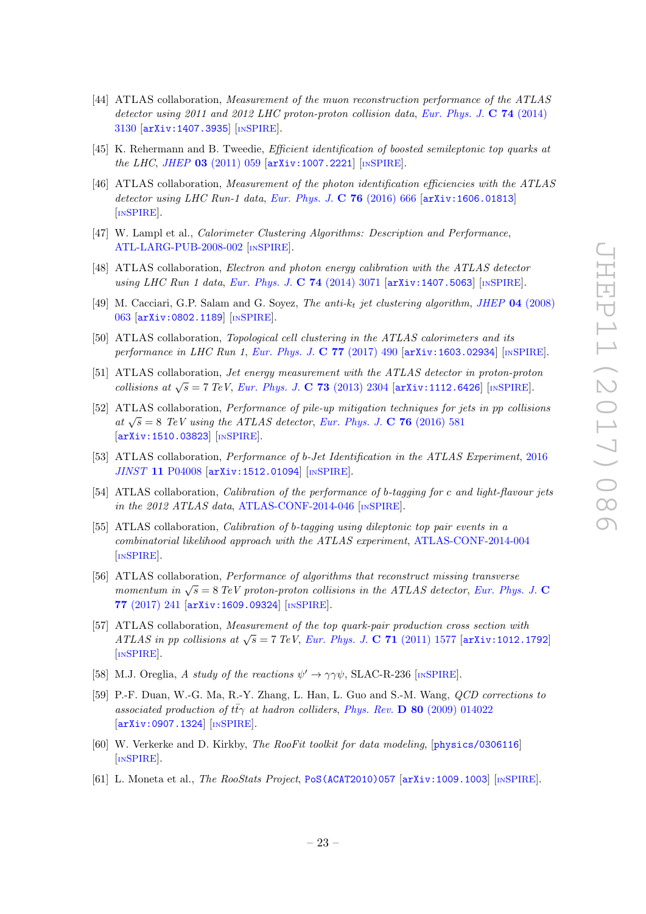- <span id="page-25-0"></span>[44] ATLAS collaboration, Measurement of the muon reconstruction performance of the ATLAS detector using 2011 and 2012 LHC proton-proton collision data, [Eur. Phys. J.](https://doi.org/10.1140/epjc/s10052-014-3130-x) C 74 (2014) [3130](https://doi.org/10.1140/epjc/s10052-014-3130-x) [[arXiv:1407.3935](https://arxiv.org/abs/1407.3935)] [IN[SPIRE](https://inspirehep.net/search?p=find+EPRINT+arXiv:1407.3935)].
- <span id="page-25-1"></span>[45] K. Rehermann and B. Tweedie, Efficient identification of boosted semileptonic top quarks at the LHC, JHEP 03 [\(2011\) 059](https://doi.org/10.1007/JHEP03(2011)059) [[arXiv:1007.2221](https://arxiv.org/abs/1007.2221)] [IN[SPIRE](https://inspirehep.net/search?p=find+EPRINT+arXiv:1007.2221)].
- <span id="page-25-2"></span>[46] ATLAS collaboration, Measurement of the photon identification efficiencies with the ATLAS detector using LHC Run-1 data, [Eur. Phys. J.](https://doi.org/10.1140/epjc/s10052-016-4507-9) C  $76$  (2016) 666 [[arXiv:1606.01813](https://arxiv.org/abs/1606.01813)] [IN[SPIRE](https://inspirehep.net/search?p=find+EPRINT+arXiv:1606.01813)].
- <span id="page-25-3"></span>[47] W. Lampl et al., Calorimeter Clustering Algorithms: Description and Performance, [ATL-LARG-PUB-2008-002](http://cds.cern.ch/record/1099735) [IN[SPIRE](https://inspirehep.net/search?p=find+R+ATL-LARG-PUB-2008-002)].
- <span id="page-25-4"></span>[48] ATLAS collaboration, Electron and photon energy calibration with the ATLAS detector using LHC Run 1 data, [Eur. Phys. J.](https://doi.org/10.1140/epjc/s10052-014-3071-4) C 74 (2014) 3071  $arXiv:1407.5063$  [IN[SPIRE](https://inspirehep.net/search?p=find+EPRINT+arXiv:1407.5063)].
- <span id="page-25-5"></span>[49] M. Cacciari, G.P. Salam and G. Soyez, The anti- $k_t$  jet clustering algorithm, JHEP 04 [\(2008\)](https://doi.org/10.1088/1126-6708/2008/04/063) [063](https://doi.org/10.1088/1126-6708/2008/04/063) [[arXiv:0802.1189](https://arxiv.org/abs/0802.1189)] [IN[SPIRE](https://inspirehep.net/search?p=find+EPRINT+arXiv:0802.1189)].
- <span id="page-25-6"></span>[50] ATLAS collaboration, Topological cell clustering in the ATLAS calorimeters and its performance in LHC Run 1, [Eur. Phys. J.](https://doi.org/10.1140/epjc/s10052-017-5004-5) C 77 (2017) 490 [[arXiv:1603.02934](https://arxiv.org/abs/1603.02934)] [IN[SPIRE](https://inspirehep.net/search?p=find+EPRINT+arXiv:1603.02934)].
- <span id="page-25-7"></span>[51] ATLAS collaboration, *Jet energy measurement with the ATLAS detector in proton-proton* collisions at  $\sqrt{s} = 7$  TeV, [Eur. Phys. J.](https://doi.org/10.1140/epjc/s10052-013-2304-2) C 73 (2013) 2304 [[arXiv:1112.6426](https://arxiv.org/abs/1112.6426)] [IN[SPIRE](https://inspirehep.net/search?p=find+EPRINT+arXiv:1112.6426)].
- <span id="page-25-8"></span>[52] ATLAS collaboration, Performance of pile-up mitigation techniques for jets in pp collisions at  $\sqrt{s} = 8$  TeV using the ATLAS detector, [Eur. Phys. J.](https://doi.org/10.1140/epjc/s10052-016-4395-z) C 76 (2016) 581 [[arXiv:1510.03823](https://arxiv.org/abs/1510.03823)] [IN[SPIRE](https://inspirehep.net/search?p=find+EPRINT+arXiv:1510.03823)].
- <span id="page-25-9"></span>[53] ATLAS collaboration, *Performance of b-Jet Identification in the ATLAS Experiment*, [2016](https://doi.org/10.1088/1748-0221/11/04/P04008) JINST 11 [P04008](https://doi.org/10.1088/1748-0221/11/04/P04008) [[arXiv:1512.01094](https://arxiv.org/abs/1512.01094)] [IN[SPIRE](https://inspirehep.net/search?p=find+EPRINT+arXiv:1512.01094)].
- [54] ATLAS collaboration, *Calibration of the performance of b-tagging for c and light-flavour jets* in the 2012 ATLAS data, [ATLAS-CONF-2014-046](http://cds.cern.ch/record/1741020) [IN[SPIRE](https://inspirehep.net/search?p=find+R+ATLAS-CONF-2014-046)].
- <span id="page-25-10"></span>[55] ATLAS collaboration, Calibration of b-tagging using dileptonic top pair events in a combinatorial likelihood approach with the ATLAS experiment, [ATLAS-CONF-2014-004](http://cds.cern.ch/record/1664335) [IN[SPIRE](https://inspirehep.net/search?p=find+R+ATLAS-CONF-2014-004)].
- <span id="page-25-11"></span>[56] ATLAS collaboration, Performance of algorithms that reconstruct missing transverse momentum in  $\sqrt{s} = 8$  TeV proton-proton collisions in the ATLAS detector, [Eur. Phys. J.](https://doi.org/10.1140/epjc/s10052-017-4780-2) C 77 [\(2017\) 241](https://doi.org/10.1140/epjc/s10052-017-4780-2) [[arXiv:1609.09324](https://arxiv.org/abs/1609.09324)] [IN[SPIRE](https://inspirehep.net/search?p=find+EPRINT+arXiv:1609.09324)].
- <span id="page-25-12"></span>[57] ATLAS collaboration, Measurement of the top quark-pair production cross section with ATLAS in pp collisions at  $\sqrt{s} = 7$  TeV, [Eur. Phys. J.](https://doi.org/10.1140/epjc/s10052-011-1577-6) C 71 (2011) 1577 [[arXiv:1012.1792](https://arxiv.org/abs/1012.1792)] [IN[SPIRE](https://inspirehep.net/search?p=find+EPRINT+arXiv:1012.1792)].
- <span id="page-25-13"></span>[58] M.J. Oreglia, A study of the reactions  $\psi' \to \gamma \gamma \psi$ , SLAC-R-236 [IN[SPIRE](https://inspirehep.net/search?p=find+R+SLAC-0236)].
- <span id="page-25-14"></span>[59] P.-F. Duan, W.-G. Ma, R.-Y. Zhang, L. Han, L. Guo and S.-M. Wang, QCD corrections to associated production of  $t\bar{t}\gamma$  at hadron colliders, Phys. Rev. **D** 80 [\(2009\) 014022](https://doi.org/10.1103/PhysRevD.80.014022) [[arXiv:0907.1324](https://arxiv.org/abs/0907.1324)] [IN[SPIRE](https://inspirehep.net/search?p=find+EPRINT+arXiv:0907.1324)].
- <span id="page-25-15"></span>[60] W. Verkerke and D. Kirkby, The RooFit toolkit for data modeling, [[physics/0306116](https://arxiv.org/abs/physics/0306116)] [IN[SPIRE](https://inspirehep.net/search?p=find+EPRINT+physics/0306116)].
- <span id="page-25-16"></span>[61] L. Moneta et al., The RooStats Project, [PoS\(ACAT2010\)057](https://pos.sissa.it/contribution?id=PoS(ACAT2010)057) [[arXiv:1009.1003](https://arxiv.org/abs/1009.1003)] [IN[SPIRE](https://inspirehep.net/search?p=find+EPRINT+arXiv:1009.1003)].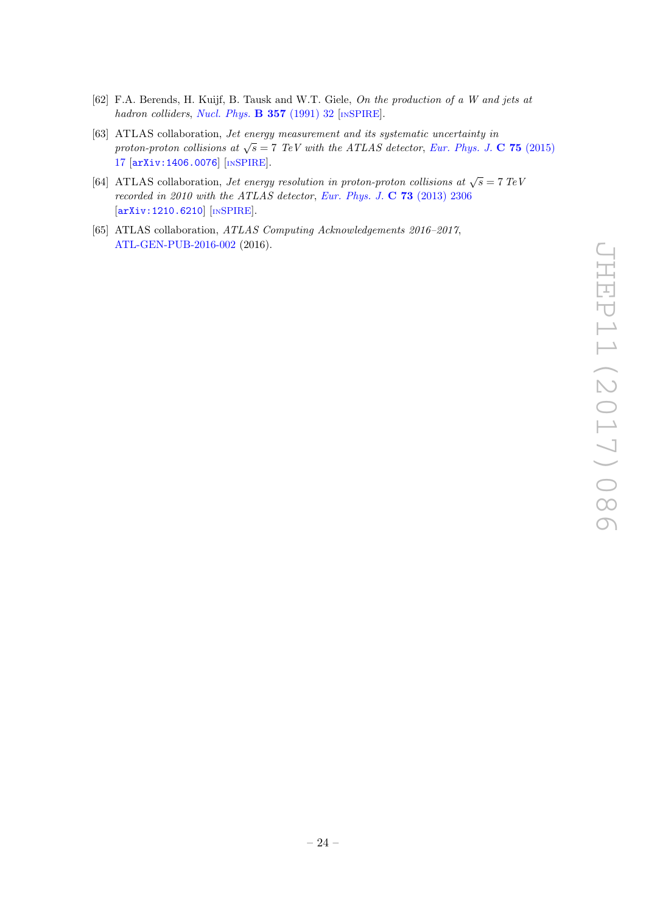- <span id="page-26-0"></span>[62] F.A. Berends, H. Kuijf, B. Tausk and W.T. Giele, On the production of a W and jets at hadron colliders, [Nucl. Phys.](https://doi.org/10.1016/0550-3213(91)90458-A) **B 357** (1991) 32 [IN[SPIRE](https://inspirehep.net/search?p=find+J+%22Nucl.Phys.,B357,32%22)].
- <span id="page-26-1"></span>[63] ATLAS collaboration, Jet energy measurement and its systematic uncertainty in proton-proton collisions at  $\sqrt{s} = 7$  TeV with the ATLAS detector, [Eur. Phys. J.](https://doi.org/10.1140/epjc/s10052-014-3190-y) C 75 (2015) [17](https://doi.org/10.1140/epjc/s10052-014-3190-y) [[arXiv:1406.0076](https://arxiv.org/abs/1406.0076)] [IN[SPIRE](https://inspirehep.net/search?p=find+EPRINT+arXiv:1406.0076)].
- <span id="page-26-2"></span>[64] ATLAS collaboration, *Jet energy resolution in proton-proton collisions at*  $\sqrt{s} = 7 \text{ TeV}$ recorded in 2010 with the ATLAS detector, [Eur. Phys. J.](https://doi.org/10.1140/epjc/s10052-013-2306-0) C 73 (2013) 2306 [[arXiv:1210.6210](https://arxiv.org/abs/1210.6210)] [IN[SPIRE](https://inspirehep.net/search?p=find+EPRINT+arXiv:1210.6210)].
- <span id="page-26-3"></span>[65] ATLAS collaboration, ATLAS Computing Acknowledgements 2016–2017, [ATL-GEN-PUB-2016-002](http://cds.cern.ch/record/2202407) (2016).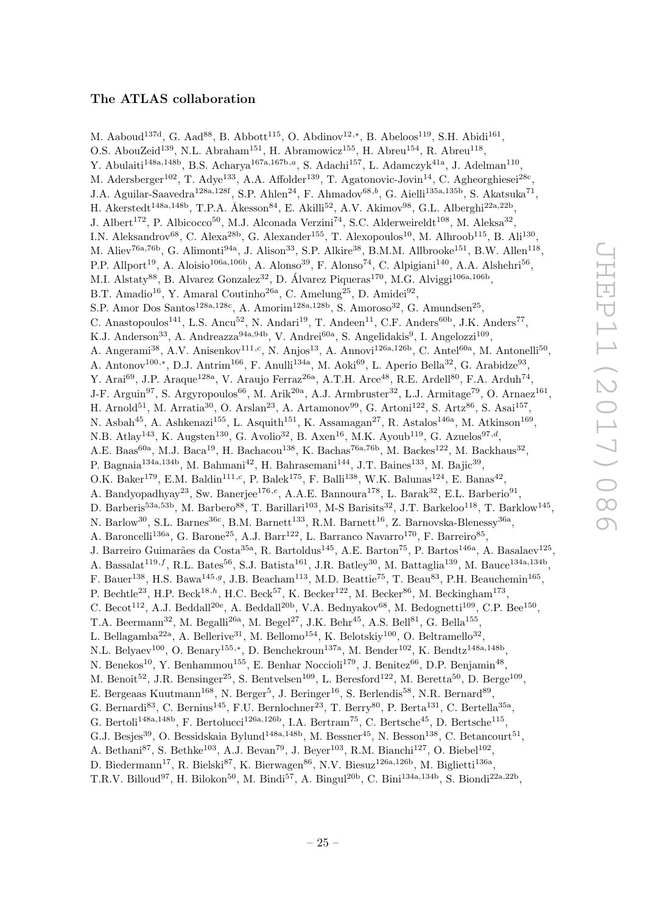### The ATLAS collaboration

<span id="page-27-0"></span>M. Aaboud<sup>137d</sup>, G. Aad<sup>88</sup>, B. Abbott<sup>115</sup>, O. Abdinov<sup>12,\*</sup>, B. Abeloos<sup>119</sup>, S.H. Abidi<sup>161</sup>, O.S. AbouZeid<sup>139</sup>, N.L. Abraham<sup>151</sup>, H. Abramowicz<sup>155</sup>, H. Abreu<sup>154</sup>, R. Abreu<sup>118</sup>, Y. Abulaiti<sup>148a,148b</sup>, B.S. Acharya<sup>167a,167b,a</sup>, S. Adachi<sup>157</sup>, L. Adamczyk<sup>41a</sup>, J. Adelman<sup>110</sup>, M. Adersberger<sup>102</sup>, T. Adye<sup>133</sup>, A.A. Affolder<sup>139</sup>, T. Agatonovic-Jovin<sup>14</sup>, C. Agheorghiesei<sup>28c</sup>, J.A. Aguilar-Saavedra<sup>128a,128f</sup>, S.P. Ahlen<sup>24</sup>, F. Ahmadov<sup>68,b</sup>, G. Aielli<sup>135a,135b</sup>, S. Akatsuka<sup>71</sup>, H. Akerstedt<sup>148a,148b</sup>, T.P.A. Åkesson<sup>84</sup>, E. Akilli<sup>52</sup>, A.V. Akimov<sup>98</sup>, G.L. Alberghi<sup>22a,22b</sup>, J. Albert<sup>172</sup>, P. Albicocco<sup>50</sup>, M.J. Alconada Verzini<sup>74</sup>, S.C. Alderweireldt<sup>108</sup>, M. Aleksa<sup>32</sup>, I.N. Aleksandrov<sup>68</sup>, C. Alexa<sup>28b</sup>, G. Alexander<sup>155</sup>, T. Alexopoulos<sup>10</sup>, M. Alhroob<sup>115</sup>, B. Ali<sup>130</sup>, M. Aliev<sup>76a,76b</sup>, G. Alimonti<sup>94a</sup>, J. Alison<sup>33</sup>, S.P. Alkire<sup>38</sup>, B.M.M. Allbrooke<sup>151</sup>, B.W. Allen<sup>118</sup>, P.P. Allport<sup>19</sup>, A. Aloisio<sup>106a,106b</sup>, A. Alonso<sup>39</sup>, F. Alonso<sup>74</sup>, C. Alpigiani<sup>140</sup>, A.A. Alshehri<sup>56</sup>, M.I. Alstaty<sup>88</sup>, B. Alvarez Gonzalez<sup>32</sup>, D. Álvarez Piqueras<sup>170</sup>, M.G. Alviggi<sup>106a,106b</sup>, B.T. Amadio<sup>16</sup>, Y. Amaral Coutinho<sup>26a</sup>, C. Amelung<sup>25</sup>, D. Amidei<sup>92</sup>, S.P. Amor Dos Santos<sup>128a,128c</sup>, A. Amorim<sup>128a,128b</sup>, S. Amoroso<sup>32</sup>, G. Amundsen<sup>25</sup>, C. Anastopoulos<sup>141</sup>, L.S. Ancu<sup>52</sup>, N. Andari<sup>19</sup>, T. Andeen<sup>11</sup>, C.F. Anders<sup>60b</sup>, J.K. Anders<sup>77</sup>, K.J. Anderson<sup>33</sup>, A. Andreazza<sup>94a,94b</sup>, V. Andrei<sup>60a</sup>, S. Angelidakis<sup>9</sup>, I. Angelozzi<sup>109</sup>, A. Angerami<sup>38</sup>, A.V. Anisenkov<sup>111,c</sup>, N. Anjos<sup>13</sup>, A. Annovi<sup>126a,126b</sup>, C. Antel<sup>60a</sup>, M. Antonelli<sup>50</sup>, A. Antonov<sup>100,∗</sup>, D.J. Antrim<sup>166</sup>, F. Anulli<sup>134a</sup>, M. Aoki<sup>69</sup>, L. Aperio Bella<sup>32</sup>, G. Arabidze<sup>93</sup>, Y. Arai<sup>69</sup>, J.P. Araque<sup>128a</sup>, V. Araujo Ferraz<sup>26a</sup>, A.T.H. Arce<sup>48</sup>, R.E. Ardell<sup>80</sup>, F.A. Arduh<sup>74</sup>, J-F. Arguin<sup>97</sup>, S. Argyropoulos<sup>66</sup>, M. Arik<sup>20a</sup>, A.J. Armbruster<sup>32</sup>, L.J. Armitage<sup>79</sup>, O. Arnaez<sup>161</sup>, H. Arnold<sup>51</sup>, M. Arratia<sup>30</sup>, O. Arslan<sup>23</sup>, A. Artamonov<sup>99</sup>, G. Artoni<sup>122</sup>, S. Artz<sup>86</sup>, S. Asai<sup>157</sup>, N. Asbah<sup>45</sup>, A. Ashkenazi<sup>155</sup>, L. Asquith<sup>151</sup>, K. Assamagan<sup>27</sup>, R. Astalos<sup>146a</sup>, M. Atkinson<sup>169</sup>, N.B. Atlay<sup>143</sup>, K. Augsten<sup>130</sup>, G. Avolio<sup>32</sup>, B. Axen<sup>16</sup>, M.K. Ayoub<sup>119</sup>, G. Azuelos<sup>97,d</sup>, A.E. Baas<sup>60a</sup>, M.J. Baca<sup>19</sup>, H. Bachacou<sup>138</sup>, K. Bachas<sup>76a,76b</sup>, M. Backes<sup>122</sup>, M. Backhaus<sup>32</sup>, P. Bagnaia<sup>134a,134b</sup>, M. Bahmani<sup>42</sup>, H. Bahrasemani<sup>144</sup>, J.T. Baines<sup>133</sup>, M. Bajic<sup>39</sup>, O.K. Baker<sup>179</sup>, E.M. Baldin<sup>111,c</sup>, P. Balek<sup>175</sup>, F. Balli<sup>138</sup>, W.K. Balunas<sup>124</sup>, E. Banas<sup>42</sup>, A. Bandyopadhyay<sup>23</sup>, Sw. Banerjee<sup>176,e</sup>, A.A.E. Bannoura<sup>178</sup>, L. Barak<sup>32</sup>, E.L. Barberio<sup>91</sup>, D. Barberis<sup>53a,53b</sup>, M. Barbero<sup>88</sup>, T. Barillari<sup>103</sup>, M-S Barisits<sup>32</sup>, J.T. Barkeloo<sup>118</sup>, T. Barklow<sup>145</sup>, N. Barlow<sup>30</sup>, S.L. Barnes<sup>36c</sup>, B.M. Barnett<sup>133</sup>, R.M. Barnett<sup>16</sup>, Z. Barnovska-Blenessy<sup>36a</sup>, A. Baroncelli<sup>136a</sup>, G. Barone<sup>25</sup>, A.J. Barr<sup>122</sup>, L. Barranco Navarro<sup>170</sup>, F. Barreiro<sup>85</sup>, J. Barreiro Guimarães da Costa<sup>35a</sup>, R. Bartoldus<sup>145</sup>, A.E. Barton<sup>75</sup>, P. Bartos<sup>146a</sup>, A. Basalaev<sup>125</sup>, A. Bassalat<sup>119,f</sup>, R.L. Bates<sup>56</sup>, S.J. Batista<sup>161</sup>, J.R. Batley<sup>30</sup>, M. Battaglia<sup>139</sup>, M. Bauce<sup>134a,134b</sup>, F. Bauer<sup>138</sup>, H.S. Bawa<sup>145,g</sup>, J.B. Beacham<sup>113</sup>, M.D. Beattie<sup>75</sup>, T. Beau<sup>83</sup>, P.H. Beauchemin<sup>165</sup>, P. Bechtle<sup>23</sup>, H.P. Beck<sup>18,h</sup>, H.C. Beck<sup>57</sup>, K. Becker<sup>122</sup>, M. Becker<sup>86</sup>, M. Beckingham<sup>173</sup>, C. Becot<sup>112</sup>, A.J. Beddall<sup>20e</sup>, A. Beddall<sup>20b</sup>, V.A. Bednyakov<sup>68</sup>, M. Bedognetti<sup>109</sup>, C.P. Bee<sup>150</sup>, T.A. Beermann<sup>32</sup>, M. Begalli<sup>26a</sup>, M. Begel<sup>27</sup>, J.K. Behr<sup>45</sup>, A.S. Bell<sup>81</sup>, G. Bella<sup>155</sup>, L. Bellagamba<sup>22a</sup>, A. Bellerive<sup>31</sup>, M. Bellomo<sup>154</sup>, K. Belotskiy<sup>100</sup>, O. Beltramello<sup>32</sup>, N.L. Belyaev<sup>100</sup>, O. Benary<sup>155,\*</sup>, D. Benchekroun<sup>137a</sup>, M. Bender<sup>102</sup>, K. Bendtz<sup>148a,148b</sup>, N. Benekos<sup>10</sup>, Y. Benhammou<sup>155</sup>, E. Benhar Noccioli<sup>179</sup>, J. Benitez<sup>66</sup>, D.P. Benjamin<sup>48</sup>, M. Benoit<sup>52</sup>, J.R. Bensinger<sup>25</sup>, S. Bentvelsen<sup>109</sup>, L. Beresford<sup>122</sup>, M. Beretta<sup>50</sup>, D. Berge<sup>109</sup>, E. Bergeaas Kuutmann<sup>168</sup>, N. Berger<sup>5</sup>, J. Beringer<sup>16</sup>, S. Berlendis<sup>58</sup>, N.R. Bernard<sup>89</sup>, G. Bernardi<sup>83</sup>, C. Bernius<sup>145</sup>, F.U. Bernlochner<sup>23</sup>, T. Berry<sup>80</sup>, P. Berta<sup>131</sup>, C. Bertella<sup>35a</sup>, G. Bertoli<sup>148a,148b</sup>, F. Bertolucci<sup>126a,126b</sup>, I.A. Bertram<sup>75</sup>, C. Bertsche<sup>45</sup>, D. Bertsche<sup>115</sup>, G.J. Besjes<sup>39</sup>, O. Bessidskaia Bylund<sup>148a,148b</sup>, M. Bessner<sup>45</sup>, N. Besson<sup>138</sup>, C. Betancourt<sup>51</sup>, A. Bethani<sup>87</sup>, S. Bethke<sup>103</sup>, A.J. Bevan<sup>79</sup>, J. Beyer<sup>103</sup>, R.M. Bianchi<sup>127</sup>, O. Biebel<sup>102</sup>, D. Biedermann<sup>17</sup>, R. Bielski<sup>87</sup>, K. Bierwagen<sup>86</sup>, N.V. Biesuz<sup>126a,126b</sup>, M. Biglietti<sup>136a</sup>, T.R.V. Billoud<sup>97</sup>, H. Bilokon<sup>50</sup>, M. Bindi<sup>57</sup>, A. Bingul<sup>20b</sup>, C. Bini<sup>134a,134b</sup>, S. Biondi<sup>22a,22b</sup>,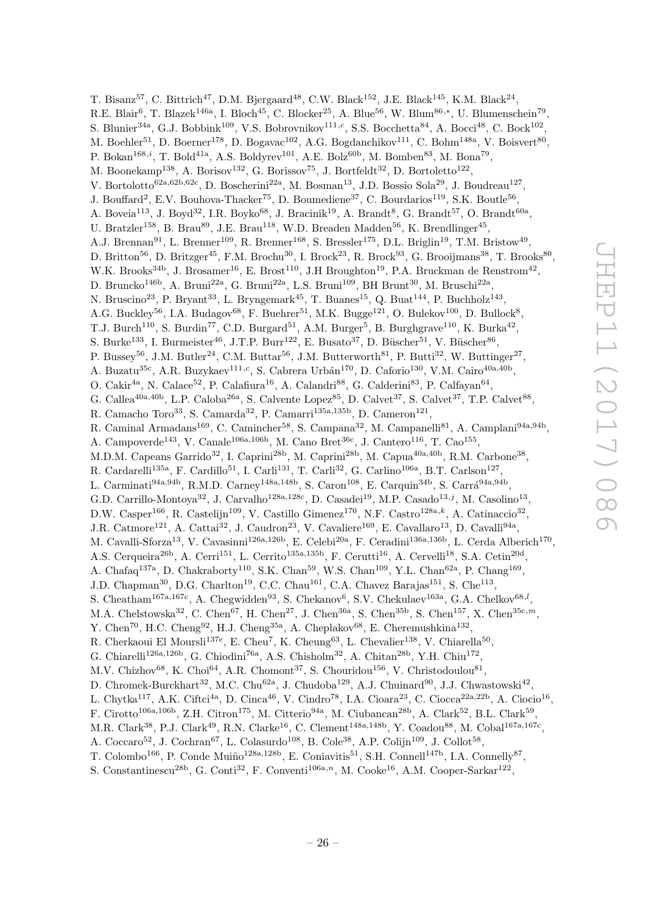T. Bisanz<sup>57</sup>, C. Bittrich<sup>47</sup>, D.M. Bjergaard<sup>48</sup>, C.W. Black<sup>152</sup>, J.E. Black<sup>145</sup>, K.M. Black<sup>24</sup>, R.E. Blair<sup>6</sup>, T. Blazek<sup>146a</sup>, I. Bloch<sup>45</sup>, C. Blocker<sup>25</sup>, A. Blue<sup>56</sup>, W. Blum<sup>86,\*</sup>, U. Blumenschein<sup>79</sup>, S. Blunier<sup>34a</sup>, G.J. Bobbink<sup>109</sup>, V.S. Bobrovnikov<sup>111,c</sup>, S.S. Bocchetta<sup>84</sup>, A. Bocci<sup>48</sup>, C. Bock<sup>102</sup>, M. Boehler<sup>51</sup>, D. Boerner<sup>178</sup>, D. Bogavac<sup>102</sup>, A.G. Bogdanchikov<sup>111</sup>, C. Bohm<sup>148a</sup>, V. Boisvert<sup>80</sup>, P. Bokan<sup>168,i</sup>, T. Bold<sup>41a</sup>, A.S. Boldyrev<sup>101</sup>, A.E. Bolz<sup>60b</sup>, M. Bomben<sup>83</sup>, M. Bona<sup>79</sup>, M. Boonekamp<sup>138</sup>, A. Borisov<sup>132</sup>, G. Borissov<sup>75</sup>, J. Bortfeldt<sup>32</sup>, D. Bortoletto<sup>122</sup>, V. Bortolotto<sup>62a,62b,62c</sup>, D. Boscherini<sup>22a</sup>, M. Bosman<sup>13</sup>, J.D. Bossio Sola<sup>29</sup>, J. Boudreau<sup>127</sup>, J. Bouffard<sup>2</sup>, E.V. Bouhova-Thacker<sup>75</sup>, D. Boumediene<sup>37</sup>, C. Bourdarios<sup>119</sup>, S.K. Boutle<sup>56</sup>, A. Boveia<sup>113</sup>, J. Boyd<sup>32</sup>, I.R. Boyko<sup>68</sup>, J. Bracinik<sup>19</sup>, A. Brandt<sup>8</sup>, G. Brandt<sup>57</sup>, O. Brandt<sup>60a</sup>, U. Bratzler<sup>158</sup>, B. Brau<sup>89</sup>, J.E. Brau<sup>118</sup>, W.D. Breaden Madden<sup>56</sup>, K. Brendlinger<sup>45</sup>, A.J. Brennan<sup>91</sup>, L. Brenner<sup>109</sup>, R. Brenner<sup>168</sup>, S. Bressler<sup>175</sup>, D.L. Briglin<sup>19</sup>, T.M. Bristow<sup>49</sup>, D. Britton<sup>56</sup>, D. Britzger<sup>45</sup>, F.M. Brochu<sup>30</sup>, I. Brock<sup>23</sup>, R. Brock<sup>93</sup>, G. Brooijmans<sup>38</sup>, T. Brooks<sup>80</sup>, W.K. Brooks<sup>34b</sup>, J. Brosamer<sup>16</sup>, E. Brost<sup>110</sup>, J.H Broughton<sup>19</sup>, P.A. Bruckman de Renstrom<sup>42</sup>, D. Bruncko<sup>146b</sup>, A. Bruni<sup>22a</sup>, G. Bruni<sup>22a</sup>, L.S. Bruni<sup>109</sup>, BH Brunt<sup>30</sup>, M. Bruschi<sup>22a</sup>, N. Bruscino<sup>23</sup>, P. Bryant<sup>33</sup>, L. Bryngemark<sup>45</sup>, T. Buanes<sup>15</sup>, Q. Buat<sup>144</sup>, P. Buchholz<sup>143</sup>, A.G. Buckley<sup>56</sup>, I.A. Budagov<sup>68</sup>, F. Buehrer<sup>51</sup>, M.K. Bugge<sup>121</sup>, O. Bulekov<sup>100</sup>, D. Bullock<sup>8</sup>, T.J. Burch<sup>110</sup>, S. Burdin<sup>77</sup>, C.D. Burgard<sup>51</sup>, A.M. Burger<sup>5</sup>, B. Burghgrave<sup>110</sup>, K. Burka<sup>42</sup>, S. Burke<sup>133</sup>, I. Burmeister<sup>46</sup>, J.T.P. Burr<sup>122</sup>, E. Busato<sup>37</sup>, D. Büscher<sup>51</sup>, V. Büscher<sup>86</sup>, P. Bussey<sup>56</sup>, J.M. Butler<sup>24</sup>, C.M. Buttar<sup>56</sup>, J.M. Butterworth<sup>81</sup>, P. Butti<sup>32</sup>, W. Buttinger<sup>27</sup>, A. Buzatu<sup>35c</sup>, A.R. Buzykaev<sup>111,c</sup>, S. Cabrera Urbán<sup>170</sup>, D. Caforio<sup>130</sup>, V.M. Cairo<sup>40a,40b</sup>, O. Cakir<sup>4a</sup>, N. Calace<sup>52</sup>, P. Calafiura<sup>16</sup>, A. Calandri<sup>88</sup>, G. Calderini<sup>83</sup>, P. Calfayan<sup>64</sup>, G. Callea<sup>40a,40b</sup>, L.P. Caloba<sup>26a</sup>, S. Calvente Lopez<sup>85</sup>, D. Calvet<sup>37</sup>, S. Calvet<sup>37</sup>, T.P. Calvet<sup>88</sup>, R. Camacho Toro<sup>33</sup>, S. Camarda<sup>32</sup>, P. Camarri<sup>135a,135b</sup>, D. Cameron<sup>121</sup>, R. Caminal Armadans<sup>169</sup>, C. Camincher<sup>58</sup>, S. Campana<sup>32</sup>, M. Campanelli<sup>81</sup>, A. Camplani<sup>94a,94b</sup>, A. Campoverde<sup>143</sup>, V. Canale<sup>106a,106b</sup>, M. Cano Bret<sup>36c</sup>, J. Cantero<sup>116</sup>, T. Cao<sup>155</sup>, M.D.M. Capeans Garrido<sup>32</sup>, I. Caprini<sup>28b</sup>, M. Caprini<sup>28b</sup>, M. Capua<sup>40a,40b</sup>, R.M. Carbone<sup>38</sup>, R. Cardarelli<sup>135a</sup>, F. Cardillo<sup>51</sup>, I. Carli<sup>131</sup>, T. Carli<sup>32</sup>, G. Carlino<sup>106a</sup>, B.T. Carlson<sup>127</sup>, L. Carminati<sup>94a,94b</sup>, R.M.D. Carney<sup>148a,148b</sup>, S. Caron<sup>108</sup>, E. Carquin<sup>34b</sup>, S. Carrá<sup>94a,94b</sup>, G.D. Carrillo-Montoya<sup>32</sup>, J. Carvalho<sup>128a,128c</sup>, D. Casadei<sup>19</sup>, M.P. Casado<sup>13,j</sup>, M. Casolino<sup>13</sup>, D.W. Casper<sup>166</sup>, R. Castelijn<sup>109</sup>, V. Castillo Gimenez<sup>170</sup>, N.F. Castro<sup>128a,k</sup>, A. Catinaccio<sup>32</sup>, J.R. Catmore<sup>121</sup>, A. Cattai<sup>32</sup>, J. Caudron<sup>23</sup>, V. Cavaliere<sup>169</sup>, E. Cavallaro<sup>13</sup>, D. Cavalli<sup>94a</sup>, M. Cavalli-Sforza<sup>13</sup>, V. Cavasinni<sup>126a,126b</sup>, E. Celebi<sup>20a</sup>, F. Ceradini<sup>136a,136b</sup>, L. Cerda Alberich<sup>170</sup>, A.S. Cerqueira<sup>26b</sup>, A. Cerri<sup>151</sup>, L. Cerrito<sup>135a,135b</sup>, F. Cerutti<sup>16</sup>, A. Cervelli<sup>18</sup>, S.A. Cetin<sup>20d</sup>, A. Chafaq<sup>137a</sup>, D. Chakraborty<sup>110</sup>, S.K. Chan<sup>59</sup>, W.S. Chan<sup>109</sup>, Y.L. Chan<sup>62a</sup>, P. Chang<sup>169</sup>, J.D. Chapman<sup>30</sup>, D.G. Charlton<sup>19</sup>, C.C. Chau<sup>161</sup>, C.A. Chavez Barajas<sup>151</sup>, S. Che<sup>113</sup>, S. Cheatham<sup>167a,167c</sup>, A. Chegwidden<sup>93</sup>, S. Chekanov<sup>6</sup>, S.V. Chekulaev<sup>163a</sup>, G.A. Chelkov<sup>68,*l*</sup>, M.A. Chelstowska<sup>32</sup>, C. Chen<sup>67</sup>, H. Chen<sup>27</sup>, J. Chen<sup>36a</sup>, S. Chen<sup>35b</sup>, S. Chen<sup>157</sup>, X. Chen<sup>35c,m</sup>, Y. Chen<sup>70</sup>, H.C. Cheng<sup>92</sup>, H.J. Cheng<sup>35a</sup>, A. Cheplakov<sup>68</sup>, E. Cheremushkina<sup>132</sup>, R. Cherkaoui El Moursli<sup>137e</sup>, E. Cheu<sup>7</sup>, K. Cheung<sup>63</sup>, L. Chevalier<sup>138</sup>, V. Chiarella<sup>50</sup>, G. Chiarelli<sup>126a,126b</sup>, G. Chiodini<sup>76a</sup>, A.S. Chisholm<sup>32</sup>, A. Chitan<sup>28b</sup>, Y.H. Chiu<sup>172</sup>, M.V. Chizhov<sup>68</sup>, K. Choi<sup>64</sup>, A.R. Chomont<sup>37</sup>, S. Chouridou<sup>156</sup>, V. Christodoulou<sup>81</sup>, D. Chromek-Burckhart<sup>32</sup>, M.C. Chu<sup>62a</sup>, J. Chudoba<sup>129</sup>, A.J. Chuinard<sup>90</sup>, J.J. Chwastowski<sup>42</sup>, L. Chytka<sup>117</sup>, A.K. Ciftci<sup>4a</sup>, D. Cinca<sup>46</sup>, V. Cindro<sup>78</sup>, I.A. Cioara<sup>23</sup>, C. Ciocca<sup>22a,22b</sup>, A. Ciocio<sup>16</sup>, F. Cirotto<sup>106a,106b</sup>, Z.H. Citron<sup>175</sup>, M. Citterio<sup>94a</sup>, M. Ciubancan<sup>28b</sup>, A. Clark<sup>52</sup>, B.L. Clark<sup>59</sup>, M.R. Clark<sup>38</sup>, P.J. Clark<sup>49</sup>, R.N. Clarke<sup>16</sup>, C. Clement<sup>148a,148b</sup>, Y. Coadou<sup>88</sup>, M. Cobal<sup>167a,167c</sup>, A. Coccaro<sup>52</sup>, J. Cochran<sup>67</sup>, L. Colasurdo<sup>108</sup>, B. Cole<sup>38</sup>, A.P. Colijn<sup>109</sup>, J. Collot<sup>58</sup>, T. Colombo<sup>166</sup>, P. Conde Muiño<sup>128a,128b</sup>, E. Coniavitis<sup>51</sup>, S.H. Connell<sup>147b</sup>, I.A. Connelly<sup>87</sup>,

S. Constantinescu<sup>28b</sup>, G. Conti<sup>32</sup>, F. Conventi<sup>106a,n</sup>, M. Cooke<sup>16</sup>, A.M. Cooper-Sarkar<sup>122</sup>,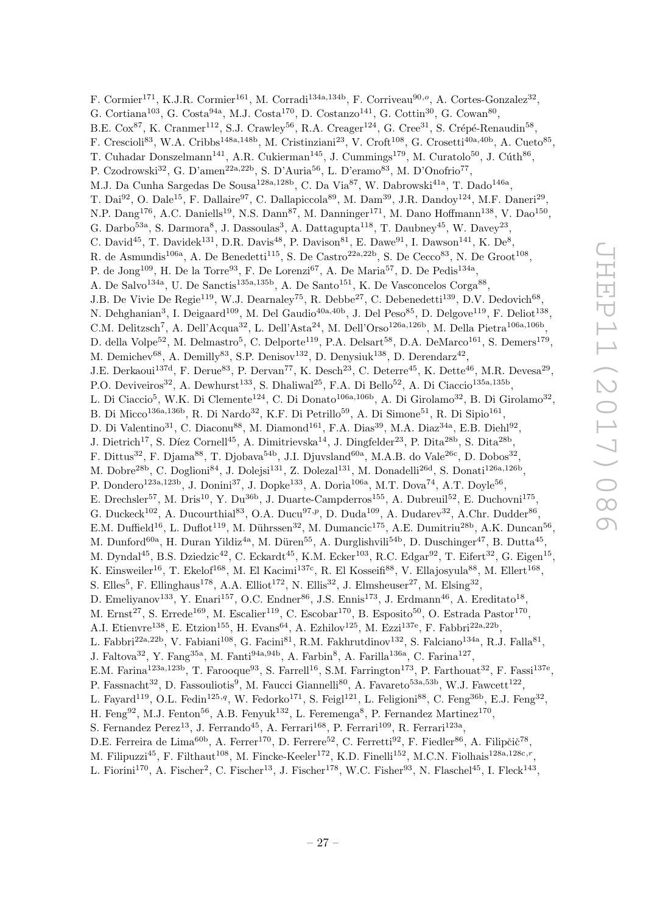F. Cormier<sup>171</sup>, K.J.R. Cormier<sup>161</sup>, M. Corradi<sup>134a,134b</sup>, F. Corriveau<sup>90,o</sup>, A. Cortes-Gonzalez<sup>32</sup>, G. Cortiana<sup>103</sup>, G. Costa<sup>94a</sup>, M.J. Costa<sup>170</sup>, D. Costanzo<sup>141</sup>, G. Cottin<sup>30</sup>, G. Cowan<sup>80</sup>, B.E. Cox<sup>87</sup>, K. Cranmer<sup>112</sup>, S.J. Crawley<sup>56</sup>, R.A. Creager<sup>124</sup>, G. Cree<sup>31</sup>, S. Crépé-Renaudin<sup>58</sup>, F. Crescioli<sup>83</sup>, W.A. Cribbs<sup>148a,148b</sup>, M. Cristinziani<sup>23</sup>, V. Croft<sup>108</sup>, G. Crosetti<sup>40a,40b</sup>, A. Cueto<sup>85</sup>, T. Cuhadar Donszelmann<sup>141</sup>, A.R. Cukierman<sup>145</sup>, J. Cummings<sup>179</sup>, M. Curatolo<sup>50</sup>, J. Cúth<sup>86</sup>, P. Czodrowski<sup>32</sup>, G. D'amen<sup>22a,22b</sup>, S. D'Auria<sup>56</sup>, L. D'eramo<sup>83</sup>, M. D'Onofrio<sup>77</sup>, M.J. Da Cunha Sargedas De Sousa<sup>128a,128b</sup>, C. Da Via<sup>87</sup>, W. Dabrowski<sup>41a</sup>, T. Dado<sup>146a</sup>, T. Dai<sup>92</sup>, O. Dale<sup>15</sup>, F. Dallaire<sup>97</sup>, C. Dallapiccola<sup>89</sup>, M. Dam<sup>39</sup>, J.R. Dandoy<sup>124</sup>, M.F. Daneri<sup>29</sup>, N.P. Dang<sup>176</sup>, A.C. Daniells<sup>19</sup>, N.S. Dann<sup>87</sup>, M. Danninger<sup>171</sup>, M. Dano Hoffmann<sup>138</sup>, V. Dao<sup>150</sup>, G. Darbo<sup>53a</sup>, S. Darmora<sup>8</sup>, J. Dassoulas<sup>3</sup>, A. Dattagupta<sup>118</sup>, T. Daubney<sup>45</sup>, W. Davey<sup>23</sup>, C. David<sup>45</sup>, T. Davidek<sup>131</sup>, D.R. Davis<sup>48</sup>, P. Davison<sup>81</sup>, E. Dawe<sup>91</sup>, I. Dawson<sup>141</sup>, K. De<sup>8</sup>, R. de Asmundis<sup>106a</sup>, A. De Benedetti<sup>115</sup>, S. De Castro<sup>22a, 22b</sup>, S. De Cecco<sup>83</sup>, N. De Groot<sup>108</sup>, P. de Jong<sup>109</sup>, H. De la Torre<sup>93</sup>, F. De Lorenzi<sup>67</sup>, A. De Maria<sup>57</sup>, D. De Pedis<sup>134a</sup>, A. De Salvo<sup>134a</sup>, U. De Sanctis<sup>135a,135b</sup>, A. De Santo<sup>151</sup>, K. De Vasconcelos Corga<sup>88</sup>, J.B. De Vivie De Regie<sup>119</sup>, W.J. Dearnaley<sup>75</sup>, R. Debbe<sup>27</sup>, C. Debenedetti<sup>139</sup>, D.V. Dedovich<sup>68</sup>, N. Dehghanian<sup>3</sup>, I. Deigaard<sup>109</sup>, M. Del Gaudio<sup>40a,40b</sup>, J. Del Peso<sup>85</sup>, D. Delgove<sup>119</sup>, F. Deliot<sup>138</sup>, C.M. Delitzsch<sup>7</sup>, A. Dell'Acqua<sup>32</sup>, L. Dell'Asta<sup>24</sup>, M. Dell'Orso<sup>126a,126b</sup>, M. Della Pietra<sup>106a,106b</sup>, D. della Volpe<sup>52</sup>, M. Delmastro<sup>5</sup>, C. Delporte<sup>119</sup>, P.A. Delsart<sup>58</sup>, D.A. DeMarco<sup>161</sup>, S. Demers<sup>179</sup>, M. Demichev<sup>68</sup>, A. Demilly<sup>83</sup>, S.P. Denisov<sup>132</sup>, D. Denysiuk<sup>138</sup>, D. Derendarz<sup>42</sup>, J.E. Derkaoui<sup>137d</sup>, F. Derue<sup>83</sup>, P. Dervan<sup>77</sup>, K. Desch<sup>23</sup>, C. Deterre<sup>45</sup>, K. Dette<sup>46</sup>, M.R. Devesa<sup>29</sup>, P.O. Deviveiros<sup>32</sup>, A. Dewhurst<sup>133</sup>, S. Dhaliwal<sup>25</sup>, F.A. Di Bello<sup>52</sup>, A. Di Ciaccio<sup>135a,135b</sup>, L. Di Ciaccio<sup>5</sup>, W.K. Di Clemente<sup>124</sup>, C. Di Donato<sup>106a,106b</sup>, A. Di Girolamo<sup>32</sup>, B. Di Girolamo<sup>32</sup>, B. Di Micco<sup>136a,136b</sup>, R. Di Nardo<sup>32</sup>, K.F. Di Petrillo<sup>59</sup>, A. Di Simone<sup>51</sup>, R. Di Sipio<sup>161</sup>, D. Di Valentino<sup>31</sup>, C. Diaconu<sup>88</sup>, M. Diamond<sup>161</sup>, F.A. Dias<sup>39</sup>, M.A. Diaz<sup>34a</sup>, E.B. Diehl<sup>92</sup>, J. Dietrich<sup>17</sup>, S. Díez Cornell<sup>45</sup>, A. Dimitrievska<sup>14</sup>, J. Dingfelder<sup>23</sup>, P. Dita<sup>28b</sup>, S. Dita<sup>28b</sup>, F. Dittus<sup>32</sup>, F. Djama<sup>88</sup>, T. Djobava<sup>54b</sup>, J.I. Djuvsland<sup>60a</sup>, M.A.B. do Vale<sup>26c</sup>, D. Dobos<sup>32</sup>, M. Dobre<sup>28b</sup>, C. Doglioni<sup>84</sup>, J. Dolejsi<sup>131</sup>, Z. Dolezal<sup>131</sup>, M. Donadelli<sup>26d</sup>, S. Donati<sup>126a,126b</sup>, P. Dondero<sup>123a,123b</sup>, J. Donini<sup>37</sup>, J. Dopke<sup>133</sup>, A. Doria<sup>106a</sup>, M.T. Dova<sup>74</sup>, A.T. Doyle<sup>56</sup>, E. Drechsler<sup>57</sup>, M. Dris<sup>10</sup>, Y. Du<sup>36b</sup>, J. Duarte-Campderros<sup>155</sup>, A. Dubreuil<sup>52</sup>, E. Duchovni<sup>175</sup>, G. Duckeck<sup>102</sup>, A. Ducourthial<sup>83</sup>, O.A. Ducu<sup>97, p</sup>, D. Duda<sup>109</sup>, A. Dudarev<sup>32</sup>, A.Chr. Dudder<sup>86</sup>, E.M. Duffield<sup>16</sup>, L. Duflot<sup>119</sup>, M. Dührssen<sup>32</sup>, M. Dumancic<sup>175</sup>, A.E. Dumitriu<sup>28b</sup>, A.K. Duncan<sup>56</sup>, M. Dunford<sup>60a</sup>, H. Duran Yildiz<sup>4a</sup>, M. Düren<sup>55</sup>, A. Durglishvili<sup>54b</sup>, D. Duschinger<sup>47</sup>, B. Dutta<sup>45</sup>, M. Dyndal<sup>45</sup>, B.S. Dziedzic<sup>42</sup>, C. Eckardt<sup>45</sup>, K.M. Ecker<sup>103</sup>, R.C. Edgar<sup>92</sup>, T. Eifert<sup>32</sup>, G. Eigen<sup>15</sup>, K. Einsweiler<sup>16</sup>, T. Ekelof<sup>168</sup>, M. El Kacimi<sup>137c</sup>, R. El Kosseifi<sup>88</sup>, V. Ellajosyula<sup>88</sup>, M. Ellert<sup>168</sup>, S. Elles<sup>5</sup>, F. Ellinghaus<sup>178</sup>, A.A. Elliot<sup>172</sup>, N. Ellis<sup>32</sup>, J. Elmsheuser<sup>27</sup>, M. Elsing<sup>32</sup>, D. Emeliyanov<sup>133</sup>, Y. Enari<sup>157</sup>, O.C. Endner<sup>86</sup>, J.S. Ennis<sup>173</sup>, J. Erdmann<sup>46</sup>, A. Ereditato<sup>18</sup>, M. Ernst<sup>27</sup>, S. Errede<sup>169</sup>, M. Escalier<sup>119</sup>, C. Escobar<sup>170</sup>, B. Esposito<sup>50</sup>, O. Estrada Pastor<sup>170</sup>, A.I. Etienvre<sup>138</sup>, E. Etzion<sup>155</sup>, H. Evans<sup>64</sup>, A. Ezhilov<sup>125</sup>, M. Ezzi<sup>137e</sup>, F. Fabbri<sup>22a,22b</sup>, L. Fabbri<sup>22a,22b</sup>, V. Fabiani<sup>108</sup>, G. Facini<sup>81</sup>, R.M. Fakhrutdinov<sup>132</sup>, S. Falciano<sup>134a</sup>, R.J. Falla<sup>81</sup>, J. Faltova<sup>32</sup>, Y. Fang<sup>35a</sup>, M. Fanti<sup>94a,94b</sup>, A. Farbin<sup>8</sup>, A. Farilla<sup>136a</sup>, C. Farina<sup>127</sup>, E.M. Farina<sup>123a,123b</sup>, T. Farooque<sup>93</sup>, S. Farrell<sup>16</sup>, S.M. Farrington<sup>173</sup>, P. Farthouat<sup>32</sup>, F. Fassi<sup>137e</sup>, P. Fassnacht<sup>32</sup>, D. Fassouliotis<sup>9</sup>, M. Faucci Giannelli<sup>80</sup>, A. Favareto<sup>53a,53b</sup>, W.J. Fawcett<sup>122</sup>, L. Fayard<sup>119</sup>, O.L. Fedin<sup>125,q</sup>, W. Fedorko<sup>171</sup>, S. Feigl<sup>121</sup>, L. Feligioni<sup>88</sup>, C. Feng<sup>36b</sup>, E.J. Feng<sup>32</sup>, H. Feng<sup>92</sup>, M.J. Fenton<sup>56</sup>, A.B. Fenyuk<sup>132</sup>, L. Feremenga<sup>8</sup>, P. Fernandez Martinez<sup>170</sup>, S. Fernandez Perez<sup>13</sup>, J. Ferrando<sup>45</sup>, A. Ferrari<sup>168</sup>, P. Ferrari<sup>109</sup>, R. Ferrari<sup>123a</sup>, D.E. Ferreira de Lima<sup>60b</sup>, A. Ferrer<sup>170</sup>, D. Ferrere<sup>52</sup>, C. Ferretti<sup>92</sup>, F. Fiedler<sup>86</sup>, A. Filipčič<sup>78</sup>, M. Filipuzzi<sup>45</sup>, F. Filthaut<sup>108</sup>, M. Fincke-Keeler<sup>172</sup>, K.D. Finelli<sup>152</sup>, M.C.N. Fiolhais<sup>128a,128c,r</sup>,

L. Fiorini<sup>170</sup>, A. Fischer<sup>2</sup>, C. Fischer<sup>13</sup>, J. Fischer<sup>178</sup>, W.C. Fisher<sup>93</sup>, N. Flaschel<sup>45</sup>, I. Fleck<sup>143</sup>,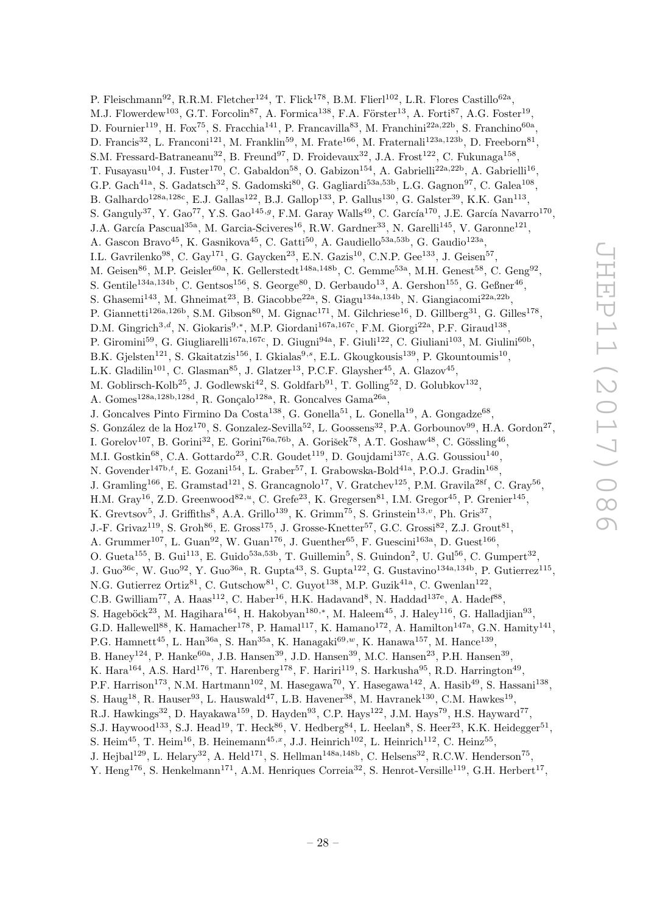P. Fleischmann<sup>92</sup>, R.R.M. Fletcher<sup>124</sup>, T. Flick<sup>178</sup>, B.M. Flierl<sup>102</sup>, L.R. Flores Castillo<sup>62a</sup>, M.J. Flowerdew<sup>103</sup>, G.T. Forcolin<sup>87</sup>, A. Formica<sup>138</sup>, F.A. Förster<sup>13</sup>, A. Forti<sup>87</sup>, A.G. Foster<sup>19</sup>, D. Fournier<sup>119</sup>, H. Fox<sup>75</sup>, S. Fracchia<sup>141</sup>, P. Francavilla<sup>83</sup>, M. Franchini<sup>22a,22b</sup>, S. Franchino<sup>60a</sup>, D. Francis<sup>32</sup>, L. Franconi<sup>121</sup>, M. Franklin<sup>59</sup>, M. Frate<sup>166</sup>, M. Fraternali<sup>123a,123b</sup>, D. Freeborn<sup>81</sup>, S.M. Fressard-Batraneanu<sup>32</sup>, B. Freund<sup>97</sup>, D. Froidevaux<sup>32</sup>, J.A. Frost<sup>122</sup>, C. Fukunaga<sup>158</sup>, T. Fusayasu<sup>104</sup>, J. Fuster<sup>170</sup>, C. Gabaldon<sup>58</sup>, O. Gabizon<sup>154</sup>, A. Gabrielli<sup>22a,22b</sup>, A. Gabrielli<sup>16</sup>, G.P. Gach<sup>41a</sup>, S. Gadatsch<sup>32</sup>, S. Gadomski<sup>80</sup>, G. Gagliardi<sup>53a,53b</sup>, L.G. Gagnon<sup>97</sup>, C. Galea<sup>108</sup>, B. Galhardo<sup>128a,128c</sup>, E.J. Gallas<sup>122</sup>, B.J. Gallop<sup>133</sup>, P. Gallus<sup>130</sup>, G. Galster<sup>39</sup>, K.K. Gan<sup>113</sup>, S. Ganguly<sup>37</sup>, Y. Gao<sup>77</sup>, Y.S. Gao<sup>145,g</sup>, F.M. Garay Walls<sup>49</sup>, C. García<sup>170</sup>, J.E. García Navarro<sup>170</sup>, J.A. García Pascual<sup>35a</sup>, M. Garcia-Sciveres<sup>16</sup>, R.W. Gardner<sup>33</sup>, N. Garelli<sup>145</sup>, V. Garonne<sup>121</sup>, A. Gascon Bravo<sup>45</sup>, K. Gasnikova<sup>45</sup>, C. Gatti<sup>50</sup>, A. Gaudiello<sup>53a,53b</sup>, G. Gaudio<sup>123a</sup>, I.L. Gavrilenko<sup>98</sup>, C. Gay<sup>171</sup>, G. Gaycken<sup>23</sup>, E.N. Gazis<sup>10</sup>, C.N.P. Gee<sup>133</sup>, J. Geisen<sup>57</sup>, M. Geisen<sup>86</sup>, M.P. Geisler<sup>60a</sup>, K. Gellerstedt<sup>148a,148b</sup>, C. Gemme<sup>53a</sup>, M.H. Genest<sup>58</sup>, C. Geng<sup>92</sup>, S. Gentile<sup>134a,134b</sup>, C. Gentsos<sup>156</sup>, S. George<sup>80</sup>, D. Gerbaudo<sup>13</sup>, A. Gershon<sup>155</sup>, G. Geßner<sup>46</sup>, S. Ghasemi<sup>143</sup>, M. Ghneimat<sup>23</sup>, B. Giacobbe<sup>22a</sup>, S. Giagu<sup>134a,134b</sup>, N. Giangiacomi<sup>22a,22b</sup>, P. Giannetti<sup>126a,126b</sup>, S.M. Gibson<sup>80</sup>, M. Gignac<sup>171</sup>, M. Gilchriese<sup>16</sup>, D. Gillberg<sup>31</sup>, G. Gilles<sup>178</sup>, D.M. Gingrich<sup>3,d</sup>, N. Giokaris<sup>9,\*</sup>, M.P. Giordani<sup>167a,167c</sup>, F.M. Giorgi<sup>22a</sup>, P.F. Giraud<sup>138</sup>, P. Giromini<sup>59</sup>, G. Giugliarelli<sup>167a,167c</sup>, D. Giugni<sup>94a</sup>, F. Giuli<sup>122</sup>, C. Giuliani<sup>103</sup>, M. Giulini<sup>60b</sup>, B.K. Gjelsten<sup>121</sup>, S. Gkaitatzis<sup>156</sup>, I. Gkialas<sup>9,s</sup>, E.L. Gkougkousis<sup>139</sup>, P. Gkountoumis<sup>10</sup>, L.K. Gladilin<sup>101</sup>, C. Glasman<sup>85</sup>, J. Glatzer<sup>13</sup>, P.C.F. Glaysher<sup>45</sup>, A. Glazov<sup>45</sup>, M. Goblirsch-Kolb<sup>25</sup>, J. Godlewski<sup>42</sup>, S. Goldfarb<sup>91</sup>, T. Golling<sup>52</sup>, D. Golubkov<sup>132</sup>, A. Gomes<sup>128a,128b,128d</sup>, R. Gonçalo<sup>128a</sup>, R. Goncalves Gama<sup>26a</sup>, J. Goncalves Pinto Firmino Da Costa<sup>138</sup>, G. Gonella<sup>51</sup>, L. Gonella<sup>19</sup>, A. Gongadze<sup>68</sup>, S. González de la Hoz<sup>170</sup>, S. Gonzalez-Sevilla<sup>52</sup>, L. Goossens<sup>32</sup>, P.A. Gorbounov<sup>99</sup>, H.A. Gordon<sup>27</sup>, I. Gorelov<sup>107</sup>, B. Gorini<sup>32</sup>, E. Gorini<sup>76a,76b</sup>, A. Gorišek<sup>78</sup>, A.T. Goshaw<sup>48</sup>, C. Gössling<sup>46</sup>, M.I. Gostkin<sup>68</sup>, C.A. Gottardo<sup>23</sup>, C.R. Goudet<sup>119</sup>, D. Goujdami<sup>137c</sup>, A.G. Goussiou<sup>140</sup>, N. Govender<sup>147b,t</sup>, E. Gozani<sup>154</sup>, L. Graber<sup>57</sup>, I. Grabowska-Bold<sup>41a</sup>, P.O.J. Gradin<sup>168</sup>, J. Gramling<sup>166</sup>, E. Gramstad<sup>121</sup>, S. Grancagnolo<sup>17</sup>, V. Gratchev<sup>125</sup>, P.M. Gravila<sup>28f</sup>, C. Gray<sup>56</sup>, H.M. Gray<sup>16</sup>, Z.D. Greenwood<sup>82,*u*</sup>, C. Grefe<sup>23</sup>, K. Gregersen<sup>81</sup>, I.M. Gregor<sup>45</sup>, P. Grenier<sup>145</sup>, K. Grevtsov<sup>5</sup>, J. Griffiths<sup>8</sup>, A.A. Grillo<sup>139</sup>, K. Grimm<sup>75</sup>, S. Grinstein<sup>13,</sup><sup>v</sup>, Ph. Gris<sup>37</sup>, J.-F. Grivaz<sup>119</sup>, S. Groh<sup>86</sup>, E. Gross<sup>175</sup>, J. Grosse-Knetter<sup>57</sup>, G.C. Grossi<sup>82</sup>, Z.J. Grout<sup>81</sup>, A. Grummer<sup>107</sup>, L. Guan<sup>92</sup>, W. Guan<sup>176</sup>, J. Guenther<sup>65</sup>, F. Guescini<sup>163a</sup>, D. Guest<sup>166</sup>, O. Gueta<sup>155</sup>, B. Gui<sup>113</sup>, E. Guido<sup>53a,53b</sup>, T. Guillemin<sup>5</sup>, S. Guindon<sup>2</sup>, U. Gul<sup>56</sup>, C. Gumpert<sup>32</sup>, J. Guo<sup>36c</sup>, W. Guo<sup>92</sup>, Y. Guo<sup>36a</sup>, R. Gupta<sup>43</sup>, S. Gupta<sup>122</sup>, G. Gustavino<sup>134a,134b</sup>, P. Gutierrez<sup>115</sup>, N.G. Gutierrez Ortiz<sup>81</sup>, C. Gutschow<sup>81</sup>, C. Guyot<sup>138</sup>, M.P. Guzik<sup>41a</sup>, C. Gwenlan<sup>122</sup>, C.B. Gwilliam<sup>77</sup>, A. Haas<sup>112</sup>, C. Haber<sup>16</sup>, H.K. Hadavand<sup>8</sup>, N. Haddad<sup>137e</sup>, A. Hadef<sup>88</sup>, S. Hageböck<sup>23</sup>, M. Hagihara<sup>164</sup>, H. Hakobyan<sup>180,\*</sup>, M. Haleem<sup>45</sup>, J. Haley<sup>116</sup>, G. Halladjian<sup>93</sup>, G.D. Hallewell<sup>88</sup>, K. Hamacher<sup>178</sup>, P. Hamal<sup>117</sup>, K. Hamano<sup>172</sup>, A. Hamilton<sup>147a</sup>, G.N. Hamity<sup>141</sup>, P.G. Hamnett<sup>45</sup>, L. Han<sup>36a</sup>, S. Han<sup>35a</sup>, K. Hanagaki<sup>69,w</sup>, K. Hanawa<sup>157</sup>, M. Hance<sup>139</sup>, B. Haney<sup>124</sup>, P. Hanke<sup>60a</sup>, J.B. Hansen<sup>39</sup>, J.D. Hansen<sup>39</sup>, M.C. Hansen<sup>23</sup>, P.H. Hansen<sup>39</sup>, K. Hara<sup>164</sup>, A.S. Hard<sup>176</sup>, T. Harenberg<sup>178</sup>, F. Hariri<sup>119</sup>, S. Harkusha<sup>95</sup>, R.D. Harrington<sup>49</sup>, P.F. Harrison<sup>173</sup>, N.M. Hartmann<sup>102</sup>, M. Hasegawa<sup>70</sup>, Y. Hasegawa<sup>142</sup>, A. Hasib<sup>49</sup>, S. Hassani<sup>138</sup>, S. Haug<sup>18</sup>, R. Hauser<sup>93</sup>, L. Hauswald<sup>47</sup>, L.B. Havener<sup>38</sup>, M. Havranek<sup>130</sup>, C.M. Hawkes<sup>19</sup>, R.J. Hawkings<sup>32</sup>, D. Hayakawa<sup>159</sup>, D. Hayden<sup>93</sup>, C.P. Hays<sup>122</sup>, J.M. Hays<sup>79</sup>, H.S. Hayward<sup>77</sup>, S.J. Haywood<sup>133</sup>, S.J. Head<sup>19</sup>, T. Heck<sup>86</sup>, V. Hedberg<sup>84</sup>, L. Heelan<sup>8</sup>, S. Heer<sup>23</sup>, K.K. Heidegger<sup>51</sup>, S. Heim<sup>45</sup>, T. Heim<sup>16</sup>, B. Heinemann<sup>45,x</sup>, J.J. Heinrich<sup>102</sup>, L. Heinrich<sup>112</sup>, C. Heinz<sup>55</sup>, J. Hejbal<sup>129</sup>, L. Helary<sup>32</sup>, A. Held<sup>171</sup>, S. Hellman<sup>148a,148b</sup>, C. Helsens<sup>32</sup>, R.C.W. Henderson<sup>75</sup>, Y. Heng<sup>176</sup>, S. Henkelmann<sup>171</sup>, A.M. Henriques Correia<sup>32</sup>, S. Henrot-Versille<sup>119</sup>, G.H. Herbert<sup>17</sup>,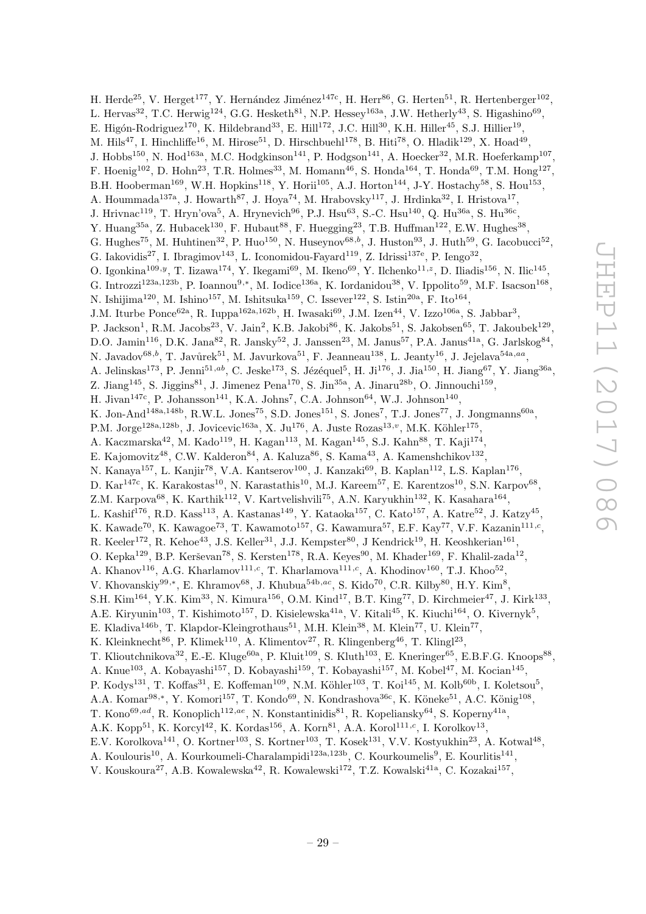H. Herde<sup>25</sup>, V. Herget<sup>177</sup>, Y. Hernández Jiménez<sup>147c</sup>, H. Herr<sup>86</sup>, G. Herten<sup>51</sup>, R. Hertenberger<sup>102</sup>, L. Hervas<sup>32</sup>, T.C. Herwig<sup>124</sup>, G.G. Hesketh<sup>81</sup>, N.P. Hessey<sup>163a</sup>, J.W. Hetherly<sup>43</sup>, S. Higashino<sup>69</sup>, E. Higón-Rodriguez<sup>170</sup>, K. Hildebrand<sup>33</sup>, E. Hill<sup>172</sup>, J.C. Hill<sup>30</sup>, K.H. Hiller<sup>45</sup>, S.J. Hillier<sup>19</sup>, M. Hils<sup>47</sup>, I. Hinchliffe<sup>16</sup>, M. Hirose<sup>51</sup>, D. Hirschbuehl<sup>178</sup>, B. Hiti<sup>78</sup>, O. Hladik<sup>129</sup>, X. Hoad<sup>49</sup>, J. Hobbs<sup>150</sup>, N. Hod<sup>163a</sup>, M.C. Hodgkinson<sup>141</sup>, P. Hodgson<sup>141</sup>, A. Hoecker<sup>32</sup>, M.R. Hoeferkamp<sup>107</sup>, F. Hoenig<sup>102</sup>, D. Hohn<sup>23</sup>, T.R. Holmes<sup>33</sup>, M. Homann<sup>46</sup>, S. Honda<sup>164</sup>, T. Honda<sup>69</sup>, T.M. Hong<sup>127</sup>, B.H. Hooberman<sup>169</sup>, W.H. Hopkins<sup>118</sup>, Y. Horii<sup>105</sup>, A.J. Horton<sup>144</sup>, J-Y. Hostachy<sup>58</sup>, S. Hou<sup>153</sup>, A. Hoummada<sup>137a</sup>, J. Howarth<sup>87</sup>, J. Hoya<sup>74</sup>, M. Hrabovsky<sup>117</sup>, J. Hrdinka<sup>32</sup>, I. Hristova<sup>17</sup>, J. Hrivnac<sup>119</sup>, T. Hryn'ova<sup>5</sup>, A. Hrynevich<sup>96</sup>, P.J. Hsu<sup>63</sup>, S.-C. Hsu<sup>140</sup>, Q. Hu<sup>36a</sup>, S. Hu<sup>36c</sup>, Y. Huang<sup>35a</sup>, Z. Hubacek<sup>130</sup>, F. Hubaut<sup>88</sup>, F. Huegging<sup>23</sup>, T.B. Huffman<sup>122</sup>, E.W. Hughes<sup>38</sup>, G. Hughes<sup>75</sup>, M. Huhtinen<sup>32</sup>, P. Huo<sup>150</sup>, N. Huseynov<sup>68,b</sup>, J. Huston<sup>93</sup>, J. Huth<sup>59</sup>, G. Iacobucci<sup>52</sup>, G. Iakovidis<sup>27</sup>, I. Ibragimov<sup>143</sup>, L. Iconomidou-Fayard<sup>119</sup>, Z. Idrissi<sup>137e</sup>, P. Iengo<sup>32</sup>, O. Igonkina<sup>109, y</sup>, T. Iizawa<sup>174</sup>, Y. Ikegami<sup>69</sup>, M. Ikeno<sup>69</sup>, Y. Ilchenko<sup>11, z</sup>, D. Iliadis<sup>156</sup>, N. Ilic<sup>145</sup>, G. Introzzi<sup>123a,123b</sup>, P. Ioannou<sup>9,\*</sup>, M. Iodice<sup>136a</sup>, K. Iordanidou<sup>38</sup>, V. Ippolito<sup>59</sup>, M.F. Isacson<sup>168</sup>, N. Ishijima $^{120}$ , M. Ishino $^{157}$ , M. Ishitsuka $^{159}$ , C. Issever $^{122}$ , S. Istin $^{20a}$ , F. Ito $^{164}$ , J.M. Iturbe Ponce<sup>62a</sup>, R. Iuppa<sup>162a,162b</sup>, H. Iwasaki<sup>69</sup>, J.M. Izen<sup>44</sup>, V. Izzo<sup>106a</sup>, S. Jabbar<sup>3</sup>, P. Jackson<sup>1</sup>, R.M. Jacobs<sup>23</sup>, V. Jain<sup>2</sup>, K.B. Jakobi<sup>86</sup>, K. Jakobs<sup>51</sup>, S. Jakobsen<sup>65</sup>, T. Jakoubek<sup>129</sup>, D.O. Jamin<sup>116</sup>, D.K. Jana<sup>82</sup>, R. Jansky<sup>52</sup>, J. Janssen<sup>23</sup>, M. Janus<sup>57</sup>, P.A. Janus<sup>41a</sup>, G. Jarlskog<sup>84</sup>, N. Javadov<sup>68,b</sup>, T. Javůrek<sup>51</sup>, M. Javurkova<sup>51</sup>, F. Jeanneau<sup>138</sup>, L. Jeanty<sup>16</sup>, J. Jejelava<sup>54a,aa</sup>, A. Jelinskas<sup>173</sup>, P. Jenni<sup>51,ab</sup>, C. Jeske<sup>173</sup>, S. Jézéquel<sup>5</sup>, H. Ji<sup>176</sup>, J. Jia<sup>150</sup>, H. Jiang<sup>67</sup>, Y. Jiang<sup>36a</sup>, Z. Jiang<sup>145</sup>, S. Jiggins<sup>81</sup>, J. Jimenez Pena<sup>170</sup>, S. Jin<sup>35a</sup>, A. Jinaru<sup>28b</sup>, O. Jinnouchi<sup>159</sup>, H. Jivan<sup>147c</sup>, P. Johansson<sup>141</sup>, K.A. Johns<sup>7</sup>, C.A. Johnson<sup>64</sup>, W.J. Johnson<sup>140</sup>, K. Jon-And<sup>148a,148b</sup>, R.W.L. Jones<sup>75</sup>, S.D. Jones<sup>151</sup>, S. Jones<sup>7</sup>, T.J. Jones<sup>77</sup>, J. Jongmanns<sup>60a</sup>, P.M. Jorge<sup>128a,128b</sup>, J. Jovicevic<sup>163a</sup>, X. Ju<sup>176</sup>, A. Juste Rozas<sup>13,*v*</sup>, M.K. Köhler<sup>175</sup>, A. Kaczmarska<sup>42</sup>, M. Kado<sup>119</sup>, H. Kagan<sup>113</sup>, M. Kagan<sup>145</sup>, S.J. Kahn<sup>88</sup>, T. Kaji<sup>174</sup>, E. Kajomovitz<sup>48</sup>, C.W. Kalderon<sup>84</sup>, A. Kaluza<sup>86</sup>, S. Kama<sup>43</sup>, A. Kamenshchikov<sup>132</sup>, N. Kanaya<sup>157</sup>, L. Kanjir<sup>78</sup>, V.A. Kantserov<sup>100</sup>, J. Kanzaki<sup>69</sup>, B. Kaplan<sup>112</sup>, L.S. Kaplan<sup>176</sup>, D. Kar<sup>147c</sup>, K. Karakostas<sup>10</sup>, N. Karastathis<sup>10</sup>, M.J. Kareem<sup>57</sup>, E. Karentzos<sup>10</sup>, S.N. Karpov<sup>68</sup>, Z.M. Karpova $^{68}$ , K. Karthik<sup>112</sup>, V. Kartvelishvili<sup>75</sup>, A.N. Karyukhin<sup>132</sup>, K. Kasahara<sup>164</sup>, L. Kashif<sup>176</sup>, R.D. Kass<sup>113</sup>, A. Kastanas<sup>149</sup>, Y. Kataoka<sup>157</sup>, C. Kato<sup>157</sup>, A. Katre<sup>52</sup>, J. Katzy<sup>45</sup>, K. Kawade<sup>70</sup>, K. Kawagoe<sup>73</sup>, T. Kawamoto<sup>157</sup>, G. Kawamura<sup>57</sup>, E.F. Kay<sup>77</sup>, V.F. Kazanin<sup>111,*c*</sup>, R. Keeler<sup>172</sup>, R. Kehoe<sup>43</sup>, J.S. Keller<sup>31</sup>, J.J. Kempster<sup>80</sup>, J Kendrick<sup>19</sup>, H. Keoshkerian<sup>161</sup>, O. Kepka<sup>129</sup>, B.P. Kerševan<sup>78</sup>, S. Kersten<sup>178</sup>, R.A. Keyes<sup>90</sup>, M. Khader<sup>169</sup>, F. Khalil-zada<sup>12</sup>, A. Khanov<sup>116</sup>, A.G. Kharlamov<sup>111,c</sup>, T. Kharlamova<sup>111,c</sup>, A. Khodinov<sup>160</sup>, T.J. Khoo<sup>52</sup>, V. Khovanskiy<sup>99,\*</sup>, E. Khramov<sup>68</sup>, J. Khubua<sup>54b,ac</sup>, S. Kido<sup>70</sup>, C.R. Kilby<sup>80</sup>, H.Y. Kim<sup>8</sup>, S.H. Kim<sup>164</sup>, Y.K. Kim<sup>33</sup>, N. Kimura<sup>156</sup>, O.M. Kind<sup>17</sup>, B.T. King<sup>77</sup>, D. Kirchmeier<sup>47</sup>, J. Kirk<sup>133</sup>, A.E. Kiryunin<sup>103</sup>, T. Kishimoto<sup>157</sup>, D. Kisielewska<sup>41a</sup>, V. Kitali<sup>45</sup>, K. Kiuchi<sup>164</sup>, O. Kivernyk<sup>5</sup>, E. Kladiva<sup>146b</sup>, T. Klapdor-Kleingrothaus<sup>51</sup>, M.H. Klein<sup>38</sup>, M. Klein<sup>77</sup>, U. Klein<sup>77</sup>, K. Kleinknecht<sup>86</sup>, P. Klimek<sup>110</sup>, A. Klimentov<sup>27</sup>, R. Klingenberg<sup>46</sup>, T. Klingl<sup>23</sup>, T. Klioutchnikova<sup>32</sup>, E.-E. Kluge<sup>60a</sup>, P. Kluit<sup>109</sup>, S. Kluth<sup>103</sup>, E. Kneringer<sup>65</sup>, E.B.F.G. Knoops<sup>88</sup>, A. Knue<sup>103</sup>, A. Kobayashi<sup>157</sup>, D. Kobayashi<sup>159</sup>, T. Kobayashi<sup>157</sup>, M. Kobel<sup>47</sup>, M. Kocian<sup>145</sup>, P. Kodys<sup>131</sup>, T. Koffas<sup>31</sup>, E. Koffeman<sup>109</sup>, N.M. Köhler<sup>103</sup>, T. Koi<sup>145</sup>, M. Kolb<sup>60b</sup>, I. Koletsou<sup>5</sup>, A.A. Komar<sup>98,\*</sup>, Y. Komori<sup>157</sup>, T. Kondo<sup>69</sup>, N. Kondrashova<sup>36c</sup>, K. Köneke<sup>51</sup>, A.C. König<sup>108</sup>, T. Kono<sup>69,ad</sup>, R. Konoplich<sup>112,ae</sup>, N. Konstantinidis<sup>81</sup>, R. Kopeliansky<sup>64</sup>, S. Koperny<sup>41a</sup>, A.K. Kopp<sup>51</sup>, K. Korcyl<sup>42</sup>, K. Kordas<sup>156</sup>, A. Korn<sup>81</sup>, A.A. Korol<sup>111,c</sup>, I. Korolkov<sup>13</sup>, E.V. Korolkova<sup>141</sup>, O. Kortner<sup>103</sup>, S. Kortner<sup>103</sup>, T. Kosek<sup>131</sup>, V.V. Kostyukhin<sup>23</sup>, A. Kotwal<sup>48</sup>, A. Koulouris<sup>10</sup>, A. Kourkoumeli-Charalampidi<sup>123a,123b</sup>, C. Kourkoumelis<sup>9</sup>, E. Kourlitis<sup>141</sup>,

V. Kouskoura<sup>27</sup>, A.B. Kowalewska<sup>42</sup>, R. Kowalewski<sup>172</sup>, T.Z. Kowalski<sup>41a</sup>, C. Kozakai<sup>157</sup>,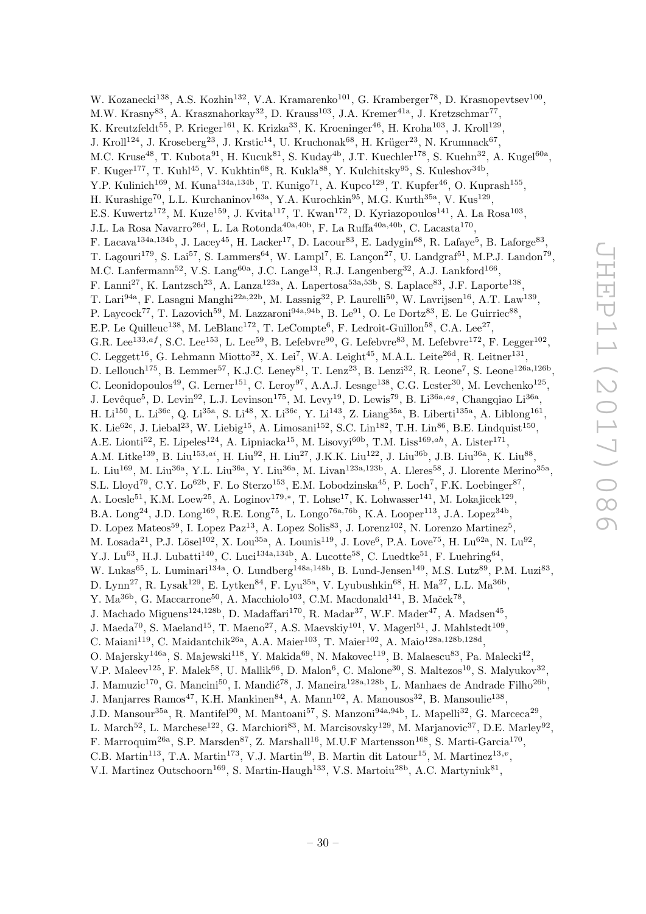W. Kozanecki<sup>138</sup>, A.S. Kozhin<sup>132</sup>, V.A. Kramarenko<sup>101</sup>, G. Kramberger<sup>78</sup>, D. Krasnopevtsev<sup>100</sup>, M.W. Krasny $^{83}$ , A. Krasznahorkay $^{32}$ , D. Krauss $^{103}$ , J.A. Kremer $^{41a}$ , J. Kretzschmar $^{77}$ , K. Kreutzfeldt<sup>55</sup>, P. Krieger<sup>161</sup>, K. Krizka<sup>33</sup>, K. Kroeninger<sup>46</sup>, H. Kroha<sup>103</sup>, J. Kroll<sup>129</sup>, J. Kroll<sup>124</sup>, J. Kroseberg<sup>23</sup>, J. Krstic<sup>14</sup>, U. Kruchonak<sup>68</sup>, H. Krüger<sup>23</sup>, N. Krumnack<sup>67</sup>, M.C. Kruse<sup>48</sup>, T. Kubota<sup>91</sup>, H. Kucuk<sup>81</sup>, S. Kuday<sup>4b</sup>, J.T. Kuechler<sup>178</sup>, S. Kuehn<sup>32</sup>, A. Kugel<sup>60a</sup>, F. Kuger<sup>177</sup>, T. Kuhl<sup>45</sup>, V. Kukhtin<sup>68</sup>, R. Kukla<sup>88</sup>, Y. Kulchitsky<sup>95</sup>, S. Kuleshov<sup>34b</sup>, Y.P. Kulinich<sup>169</sup>, M. Kuna<sup>134a,134b</sup>, T. Kunigo<sup>71</sup>, A. Kupco<sup>129</sup>, T. Kupfer<sup>46</sup>, O. Kuprash<sup>155</sup>, H. Kurashige<sup>70</sup>, L.L. Kurchaninov<sup>163a</sup>, Y.A. Kurochkin<sup>95</sup>, M.G. Kurth<sup>35a</sup>, V. Kus<sup>129</sup>, E.S. Kuwertz<sup>172</sup>, M. Kuze<sup>159</sup>, J. Kvita<sup>117</sup>, T. Kwan<sup>172</sup>, D. Kyriazopoulos<sup>141</sup>, A. La Rosa<sup>103</sup>, J.L. La Rosa Navarro<sup>26d</sup>, L. La Rotonda<sup>40a,40b</sup>, F. La Ruffa<sup>40a,40b</sup>, C. Lacasta<sup>170</sup>, F. Lacava<sup>134a,134b</sup>, J. Lacey<sup>45</sup>, H. Lacker<sup>17</sup>, D. Lacour<sup>83</sup>, E. Ladygin<sup>68</sup>, R. Lafaye<sup>5</sup>, B. Laforge<sup>83</sup>, T. Lagouri<sup>179</sup>, S. Lai<sup>57</sup>, S. Lammers<sup>64</sup>, W. Lampl<sup>7</sup>, E. Lançon<sup>27</sup>, U. Landgraf<sup>51</sup>, M.P.J. Landon<sup>79</sup>, M.C. Lanfermann<sup>52</sup>, V.S. Lang<sup>60a</sup>, J.C. Lange<sup>13</sup>, R.J. Langenberg<sup>32</sup>, A.J. Lankford<sup>166</sup>, F. Lanni<sup>27</sup>, K. Lantzsch<sup>23</sup>, A. Lanza<sup>123a</sup>, A. Lapertosa<sup>53a,53b</sup>, S. Laplace<sup>83</sup>, J.F. Laporte<sup>138</sup>, T. Lari<sup>94a</sup>, F. Lasagni Manghi<sup>22a,22b</sup>, M. Lassnig<sup>32</sup>, P. Laurelli<sup>50</sup>, W. Lavrijsen<sup>16</sup>, A.T. Law<sup>139</sup>, P. Laycock<sup>77</sup>, T. Lazovich<sup>59</sup>, M. Lazzaroni<sup>94a,94b</sup>, B. Le<sup>91</sup>, O. Le Dortz<sup>83</sup>, E. Le Guirriec<sup>88</sup>, E.P. Le Quilleuc<sup>138</sup>, M. LeBlanc<sup>172</sup>, T. LeCompte<sup>6</sup>, F. Ledroit-Guillon<sup>58</sup>, C.A. Lee<sup>27</sup>, G.R. Lee<sup>133,af</sup>, S.C. Lee<sup>153</sup>, L. Lee<sup>59</sup>, B. Lefebvre<sup>90</sup>, G. Lefebvre<sup>83</sup>, M. Lefebvre<sup>172</sup>, F. Legger<sup>102</sup>, C. Leggett<sup>16</sup>, G. Lehmann Miotto<sup>32</sup>, X. Lei<sup>7</sup>, W.A. Leight<sup>45</sup>, M.A.L. Leite<sup>26d</sup>, R. Leitner<sup>131</sup>, D. Lellouch<sup>175</sup>, B. Lemmer<sup>57</sup>, K.J.C. Leney<sup>81</sup>, T. Lenz<sup>23</sup>, B. Lenzi<sup>32</sup>, R. Leone<sup>7</sup>, S. Leone<sup>126a,126b</sup>, C. Leonidopoulos<sup>49</sup>, G. Lerner<sup>151</sup>, C. Leroy<sup>97</sup>, A.A.J. Lesage<sup>138</sup>, C.G. Lester<sup>30</sup>, M. Levchenko<sup>125</sup>, J. Levêque<sup>5</sup>, D. Levin<sup>92</sup>, L.J. Levinson<sup>175</sup>, M. Levy<sup>19</sup>, D. Lewis<sup>79</sup>, B. Li<sup>36a,ag</sup>, Changqiao Li<sup>36a</sup>, H. Li<sup>150</sup>, L. Li<sup>36c</sup>, Q. Li<sup>35a</sup>, S. Li<sup>48</sup>, X. Li<sup>36c</sup>, Y. Li<sup>143</sup>, Z. Liang<sup>35a</sup>, B. Liberti<sup>135a</sup>, A. Liblong<sup>161</sup>, K. Lie $^{62c}$ , J. Liebal<sup>23</sup>, W. Liebig<sup>15</sup>, A. Limosani<sup>152</sup>, S.C. Lin<sup>182</sup>, T.H. Lin<sup>86</sup>, B.E. Lindquist<sup>150</sup>, A.E. Lionti<sup>52</sup>, E. Lipeles<sup>124</sup>, A. Lipniacka<sup>15</sup>, M. Lisovyi<sup>60b</sup>, T.M. Liss<sup>169,ah</sup>, A. Lister<sup>171</sup>, A.M. Litke<sup>139</sup>, B. Liu<sup>153,ai</sup>, H. Liu<sup>92</sup>, H. Liu<sup>27</sup>, J.K.K. Liu<sup>122</sup>, J. Liu<sup>36b</sup>, J.B. Liu<sup>36a</sup>, K. Liu<sup>88</sup>, L. Liu<sup>169</sup>, M. Liu<sup>36a</sup>, Y.L. Liu<sup>36a</sup>, Y. Liu<sup>36a</sup>, M. Livan<sup>123a,123b</sup>, A. Lleres<sup>58</sup>, J. Llorente Merino<sup>35a</sup>, S.L. Lloyd<sup>79</sup>, C.Y. Lo<sup>62b</sup>, F. Lo Sterzo<sup>153</sup>, E.M. Lobodzinska<sup>45</sup>, P. Loch<sup>7</sup>, F.K. Loebinger<sup>87</sup>, A. Loesle<sup>51</sup>, K.M. Loew<sup>25</sup>, A. Loginov<sup>179,\*</sup>, T. Lohse<sup>17</sup>, K. Lohwasser<sup>141</sup>, M. Lokajicek<sup>129</sup>, B.A. Long<sup>24</sup>, J.D. Long<sup>169</sup>, R.E. Long<sup>75</sup>, L. Longo<sup>76a,76b</sup>, K.A. Looper<sup>113</sup>, J.A. Lopez<sup>34b</sup>, D. Lopez Mateos<sup>59</sup>, I. Lopez Paz<sup>13</sup>, A. Lopez Solis<sup>83</sup>, J. Lorenz<sup>102</sup>, N. Lorenzo Martinez<sup>5</sup>, M. Losada<sup>21</sup>, P.J. Lösel<sup>102</sup>, X. Lou<sup>35a</sup>, A. Lounis<sup>119</sup>, J. Love<sup>6</sup>, P.A. Love<sup>75</sup>, H. Lu<sup>62a</sup>, N. Lu<sup>92</sup>, Y.J. Lu<sup>63</sup>, H.J. Lubatti<sup>140</sup>, C. Luci<sup>134a,134b</sup>, A. Lucotte<sup>58</sup>, C. Luedtke<sup>51</sup>, F. Luehring<sup>64</sup>, W. Lukas<sup>65</sup>, L. Luminari<sup>134a</sup>, O. Lundberg<sup>148a,148b</sup>, B. Lund-Jensen<sup>149</sup>, M.S. Lutz<sup>89</sup>, P.M. Luzi<sup>83</sup>, D. Lynn<sup>27</sup>, R. Lysak<sup>129</sup>, E. Lytken<sup>84</sup>, F. Lyu<sup>35a</sup>, V. Lyubushkin<sup>68</sup>, H. Ma<sup>27</sup>, L.L. Ma<sup>36b</sup>, Y. Ma<sup>36b</sup>, G. Maccarrone<sup>50</sup>, A. Macchiolo<sup>103</sup>, C.M. Macdonald<sup>141</sup>, B. Maček<sup>78</sup>, J. Machado Miguens<sup>124,128b</sup>, D. Madaffari<sup>170</sup>, R. Madar<sup>37</sup>, W.F. Mader<sup>47</sup>, A. Madsen<sup>45</sup>, J. Maeda<sup>70</sup>, S. Maeland<sup>15</sup>, T. Maeno<sup>27</sup>, A.S. Maevskiy<sup>101</sup>, V. Magerl<sup>51</sup>, J. Mahlstedt<sup>109</sup>, C. Maiani<sup>119</sup>, C. Maidantchik<sup>26a</sup>, A.A. Maier<sup>103</sup>, T. Maier<sup>102</sup>, A. Maio<sup>128a,128b,128d</sup>, O. Majersky $^{146a}$ , S. Majewski $^{118}$ , Y. Makida $^{69}$ , N. Makovec $^{119}$ , B. Malaescu $^{83}$ , Pa. Malecki $^{42}$ , V.P. Maleev<sup>125</sup>, F. Malek<sup>58</sup>, U. Mallik<sup>66</sup>, D. Malon<sup>6</sup>, C. Malone<sup>30</sup>, S. Maltezos<sup>10</sup>, S. Malyukov<sup>32</sup>, J. Mamuzic<sup>170</sup>, G. Mancini<sup>50</sup>, I. Mandić<sup>78</sup>, J. Maneira<sup>128a,128b</sup>, L. Manhaes de Andrade Filho<sup>26b</sup>, J. Manjarres Ramos<sup>47</sup>, K.H. Mankinen<sup>84</sup>, A. Mann<sup>102</sup>, A. Manousos<sup>32</sup>, B. Mansoulie<sup>138</sup>, J.D. Mansour<sup>35a</sup>, R. Mantifel<sup>90</sup>, M. Mantoani<sup>57</sup>, S. Manzoni<sup>94a,94b</sup>, L. Mapelli<sup>32</sup>, G. Marceca<sup>29</sup>, L. March<sup>52</sup>, L. Marchese<sup>122</sup>, G. Marchiori<sup>83</sup>, M. Marcisovsky<sup>129</sup>, M. Marjanovic<sup>37</sup>, D.E. Marley<sup>92</sup>, F. Marroquim<sup>26a</sup>, S.P. Marsden<sup>87</sup>, Z. Marshall<sup>16</sup>, M.U.F Martensson<sup>168</sup>, S. Marti-Garcia<sup>170</sup>, C.B. Martin<sup>113</sup>, T.A. Martin<sup>173</sup>, V.J. Martin<sup>49</sup>, B. Martin dit Latour<sup>15</sup>, M. Martinez<sup>13,*v*</sup>,

V.I. Martinez Outschoorn<sup>169</sup>, S. Martin-Haugh<sup>133</sup>, V.S. Martoiu<sup>28b</sup>, A.C. Martyniuk<sup>81</sup>,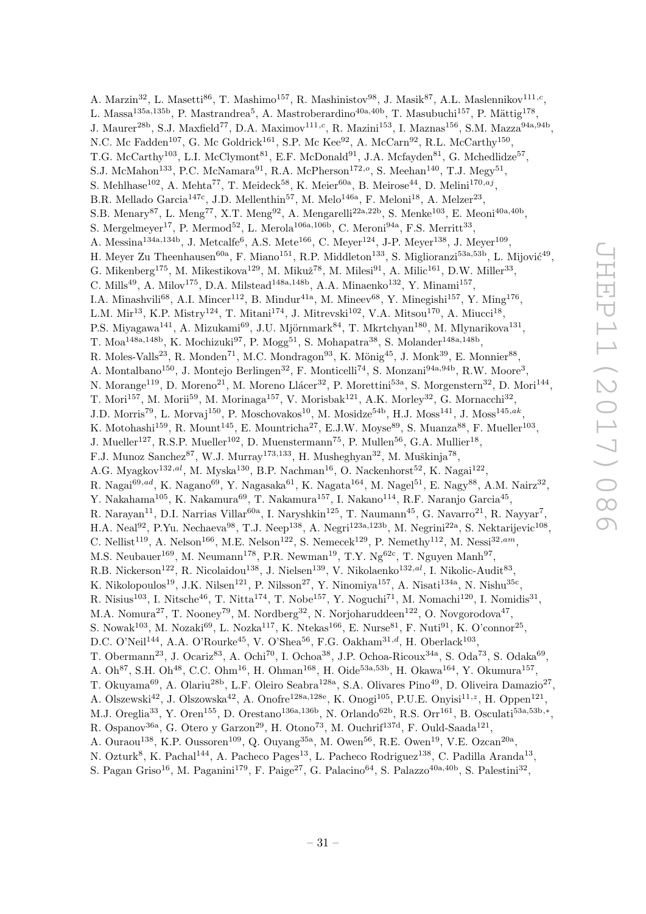A. Marzin<sup>32</sup>, L. Masetti<sup>86</sup>, T. Mashimo<sup>157</sup>, R. Mashinistov<sup>98</sup>, J. Masik<sup>87</sup>, A.L. Maslennikov<sup>111,*c*</sup>, L. Massa<sup>135a,135b</sup>, P. Mastrandrea<sup>5</sup>, A. Mastroberardino<sup>40a,40b</sup>, T. Masubuchi<sup>157</sup>, P. Mättig<sup>178</sup>, J. Maurer<sup>28b</sup>, S.J. Maxfield<sup>77</sup>, D.A. Maximov<sup>111,c</sup>, R. Mazini<sup>153</sup>, I. Maznas<sup>156</sup>, S.M. Mazza<sup>94a,94b</sup>, N.C. Mc Fadden<sup>107</sup>, G. Mc Goldrick<sup>161</sup>, S.P. Mc Kee<sup>92</sup>, A. McCarn<sup>92</sup>, R.L. McCarthy<sup>150</sup>, T.G. McCarthy<sup>103</sup>, L.I. McClymont<sup>81</sup>, E.F. McDonald<sup>91</sup>, J.A. Mcfayden<sup>81</sup>, G. Mchedlidze<sup>57</sup>, S.J. McMahon<sup>133</sup>, P.C. McNamara<sup>91</sup>, R.A. McPherson<sup>172, $o$ </sup>, S. Meehan<sup>140</sup>, T.J. Megy<sup>51</sup>, S. Mehlhase<sup>102</sup>, A. Mehta<sup>77</sup>, T. Meideck<sup>58</sup>, K. Meier<sup>60a</sup>, B. Meirose<sup>44</sup>, D. Melini<sup>170,aj</sup>, B.R. Mellado Garcia<sup>147c</sup>, J.D. Mellenthin<sup>57</sup>, M. Melo<sup>146a</sup>, F. Meloni<sup>18</sup>, A. Melzer<sup>23</sup>, S.B. Menary<sup>87</sup>, L. Meng<sup>77</sup>, X.T. Meng<sup>92</sup>, A. Mengarelli<sup>22a,22b</sup>, S. Menke<sup>103</sup>, E. Meoni<sup>40a,40b</sup>, S. Mergelmeyer<sup>17</sup>, P. Mermod<sup>52</sup>, L. Merola<sup>106a, 106b</sup>, C. Meroni<sup>94a</sup>, F.S. Merritt<sup>33</sup>, A. Messina<sup>134a,134b</sup>, J. Metcalfe<sup>6</sup>, A.S. Mete<sup>166</sup>, C. Meyer<sup>124</sup>, J-P. Meyer<sup>138</sup>, J. Meyer<sup>109</sup>, H. Meyer Zu Theenhausen<sup>60a</sup>, F. Miano<sup>151</sup>, R.P. Middleton<sup>133</sup>, S. Miglioranzi<sup>53a,53b</sup>, L. Mijović<sup>49</sup>, G. Mikenberg<sup>175</sup>, M. Mikestikova<sup>129</sup>, M. Mikuž<sup>78</sup>, M. Milesi<sup>91</sup>, A. Milic<sup>161</sup>, D.W. Miller<sup>33</sup>, C. Mills<sup>49</sup>, A. Milov<sup>175</sup>, D.A. Milstead<sup>148a,148b</sup>, A.A. Minaenko<sup>132</sup>, Y. Minami<sup>157</sup>, I.A. Minashvili<sup>68</sup>, A.I. Mincer<sup>112</sup>, B. Mindur<sup>41a</sup>, M. Mineev<sup>68</sup>, Y. Minegishi<sup>157</sup>, Y. Ming<sup>176</sup>, L.M. Mir<sup>13</sup>, K.P. Mistry<sup>124</sup>, T. Mitani<sup>174</sup>, J. Mitrevski<sup>102</sup>, V.A. Mitsou<sup>170</sup>, A. Miucci<sup>18</sup>, P.S. Miyagawa<sup>141</sup>, A. Mizukami<sup>69</sup>, J.U. Mjörnmark<sup>84</sup>, T. Mkrtchyan<sup>180</sup>, M. Mlynarikova<sup>131</sup>, T. Moa<sup>148a,148b</sup>, K. Mochizuki<sup>97</sup>, P. Mogg<sup>51</sup>, S. Mohapatra<sup>38</sup>, S. Molander<sup>148a,148b</sup>, R. Moles-Valls<sup>23</sup>, R. Monden<sup>71</sup>, M.C. Mondragon<sup>93</sup>, K. Mönig<sup>45</sup>, J. Monk<sup>39</sup>, E. Monnier<sup>88</sup>, A. Montalbano<sup>150</sup>, J. Montejo Berlingen<sup>32</sup>, F. Monticelli<sup>74</sup>, S. Monzani<sup>94a,94b</sup>, R.W. Moore<sup>3</sup>, N. Morange<sup>119</sup>, D. Moreno<sup>21</sup>, M. Moreno Llácer<sup>32</sup>, P. Morettini<sup>53a</sup>, S. Morgenstern<sup>32</sup>, D. Mori<sup>144</sup>, T. Mori<sup>157</sup>, M. Morii<sup>59</sup>, M. Morinaga<sup>157</sup>, V. Morisbak<sup>121</sup>, A.K. Morley<sup>32</sup>, G. Mornacchi<sup>32</sup>, J.D. Morris<sup>79</sup>, L. Morvaj<sup>150</sup>, P. Moschovakos<sup>10</sup>, M. Mosidze<sup>54b</sup>, H.J. Moss<sup>141</sup>, J. Moss<sup>145,ak</sup>, K. Motohashi<sup>159</sup>, R. Mount<sup>145</sup>, E. Mountricha<sup>27</sup>, E.J.W. Moyse<sup>89</sup>, S. Muanza<sup>88</sup>, F. Mueller<sup>103</sup>, J. Mueller<sup>127</sup>, R.S.P. Mueller<sup>102</sup>, D. Muenstermann<sup>75</sup>, P. Mullen<sup>56</sup>, G.A. Mullier<sup>18</sup>, F.J. Munoz Sanchez<sup>87</sup>, W.J. Murray<sup>173,133</sup>, H. Musheghyan<sup>32</sup>, M. Muškinja<sup>78</sup>, A.G. Myagkov<sup>132,al</sup>, M. Myska<sup>130</sup>, B.P. Nachman<sup>16</sup>, O. Nackenhorst<sup>52</sup>, K. Nagai<sup>122</sup>, R. Nagai $^{69,ad}$ , K. Nagano $^{69}$ , Y. Nagasaka $^{61}$ , K. Nagata $^{164}$ , M. Nagel $^{51}$ , E. Nagy $^{88}$ , A.M. Nairz $^{32}$ , Y. Nakahama<sup>105</sup>, K. Nakamura<sup>69</sup>, T. Nakamura<sup>157</sup>, I. Nakano<sup>114</sup>, R.F. Naranjo Garcia<sup>45</sup>, R. Narayan<sup>11</sup>, D.I. Narrias Villar<sup>60a</sup>, I. Naryshkin<sup>125</sup>, T. Naumann<sup>45</sup>, G. Navarro<sup>21</sup>, R. Nayyar<sup>7</sup>, H.A. Neal<sup>92</sup>, P.Yu. Nechaeva<sup>98</sup>, T.J. Neep<sup>138</sup>, A. Negri<sup>123a,123b</sup>, M. Negrini<sup>22a</sup>, S. Nektarijevic<sup>108</sup>, C. Nellist<sup>119</sup>, A. Nelson<sup>166</sup>, M.E. Nelson<sup>122</sup>, S. Nemecek<sup>129</sup>, P. Nemethy<sup>112</sup>, M. Nessi<sup>32,am</sup>, M.S. Neubauer<sup>169</sup>, M. Neumann<sup>178</sup>, P.R. Newman<sup>19</sup>, T.Y. Ng<sup>62c</sup>, T. Nguyen Manh<sup>97</sup>, R.B. Nickerson<sup>122</sup>, R. Nicolaidou<sup>138</sup>, J. Nielsen<sup>139</sup>, V. Nikolaenko<sup>132,al</sup>, I. Nikolic-Audit<sup>83</sup>, K. Nikolopoulos<sup>19</sup>, J.K. Nilsen<sup>121</sup>, P. Nilsson<sup>27</sup>, Y. Ninomiya<sup>157</sup>, A. Nisati<sup>134a</sup>, N. Nishu<sup>35c</sup>, R. Nisius<sup>103</sup>, I. Nitsche<sup>46</sup>, T. Nitta<sup>174</sup>, T. Nobe<sup>157</sup>, Y. Noguchi<sup>71</sup>, M. Nomachi<sup>120</sup>, I. Nomidis<sup>31</sup>, M.A. Nomura<sup>27</sup>, T. Nooney<sup>79</sup>, M. Nordberg<sup>32</sup>, N. Norjoharuddeen<sup>122</sup>, O. Novgorodova<sup>47</sup>, S. Nowak<sup>103</sup>, M. Nozaki<sup>69</sup>, L. Nozka<sup>117</sup>, K. Ntekas<sup>166</sup>, E. Nurse<sup>81</sup>, F. Nuti<sup>91</sup>, K. O'connor<sup>25</sup>, D.C. O'Neil<sup>144</sup>, A.A. O'Rourke<sup>45</sup>, V. O'Shea<sup>56</sup>, F.G. Oakham<sup>31,d</sup>, H. Oberlack<sup>103</sup>, T. Obermann<sup>23</sup>, J. Ocariz<sup>83</sup>, A. Ochi<sup>70</sup>, I. Ochoa<sup>38</sup>, J.P. Ochoa-Ricoux<sup>34a</sup>, S. Oda<sup>73</sup>, S. Odaka<sup>69</sup>, A. Oh<sup>87</sup>, S.H. Oh<sup>48</sup>, C.C. Ohm<sup>16</sup>, H. Ohman<sup>168</sup>, H. Oide<sup>53a,53b</sup>, H. Okawa<sup>164</sup>, Y. Okumura<sup>157</sup>, T. Okuyama<sup>69</sup>, A. Olariu<sup>28b</sup>, L.F. Oleiro Seabra<sup>128a</sup>, S.A. Olivares Pino<sup>49</sup>, D. Oliveira Damazio<sup>27</sup>, A. Olszewski<sup>42</sup>, J. Olszowska<sup>42</sup>, A. Onofre<sup>128a,128e</sup>, K. Onogi<sup>105</sup>, P.U.E. Onyisi<sup>11,z</sup>, H. Oppen<sup>121</sup>, M.J. Oreglia<sup>33</sup>, Y. Oren<sup>155</sup>, D. Orestano<sup>136a,136b</sup>, N. Orlando<sup>62b</sup>, R.S. Orr<sup>161</sup>, B. Osculati<sup>53a,53b,\*</sup>, R. Ospanov<sup>36a</sup>, G. Otero y Garzon<sup>29</sup>, H. Otono<sup>73</sup>, M. Ouchrif<sup>137d</sup>, F. Ould-Saada<sup>121</sup>, A. Ouraou<sup>138</sup>, K.P. Oussoren<sup>109</sup>, Q. Ouyang<sup>35a</sup>, M. Owen<sup>56</sup>, R.E. Owen<sup>19</sup>, V.E. Ozcan<sup>20a</sup>, N. Ozturk<sup>8</sup>, K. Pachal<sup>144</sup>, A. Pacheco Pages<sup>13</sup>, L. Pacheco Rodriguez<sup>138</sup>, C. Padilla Aranda<sup>13</sup>,

S. Pagan Griso<sup>16</sup>, M. Paganini<sup>179</sup>, F. Paige<sup>27</sup>, G. Palacino<sup>64</sup>, S. Palazzo<sup>40a, 40b</sup>, S. Palestini<sup>32</sup>,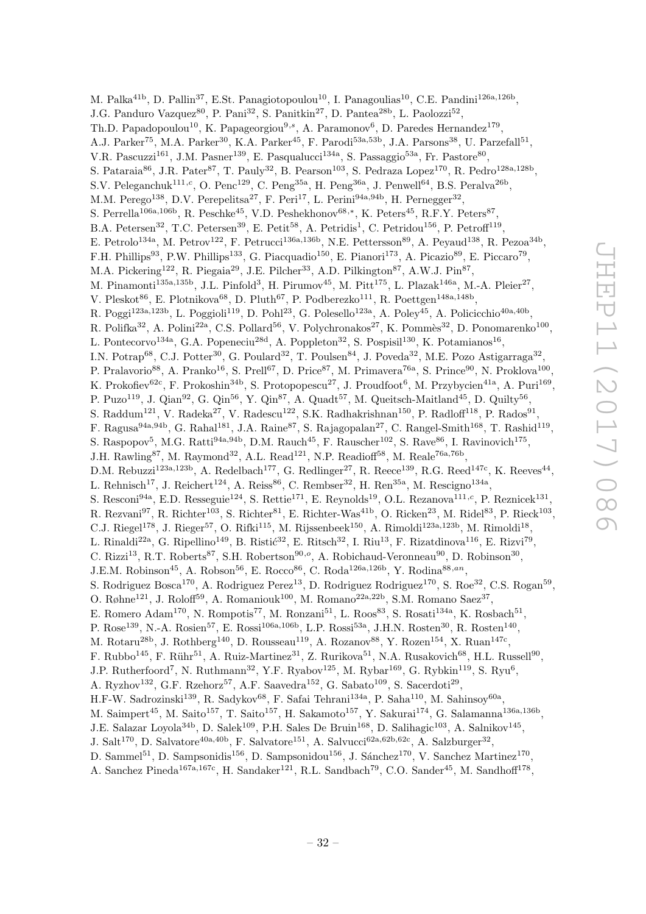M. Palka<sup>41b</sup>, D. Pallin<sup>37</sup>, E.St. Panagiotopoulou<sup>10</sup>, I. Panagoulias<sup>10</sup>, C.E. Pandini<sup>126a,126b</sup>, J.G. Panduro Vazquez<sup>80</sup>, P. Pani<sup>32</sup>, S. Panitkin<sup>27</sup>, D. Pantea<sup>28b</sup>, L. Paolozzi<sup>52</sup>, Th.D. Papadopoulou<sup>10</sup>, K. Papageorgiou<sup>9,s</sup>, A. Paramonov<sup>6</sup>, D. Paredes Hernandez<sup>179</sup>, A.J. Parker<sup>75</sup>, M.A. Parker<sup>30</sup>, K.A. Parker<sup>45</sup>, F. Parodi<sup>53a,53b</sup>, J.A. Parsons<sup>38</sup>, U. Parzefall<sup>51</sup>, V.R. Pascuzzi<sup>161</sup>, J.M. Pasner<sup>139</sup>, E. Pasqualucci<sup>134a</sup>, S. Passaggio<sup>53a</sup>, Fr. Pastore<sup>80</sup>, S. Pataraia<sup>86</sup>, J.R. Pater<sup>87</sup>, T. Pauly<sup>32</sup>, B. Pearson<sup>103</sup>, S. Pedraza Lopez<sup>170</sup>, R. Pedro<sup>128a,128b</sup>, S.V. Peleganchuk<sup>111,c</sup>, O. Penc<sup>129</sup>, C. Peng<sup>35a</sup>, H. Peng<sup>36a</sup>, J. Penwell<sup>64</sup>, B.S. Peralva<sup>26b</sup>, M.M. Perego<sup>138</sup>, D.V. Perepelitsa<sup>27</sup>, F. Peri<sup>17</sup>, L. Perini<sup>94a,94b</sup>, H. Pernegger<sup>32</sup>, S. Perrella<sup>106a,106b</sup>, R. Peschke<sup>45</sup>, V.D. Peshekhonov<sup>68,\*</sup>, K. Peters<sup>45</sup>, R.F.Y. Peters<sup>87</sup>, B.A. Petersen<sup>32</sup>, T.C. Petersen<sup>39</sup>, E. Petit<sup>58</sup>, A. Petridis<sup>1</sup>, C. Petridou<sup>156</sup>, P. Petroff<sup>119</sup>, E. Petrolo<sup>134a</sup>, M. Petrov<sup>122</sup>, F. Petrucci<sup>136a,136b</sup>, N.E. Pettersson<sup>89</sup>, A. Peyaud<sup>138</sup>, R. Pezoa<sup>34b</sup>, F.H. Phillips<sup>93</sup>, P.W. Phillips<sup>133</sup>, G. Piacquadio<sup>150</sup>, E. Pianori<sup>173</sup>, A. Picazio<sup>89</sup>, E. Piccaro<sup>79</sup>, M.A. Pickering<sup>122</sup>, R. Piegaia<sup>29</sup>, J.E. Pilcher<sup>33</sup>, A.D. Pilkington<sup>87</sup>, A.W.J. Pin<sup>87</sup>, M. Pinamonti<sup>135a,135b</sup>, J.L. Pinfold<sup>3</sup>, H. Pirumov<sup>45</sup>, M. Pitt<sup>175</sup>, L. Plazak<sup>146a</sup>, M.-A. Pleier<sup>27</sup>, V. Pleskot<sup>86</sup>, E. Plotnikova<sup>68</sup>, D. Pluth<sup>67</sup>, P. Podberezko<sup>111</sup>, R. Poettgen<sup>148a,148b</sup>, R. Poggi<sup>123a,123b</sup>, L. Poggioli<sup>119</sup>, D. Pohl<sup>23</sup>, G. Polesello<sup>123a</sup>, A. Poley<sup>45</sup>, A. Policicchio<sup>40a,40b</sup>, R. Polifka<sup>32</sup>, A. Polini<sup>22a</sup>, C.S. Pollard<sup>56</sup>, V. Polychronakos<sup>27</sup>, K. Pommès<sup>32</sup>, D. Ponomarenko<sup>100</sup>, L. Pontecorvo<sup>134a</sup>, G.A. Popeneciu<sup>28d</sup>, A. Poppleton<sup>32</sup>, S. Pospisil<sup>130</sup>, K. Potamianos<sup>16</sup>, I.N. Potrap<sup>68</sup>, C.J. Potter<sup>30</sup>, G. Poulard<sup>32</sup>, T. Poulsen<sup>84</sup>, J. Poveda<sup>32</sup>, M.E. Pozo Astigarraga<sup>32</sup>, P. Pralavorio<sup>88</sup>, A. Pranko<sup>16</sup>, S. Prell<sup>67</sup>, D. Price<sup>87</sup>, M. Primavera<sup>76a</sup>, S. Prince<sup>90</sup>, N. Proklova<sup>100</sup>, K. Prokofiev<sup>62c</sup>, F. Prokoshin<sup>34b</sup>, S. Protopopescu<sup>27</sup>, J. Proudfoot<sup>6</sup>, M. Przybycien<sup>41a</sup>, A. Puri<sup>169</sup>, P. Puzo<sup>119</sup>, J. Qian<sup>92</sup>, G. Qin<sup>56</sup>, Y. Qin<sup>87</sup>, A. Quadt<sup>57</sup>, M. Queitsch-Maitland<sup>45</sup>, D. Quilty<sup>56</sup>, S. Raddum<sup>121</sup>, V. Radeka<sup>27</sup>, V. Radescu<sup>122</sup>, S.K. Radhakrishnan<sup>150</sup>, P. Radloff<sup>118</sup>, P. Rados<sup>91</sup>, F. Ragusa<sup>94a,94b</sup>, G. Rahal<sup>181</sup>, J.A. Raine<sup>87</sup>, S. Rajagopalan<sup>27</sup>, C. Rangel-Smith<sup>168</sup>, T. Rashid<sup>119</sup>, S. Raspopov<sup>5</sup>, M.G. Ratti<sup>94a,94b</sup>, D.M. Rauch<sup>45</sup>, F. Rauscher<sup>102</sup>, S. Rave<sup>86</sup>, I. Ravinovich<sup>175</sup>, J.H. Rawling<sup>87</sup>, M. Raymond<sup>32</sup>, A.L. Read<sup>121</sup>, N.P. Readioff<sup>58</sup>, M. Reale<sup>76a,76b</sup>, D.M. Rebuzzi<sup>123a,123b</sup>, A. Redelbach<sup>177</sup>, G. Redlinger<sup>27</sup>, R. Reece<sup>139</sup>, R.G. Reed<sup>147c</sup>, K. Reeves<sup>44</sup>, L. Rehnisch<sup>17</sup>, J. Reichert<sup>124</sup>, A. Reiss<sup>86</sup>, C. Rembser<sup>32</sup>, H. Ren<sup>35a</sup>, M. Rescigno<sup>134a</sup>, S. Resconi<sup>94a</sup>, E.D. Resseguie<sup>124</sup>, S. Rettie<sup>171</sup>, E. Reynolds<sup>19</sup>, O.L. Rezanova<sup>111,c</sup>, P. Reznicek<sup>131</sup>, R. Rezvani<sup>97</sup>, R. Richter<sup>103</sup>, S. Richter<sup>81</sup>, E. Richter-Was<sup>41b</sup>, O. Ricken<sup>23</sup>, M. Ridel<sup>83</sup>, P. Rieck<sup>103</sup>, C.J. Riegel<sup>178</sup>, J. Rieger<sup>57</sup>, O. Rifki<sup>115</sup>, M. Rijssenbeek<sup>150</sup>, A. Rimoldi<sup>123a,123b</sup>, M. Rimoldi<sup>18</sup>, L. Rinaldi<sup>22a</sup>, G. Ripellino<sup>149</sup>, B. Ristić<sup>32</sup>, E. Ritsch<sup>32</sup>, I. Riu<sup>13</sup>, F. Rizatdinova<sup>116</sup>, E. Rizvi<sup>79</sup>, C. Rizzi<sup>13</sup>, R.T. Roberts<sup>87</sup>, S.H. Robertson<sup>90,0</sup>, A. Robichaud-Veronneau<sup>90</sup>, D. Robinson<sup>30</sup>, J.E.M. Robinson<sup>45</sup>, A. Robson<sup>56</sup>, E. Rocco<sup>86</sup>, C. Roda<sup>126a,126b</sup>, Y. Rodina<sup>88,*an*</sup>, S. Rodriguez Bosca<sup>170</sup>, A. Rodriguez Perez<sup>13</sup>, D. Rodriguez Rodriguez<sup>170</sup>, S. Roe<sup>32</sup>, C.S. Rogan<sup>59</sup>, O. Røhne<sup>121</sup>, J. Roloff<sup>59</sup>, A. Romaniouk<sup>100</sup>, M. Romano<sup>22a,22b</sup>, S.M. Romano Saez<sup>37</sup>, E. Romero Adam<sup>170</sup>, N. Rompotis<sup>77</sup>, M. Ronzani<sup>51</sup>, L. Roos<sup>83</sup>, S. Rosati<sup>134a</sup>, K. Rosbach<sup>51</sup>, P. Rose<sup>139</sup>, N.-A. Rosien<sup>57</sup>, E. Rossi<sup>106a,106b</sup>, L.P. Rossi<sup>53a</sup>, J.H.N. Rosten<sup>30</sup>, R. Rosten<sup>140</sup>, M. Rotaru<sup>28b</sup>, J. Rothberg<sup>140</sup>, D. Rousseau<sup>119</sup>, A. Rozanov<sup>88</sup>, Y. Rozen<sup>154</sup>, X. Ruan<sup>147c</sup>, F. Rubbo<sup>145</sup>, F. Rühr<sup>51</sup>, A. Ruiz-Martinez<sup>31</sup>, Z. Rurikova<sup>51</sup>, N.A. Rusakovich<sup>68</sup>, H.L. Russell<sup>90</sup>, J.P. Rutherfoord<sup>7</sup>, N. Ruthmann<sup>32</sup>, Y.F. Ryabov<sup>125</sup>, M. Rybar<sup>169</sup>, G. Rybkin<sup>119</sup>, S. Ryu<sup>6</sup>, A. Ryzhov<sup>132</sup>, G.F. Rzehorz<sup>57</sup>, A.F. Saavedra<sup>152</sup>, G. Sabato<sup>109</sup>, S. Sacerdoti<sup>29</sup>, H.F-W. Sadrozinski<sup>139</sup>, R. Sadykov<sup>68</sup>, F. Safai Tehrani<sup>134a</sup>, P. Saha<sup>110</sup>, M. Sahinsoy<sup>60a</sup>, M. Saimpert<sup>45</sup>, M. Saito<sup>157</sup>, T. Saito<sup>157</sup>, H. Sakamoto<sup>157</sup>, Y. Sakurai<sup>174</sup>, G. Salamanna<sup>136a,136b</sup>, J.E. Salazar Loyola<sup>34b</sup>, D. Salek<sup>109</sup>, P.H. Sales De Bruin<sup>168</sup>, D. Salihagic<sup>103</sup>, A. Salnikov<sup>145</sup>, J. Salt<sup>170</sup>, D. Salvatore<sup>40a,40b</sup>, F. Salvatore<sup>151</sup>, A. Salvucci<sup>62a,62b,62c</sup>, A. Salzburger<sup>32</sup>, D. Sammel<sup>51</sup>, D. Sampsonidis<sup>156</sup>, D. Sampsonidou<sup>156</sup>, J. Sánchez<sup>170</sup>, V. Sanchez Martinez<sup>170</sup>,

A. Sanchez Pineda<sup>167a,167c</sup>, H. Sandaker<sup>121</sup>, R.L. Sandbach<sup>79</sup>, C.O. Sander<sup>45</sup>, M. Sandhoff<sup>178</sup>,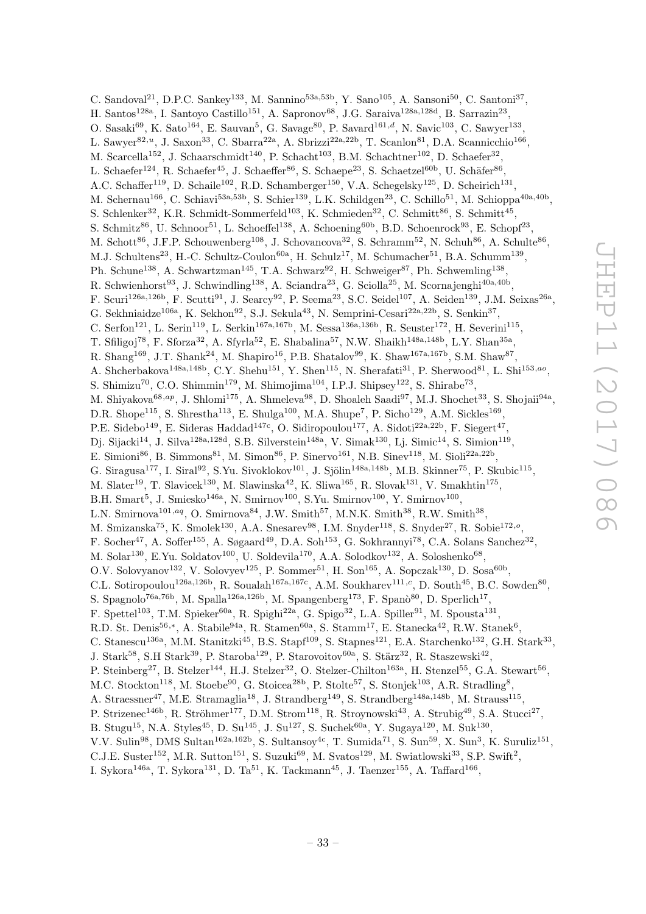C. Sandoval<sup>21</sup>, D.P.C. Sankey<sup>133</sup>, M. Sannino<sup>53a,53b</sup>, Y. Sano<sup>105</sup>, A. Sansoni<sup>50</sup>, C. Santoni<sup>37</sup>, H. Santos<sup>128a</sup>, I. Santoyo Castillo<sup>151</sup>, A. Sapronov<sup>68</sup>, J.G. Saraiva<sup>128a,128d</sup>, B. Sarrazin<sup>23</sup>, O. Sasaki<sup>69</sup>, K. Sato<sup>164</sup>, E. Sauvan<sup>5</sup>, G. Savage<sup>80</sup>, P. Savard<sup>161,d</sup>, N. Savic<sup>103</sup>, C. Sawyer<sup>133</sup>, L. Sawyer<sup>82,*u*</sup>, J. Saxon<sup>33</sup>, C. Sbarra<sup>22a</sup>, A. Sbrizzi<sup>22a,22b</sup>, T. Scanlon<sup>81</sup>, D.A. Scannicchio<sup>166</sup>, M. Scarcella<sup>152</sup>, J. Schaarschmidt<sup>140</sup>, P. Schacht<sup>103</sup>, B.M. Schachtner<sup>102</sup>, D. Schaefer<sup>32</sup>, L. Schaefer<sup>124</sup>, R. Schaefer<sup>45</sup>, J. Schaeffer<sup>86</sup>, S. Schaepe<sup>23</sup>, S. Schaetzel<sup>60b</sup>, U. Schäfer<sup>86</sup>, A.C. Schaffer<sup>119</sup>, D. Schaile<sup>102</sup>, R.D. Schamberger<sup>150</sup>, V.A. Schegelsky<sup>125</sup>, D. Scheirich<sup>131</sup>, M. Schernau<sup>166</sup>, C. Schiavi<sup>53a,53b</sup>, S. Schier<sup>139</sup>, L.K. Schildgen<sup>23</sup>, C. Schillo<sup>51</sup>, M. Schioppa<sup>40a,40b</sup>, S. Schlenker<sup>32</sup>, K.R. Schmidt-Sommerfeld<sup>103</sup>, K. Schmieden<sup>32</sup>, C. Schmitt<sup>86</sup>, S. Schmitt<sup>45</sup>, S. Schmitz<sup>86</sup>, U. Schnoor<sup>51</sup>, L. Schoeffel<sup>138</sup>, A. Schoening<sup>60b</sup>, B.D. Schoenrock<sup>93</sup>, E. Schopf<sup>23</sup>, M. Schott<sup>86</sup>, J.F.P. Schouwenberg<sup>108</sup>, J. Schovancova<sup>32</sup>, S. Schramm<sup>52</sup>, N. Schuh<sup>86</sup>, A. Schulte<sup>86</sup>, M.J. Schultens<sup>23</sup>, H.-C. Schultz-Coulon<sup>60a</sup>, H. Schulz<sup>17</sup>, M. Schumacher<sup>51</sup>, B.A. Schumm<sup>139</sup>, Ph. Schune<sup>138</sup>, A. Schwartzman<sup>145</sup>, T.A. Schwarz<sup>92</sup>, H. Schweiger<sup>87</sup>, Ph. Schwemling<sup>138</sup>, R. Schwienhorst<sup>93</sup>, J. Schwindling<sup>138</sup>, A. Sciandra<sup>23</sup>, G. Sciolla<sup>25</sup>, M. Scornajenghi<sup>40a,40b</sup>, F. Scuri<sup>126a,126b</sup>, F. Scutti<sup>91</sup>, J. Searcy<sup>92</sup>, P. Seema<sup>23</sup>, S.C. Seidel<sup>107</sup>, A. Seiden<sup>139</sup>, J.M. Seixas<sup>26a</sup>, G. Sekhniaidze<sup>106a</sup>, K. Sekhon<sup>92</sup>, S.J. Sekula<sup>43</sup>, N. Semprini-Cesari<sup>22a,22b</sup>, S. Senkin<sup>37</sup>, C. Serfon<sup>121</sup>, L. Serin<sup>119</sup>, L. Serkin<sup>167a,167b</sup>, M. Sessa<sup>136a,136b</sup>, R. Seuster<sup>172</sup>, H. Severini<sup>115</sup>, T. Sfiligoj<sup>78</sup>, F. Sforza<sup>32</sup>, A. Sfyrla<sup>52</sup>, E. Shabalina<sup>57</sup>, N.W. Shaikh<sup>148a,148b</sup>, L.Y. Shan<sup>35a</sup>, R. Shang<sup>169</sup>, J.T. Shank<sup>24</sup>, M. Shapiro<sup>16</sup>, P.B. Shatalov<sup>99</sup>, K. Shaw<sup>167a,167b</sup>, S.M. Shaw<sup>87</sup>, A. Shcherbakova<sup>148a,148b</sup>, C.Y. Shehu<sup>151</sup>, Y. Shen<sup>115</sup>, N. Sherafati<sup>31</sup>, P. Sherwood<sup>81</sup>, L. Shi<sup>153,ao</sup>, S. Shimizu<sup>70</sup>, C.O. Shimmin<sup>179</sup>, M. Shimojima<sup>104</sup>, I.P.J. Shipsey<sup>122</sup>, S. Shirabe<sup>73</sup>, M. Shiyakova<sup>68,ap</sup>, J. Shlomi<sup>175</sup>, A. Shmeleva<sup>98</sup>, D. Shoaleh Saadi<sup>97</sup>, M.J. Shochet<sup>33</sup>, S. Shojaii<sup>94a</sup>, D.R. Shope<sup>115</sup>, S. Shrestha<sup>113</sup>, E. Shulga<sup>100</sup>, M.A. Shupe<sup>7</sup>, P. Sicho<sup>129</sup>, A.M. Sickles<sup>169</sup>, P.E. Sidebo<sup>149</sup>, E. Sideras Haddad<sup>147c</sup>, O. Sidiropoulou<sup>177</sup>, A. Sidoti<sup>22a,22b</sup>, F. Siegert<sup>47</sup>, Dj. Sijacki<sup>14</sup>, J. Silva<sup>128a,128d</sup>, S.B. Silverstein<sup>148a</sup>, V. Simak<sup>130</sup>, Lj. Simic<sup>14</sup>, S. Simion<sup>119</sup>, E. Simioni<sup>86</sup>, B. Simmons<sup>81</sup>, M. Simon<sup>86</sup>, P. Sinervo<sup>161</sup>, N.B. Sinev<sup>118</sup>, M. Sioli<sup>22a,22b</sup>, G. Siragusa<sup>177</sup>, I. Siral<sup>92</sup>, S.Yu. Sivoklokov<sup>101</sup>, J. Sjölin<sup>148a,148b</sup>, M.B. Skinner<sup>75</sup>, P. Skubic<sup>115</sup>, M. Slater<sup>19</sup>, T. Slavicek<sup>130</sup>, M. Slawinska<sup>42</sup>, K. Sliwa<sup>165</sup>, R. Slovak<sup>131</sup>, V. Smakhtin<sup>175</sup>, B.H. Smart<sup>5</sup>, J. Smiesko<sup>146a</sup>, N. Smirnov<sup>100</sup>, S.Yu. Smirnov<sup>100</sup>, Y. Smirnov<sup>100</sup>, L.N. Smirnova<sup>101,aq</sup>, O. Smirnova<sup>84</sup>, J.W. Smith<sup>57</sup>, M.N.K. Smith<sup>38</sup>, R.W. Smith<sup>38</sup>, M. Smizanska<sup>75</sup>, K. Smolek<sup>130</sup>, A.A. Snesarev<sup>98</sup>, I.M. Snyder<sup>118</sup>, S. Snyder<sup>27</sup>, R. Sobie<sup>172,0</sup>, F. Socher<sup>47</sup>, A. Soffer<sup>155</sup>, A. Søgaard<sup>49</sup>, D.A. Soh<sup>153</sup>, G. Sokhrannyi<sup>78</sup>, C.A. Solans Sanchez<sup>32</sup>, M. Solar<sup>130</sup>, E.Yu. Soldatov<sup>100</sup>, U. Soldevila<sup>170</sup>, A.A. Solodkov<sup>132</sup>, A. Soloshenko<sup>68</sup>, O.V. Solovyanov<sup>132</sup>, V. Solovyev<sup>125</sup>, P. Sommer<sup>51</sup>, H. Son<sup>165</sup>, A. Sopczak<sup>130</sup>, D. Sosa<sup>60b</sup>, C.L. Sotiropoulou<sup>126a,126b</sup>, R. Soualah<sup>167a,167c</sup>, A.M. Soukharev<sup>111,c</sup>, D. South<sup>45</sup>, B.C. Sowden<sup>80</sup>, S. Spagnolo<sup>76a,76b</sup>, M. Spalla<sup>126a,126b</sup>, M. Spangenberg<sup>173</sup>, F. Spanò<sup>80</sup>, D. Sperlich<sup>17</sup>, F. Spettel<sup>103</sup>, T.M. Spieker<sup>60a</sup>, R. Spighi<sup>22a</sup>, G. Spigo<sup>32</sup>, L.A. Spiller<sup>91</sup>, M. Spousta<sup>131</sup>, R.D. St. Denis<sup>56,\*</sup>, A. Stabile<sup>94a</sup>, R. Stamen<sup>60a</sup>, S. Stamm<sup>17</sup>, E. Stanecka<sup>42</sup>, R.W. Stanek<sup>6</sup>, C. Stanescu<sup>136a</sup>, M.M. Stanitzki<sup>45</sup>, B.S. Stapf<sup>109</sup>, S. Stapnes<sup>121</sup>, E.A. Starchenko<sup>132</sup>, G.H. Stark<sup>33</sup>, J. Stark<sup>58</sup>, S.H Stark<sup>39</sup>, P. Staroba<sup>129</sup>, P. Starovoitov<sup>60a</sup>, S. Stärz<sup>32</sup>, R. Staszewski<sup>42</sup>, P. Steinberg<sup>27</sup>, B. Stelzer<sup>144</sup>, H.J. Stelzer<sup>32</sup>, O. Stelzer-Chilton<sup>163a</sup>, H. Stenzel<sup>55</sup>, G.A. Stewart<sup>56</sup>, M.C. Stockton<sup>118</sup>, M. Stoebe<sup>90</sup>, G. Stoicea<sup>28b</sup>, P. Stolte<sup>57</sup>, S. Stonjek<sup>103</sup>, A.R. Stradling<sup>8</sup>, A. Straessner<sup>47</sup>, M.E. Stramaglia<sup>18</sup>, J. Strandberg<sup>149</sup>, S. Strandberg<sup>148a,148b</sup>, M. Strauss<sup>115</sup>, P. Strizenec<sup>146b</sup>, R. Ströhmer<sup>177</sup>, D.M. Strom<sup>118</sup>, R. Stroynowski<sup>43</sup>, A. Strubig<sup>49</sup>, S.A. Stucci<sup>27</sup>, B. Stugu<sup>15</sup>, N.A. Styles<sup>45</sup>, D. Su<sup>145</sup>, J. Su<sup>127</sup>, S. Suchek<sup>60a</sup>, Y. Sugaya<sup>120</sup>, M. Suk<sup>130</sup>, V.V. Sulin<sup>98</sup>, DMS Sultan<sup>162a,162b</sup>, S. Sultansoy<sup>4c</sup>, T. Sumida<sup>71</sup>, S. Sun<sup>59</sup>, X. Sun<sup>3</sup>, K. Suruliz<sup>151</sup>, C.J.E. Suster<sup>152</sup>, M.R. Sutton<sup>151</sup>, S. Suzuki<sup>69</sup>, M. Svatos<sup>129</sup>, M. Swiatlowski<sup>33</sup>, S.P. Swift<sup>2</sup>,

I. Sykora<sup>146a</sup>, T. Sykora<sup>131</sup>, D. Ta<sup>51</sup>, K. Tackmann<sup>45</sup>, J. Taenzer<sup>155</sup>, A. Taffard<sup>166</sup>,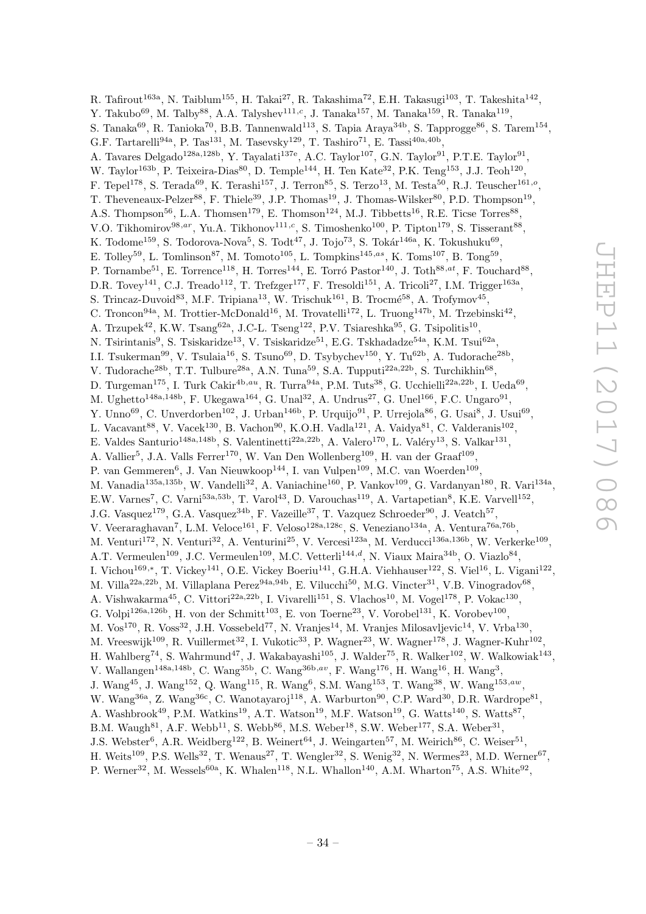R. Tafirout<sup>163a</sup>, N. Taiblum<sup>155</sup>, H. Takai<sup>27</sup>, R. Takashima<sup>72</sup>, E.H. Takasugi<sup>103</sup>, T. Takeshita<sup>142</sup>, Y. Takubo<sup>69</sup>, M. Talby<sup>88</sup>, A.A. Talyshev<sup>111,c</sup>, J. Tanaka<sup>157</sup>, M. Tanaka<sup>159</sup>, R. Tanaka<sup>119</sup>, S. Tanaka $^{69}$ , R. Tanioka $^{70}$ , B.B. Tannenwald $^{113}$ , S. Tapia Araya $^{34\mathrm{b}}$ , S. Tapprogge $^{86}$ , S. Tarem $^{154}$ , G.F. Tartarelli<sup>94a</sup>, P. Tas<sup>131</sup>, M. Tasevsky<sup>129</sup>, T. Tashiro<sup>71</sup>, E. Tassi<sup>40a,40b</sup>, A. Tavares Delgado<sup>128a,128b</sup>, Y. Tayalati<sup>137e</sup>, A.C. Taylor<sup>107</sup>, G.N. Taylor<sup>91</sup>, P.T.E. Taylor<sup>91</sup>, W. Taylor<sup>163b</sup>, P. Teixeira-Dias<sup>80</sup>, D. Temple<sup>144</sup>, H. Ten Kate<sup>32</sup>, P.K. Teng<sup>153</sup>, J.J. Teoh<sup>120</sup>, F. Tepel<sup>178</sup>, S. Terada<sup>69</sup>, K. Terashi<sup>157</sup>, J. Terron<sup>85</sup>, S. Terzo<sup>13</sup>, M. Testa<sup>50</sup>, R.J. Teuscher<sup>161,0</sup>, T. Theveneaux-Pelzer<sup>88</sup>, F. Thiele<sup>39</sup>, J.P. Thomas<sup>19</sup>, J. Thomas-Wilsker<sup>80</sup>, P.D. Thompson<sup>19</sup>, A.S. Thompson<sup>56</sup>, L.A. Thomsen<sup>179</sup>, E. Thomson<sup>124</sup>, M.J. Tibbetts<sup>16</sup>, R.E. Ticse Torres<sup>88</sup>, V.O. Tikhomirov<sup>98,ar</sup>, Yu.A. Tikhonov<sup>111,c</sup>, S. Timoshenko<sup>100</sup>, P. Tipton<sup>179</sup>, S. Tisserant<sup>88</sup>, K. Todome<sup>159</sup>, S. Todorova-Nova<sup>5</sup>, S. Todt<sup>47</sup>, J. Tojo<sup>73</sup>, S. Tokár<sup>146a</sup>, K. Tokushuku<sup>69</sup>, E. Tolley<sup>59</sup>, L. Tomlinson<sup>87</sup>, M. Tomoto<sup>105</sup>, L. Tompkins<sup>145,as</sup>, K. Toms<sup>107</sup>, B. Tong<sup>59</sup>, P. Tornambe<sup>51</sup>, E. Torrence<sup>118</sup>, H. Torres<sup>144</sup>, E. Torró Pastor<sup>140</sup>, J. Toth<sup>88,at</sup>, F. Touchard<sup>88</sup>, D.R. Tovey<sup>141</sup>, C.J. Treado<sup>112</sup>, T. Trefzger<sup>177</sup>, F. Tresoldi<sup>151</sup>, A. Tricoli<sup>27</sup>, I.M. Trigger<sup>163a</sup>, S. Trincaz-Duvoid<sup>83</sup>, M.F. Tripiana<sup>13</sup>, W. Trischuk<sup>161</sup>, B. Trocmé<sup>58</sup>, A. Trofymov<sup>45</sup>, C. Troncon<sup>94a</sup>, M. Trottier-McDonald<sup>16</sup>, M. Trovatelli<sup>172</sup>, L. Truong<sup>147b</sup>, M. Trzebinski<sup>42</sup>, A. Trzupek<sup>42</sup>, K.W. Tsang<sup>62a</sup>, J.C-L. Tseng<sup>122</sup>, P.V. Tsiareshka<sup>95</sup>, G. Tsipolitis<sup>10</sup>, N. Tsirintanis<sup>9</sup>, S. Tsiskaridze<sup>13</sup>, V. Tsiskaridze<sup>51</sup>, E.G. Tskhadadze<sup>54a</sup>, K.M. Tsui<sup>62a</sup>, I.I. Tsukerman<sup>99</sup>, V. Tsulaia<sup>16</sup>, S. Tsuno<sup>69</sup>, D. Tsybychev<sup>150</sup>, Y. Tu<sup>62b</sup>, A. Tudorache<sup>28b</sup>, V. Tudorache<sup>28b</sup>, T.T. Tulbure<sup>28a</sup>, A.N. Tuna<sup>59</sup>, S.A. Tupputi<sup>22a,22b</sup>, S. Turchikhin<sup>68</sup>, D. Turgeman<sup>175</sup>, I. Turk Cakir<sup>4b,au</sup>, R. Turra<sup>94a</sup>, P.M. Tuts<sup>38</sup>, G. Ucchielli<sup>22a,22b</sup>, I. Ueda<sup>69</sup>, M. Ughetto<sup>148a,148b</sup>, F. Ukegawa<sup>164</sup>, G. Unal<sup>32</sup>, A. Undrus<sup>27</sup>, G. Unel<sup>166</sup>, F.C. Ungaro<sup>91</sup>, Y. Unno<sup>69</sup>, C. Unverdorben<sup>102</sup>, J. Urban<sup>146b</sup>, P. Urquijo<sup>91</sup>, P. Urrejola<sup>86</sup>, G. Usai<sup>8</sup>, J. Usui<sup>69</sup>, L. Vacavant $^{88}$ , V. Vacek $^{130}$ , B. Vachon $^{90}$ , K.O.H. Vadla $^{121}$ , A. Vaidya $^{81}$ , C. Valderanis $^{102}$ , E. Valdes Santurio<sup>148a,148b</sup>, S. Valentinetti<sup>22a,22b</sup>, A. Valero<sup>170</sup>, L. Valéry<sup>13</sup>, S. Valkar<sup>131</sup>, A. Vallier<sup>5</sup>, J.A. Valls Ferrer<sup>170</sup>, W. Van Den Wollenberg<sup>109</sup>, H. van der Graaf<sup>109</sup>, P. van Gemmeren<sup>6</sup>, J. Van Nieuwkoop<sup>144</sup>, I. van Vulpen<sup>109</sup>, M.C. van Woerden<sup>109</sup>, M. Vanadia<sup>135a,135b</sup>, W. Vandelli<sup>32</sup>, A. Vaniachine<sup>160</sup>, P. Vankov<sup>109</sup>, G. Vardanyan<sup>180</sup>, R. Vari<sup>134a</sup>, E.W. Varnes<sup>7</sup>, C. Varni<sup>53a,53b</sup>, T. Varol<sup>43</sup>, D. Varouchas<sup>119</sup>, A. Vartapetian<sup>8</sup>, K.E. Varvell<sup>152</sup>, J.G. Vasquez<sup>179</sup>, G.A. Vasquez<sup>34b</sup>, F. Vazeille<sup>37</sup>, T. Vazquez Schroeder<sup>90</sup>, J. Veatch<sup>57</sup>, V. Veeraraghavan<sup>7</sup>, L.M. Veloce<sup>161</sup>, F. Veloso<sup>128a,128c</sup>, S. Veneziano<sup>134a</sup>, A. Ventura<sup>76a,76b</sup>, M. Venturi<sup>172</sup>, N. Venturi<sup>32</sup>, A. Venturini<sup>25</sup>, V. Vercesi<sup>123a</sup>, M. Verducci<sup>136a,136b</sup>, W. Verkerke<sup>109</sup>, A.T. Vermeulen<sup>109</sup>, J.C. Vermeulen<sup>109</sup>, M.C. Vetterli<sup>144,d</sup>, N. Viaux Maira<sup>34b</sup>, O. Viazlo<sup>84</sup>, I. Vichou<sup>169,\*</sup>, T. Vickey<sup>141</sup>, O.E. Vickey Boeriu<sup>141</sup>, G.H.A. Viehhauser<sup>122</sup>, S. Viel<sup>16</sup>, L. Vigani<sup>122</sup>, M. Villa<sup>22a,22b</sup>, M. Villaplana Perez<sup>94a,94b</sup>, E. Vilucchi<sup>50</sup>, M.G. Vincter<sup>31</sup>, V.B. Vinogradov<sup>68</sup>, A. Vishwakarma<sup>45</sup>, C. Vittori<sup>22a, 22b</sup>, I. Vivarelli<sup>151</sup>, S. Vlachos<sup>10</sup>, M. Vogel<sup>178</sup>, P. Vokac<sup>130</sup>, G. Volpi<sup>126a,126b</sup>, H. von der Schmitt<sup>103</sup>, E. von Toerne<sup>23</sup>, V. Vorobel<sup>131</sup>, K. Vorobev<sup>100</sup>, M. Vos<sup>170</sup>, R. Voss<sup>32</sup>, J.H. Vossebeld<sup>77</sup>, N. Vranjes<sup>14</sup>, M. Vranjes Milosavljevic<sup>14</sup>, V. Vrba<sup>130</sup>, M. Vreeswijk $^{109}$ , R. Vuillermet $^{32}$ , I. Vukotic $^{33}$ , P. Wagner $^{23}$ , W. Wagner $^{178}$ , J. Wagner-Kuhr $^{102}$ , H. Wahlberg<sup>74</sup>, S. Wahrmund<sup>47</sup>, J. Wakabayashi<sup>105</sup>, J. Walder<sup>75</sup>, R. Walker<sup>102</sup>, W. Walkowiak<sup>143</sup>, V. Wallangen<sup>148a,148b</sup>, C. Wang<sup>35b</sup>, C. Wang<sup>36b,av</sup>, F. Wang<sup>176</sup>, H. Wang<sup>16</sup>, H. Wang<sup>3</sup>, J. Wang<sup>45</sup>, J. Wang<sup>152</sup>, Q. Wang<sup>115</sup>, R. Wang<sup>6</sup>, S.M. Wang<sup>153</sup>, T. Wang<sup>38</sup>, W. Wang<sup>153,aw</sup>, W. Wang<sup>36a</sup>, Z. Wang<sup>36c</sup>, C. Wanotayaroj<sup>118</sup>, A. Warburton<sup>90</sup>, C.P. Ward<sup>30</sup>, D.R. Wardrope<sup>81</sup>, A. Washbrook<sup>49</sup>, P.M. Watkins<sup>19</sup>, A.T. Watson<sup>19</sup>, M.F. Watson<sup>19</sup>, G. Watts<sup>140</sup>, S. Watts<sup>87</sup>, B.M. Waugh<sup>81</sup>, A.F. Webb<sup>11</sup>, S. Webb<sup>86</sup>, M.S. Weber<sup>18</sup>, S.W. Weber<sup>177</sup>, S.A. Weber<sup>31</sup>, J.S. Webster<sup>6</sup>, A.R. Weidberg<sup>122</sup>, B. Weinert<sup>64</sup>, J. Weingarten<sup>57</sup>, M. Weirich<sup>86</sup>, C. Weiser<sup>51</sup>, H. Weits<sup>109</sup>, P.S. Wells<sup>32</sup>, T. Wenaus<sup>27</sup>, T. Wengler<sup>32</sup>, S. Wenig<sup>32</sup>, N. Wermes<sup>23</sup>, M.D. Werner<sup>67</sup>,

P. Werner<sup>32</sup>, M. Wessels<sup>60a</sup>, K. Whalen<sup>118</sup>, N.L. Whallon<sup>140</sup>, A.M. Wharton<sup>75</sup>, A.S. White<sup>92</sup>,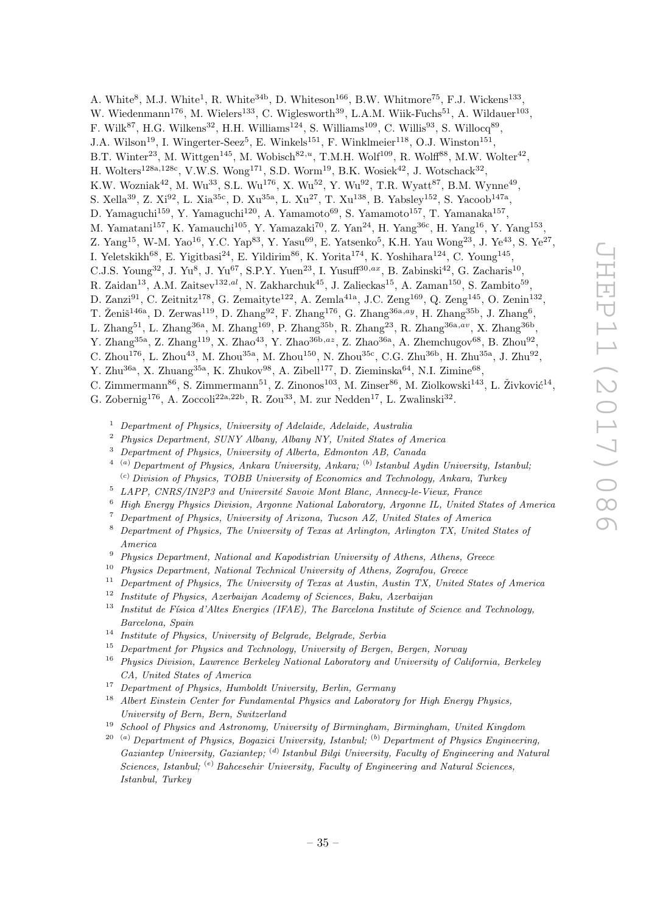A. White<sup>8</sup>, M.J. White<sup>1</sup>, R. White<sup>34b</sup>, D. Whiteson<sup>166</sup>, B.W. Whitmore<sup>75</sup>, F.J. Wickens<sup>133</sup>,

W. Wiedenmann<sup>176</sup>, M. Wielers<sup>133</sup>, C. Wiglesworth<sup>39</sup>, L.A.M. Wiik-Fuchs<sup>51</sup>, A. Wildauer<sup>103</sup>,

F. Wilk<sup>87</sup>, H.G. Wilkens<sup>32</sup>, H.H. Williams<sup>124</sup>, S. Williams<sup>109</sup>, C. Willis<sup>93</sup>, S. Willocq<sup>89</sup>,

J.A. Wilson<sup>19</sup>, I. Wingerter-Seez<sup>5</sup>, E. Winkels<sup>151</sup>, F. Winklmeier<sup>118</sup>, O.J. Winston<sup>151</sup>,

B.T. Winter<sup>23</sup>, M. Wittgen<sup>145</sup>, M. Wobisch<sup>82,*u*</sup>, T.M.H. Wolf<sup>109</sup>, R. Wolff<sup>88</sup>, M.W. Wolter<sup>42</sup>,

- H. Wolters<sup>128a,128c</sup>, V.W.S. Wong<sup>171</sup>, S.D. Worm<sup>19</sup>, B.K. Wosiek<sup>42</sup>, J. Wotschack<sup>32</sup>,
- K.W. Wozniak<sup>42</sup>, M. Wu<sup>33</sup>, S.L. Wu<sup>176</sup>, X. Wu<sup>52</sup>, Y. Wu<sup>92</sup>, T.R. Wyatt<sup>87</sup>, B.M. Wynne<sup>49</sup>,
- S. Xella<sup>39</sup>, Z. Xi<sup>92</sup>, L. Xia<sup>35c</sup>, D. Xu<sup>35a</sup>, L. Xu<sup>27</sup>, T. Xu<sup>138</sup>, B. Yabsley<sup>152</sup>, S. Yacoob<sup>147a</sup>,
- D. Yamaguchi<sup>159</sup>, Y. Yamaguchi<sup>120</sup>, A. Yamamoto<sup>69</sup>, S. Yamamoto<sup>157</sup>, T. Yamanaka<sup>157</sup>,
- M. Yamatani<sup>157</sup>, K. Yamauchi<sup>105</sup>, Y. Yamazaki<sup>70</sup>, Z. Yan<sup>24</sup>, H. Yang<sup>36c</sup>, H. Yang<sup>16</sup>, Y. Yang<sup>153</sup>,
- Z. Yang<sup>15</sup>, W-M. Yao<sup>16</sup>, Y.C. Yap<sup>83</sup>, Y. Yasu<sup>69</sup>, E. Yatsenko<sup>5</sup>, K.H. Yau Wong<sup>23</sup>, J. Ye<sup>43</sup>, S. Ye<sup>27</sup>,
- I. Yeletskikh<sup>68</sup>, E. Yigitbasi<sup>24</sup>, E. Yildirim<sup>86</sup>, K. Yorita<sup>174</sup>, K. Yoshihara<sup>124</sup>, C. Young<sup>145</sup>,
- C.J.S. Young<sup>32</sup>, J. Yu<sup>8</sup>, J. Yu<sup>67</sup>, S.P.Y. Yuen<sup>23</sup>, I. Yusuff<sup>30,ax</sup>, B. Zabinski<sup>42</sup>, G. Zacharis<sup>10</sup>,
- R. Zaidan<sup>13</sup>, A.M. Zaitsev<sup>132,al</sup>, N. Zakharchuk<sup>45</sup>, J. Zalieckas<sup>15</sup>, A. Zaman<sup>150</sup>, S. Zambito<sup>59</sup>,
- D. Zanzi<sup>91</sup>, C. Zeitnitz<sup>178</sup>, G. Zemaityte<sup>122</sup>, A. Zemla<sup>41a</sup>, J.C. Zeng<sup>169</sup>, Q. Zeng<sup>145</sup>, O. Zenin<sup>132</sup>,
- T. Ženiš<sup>146a</sup>, D. Zerwas<sup>119</sup>, D. Zhang<sup>92</sup>, F. Zhang<sup>176</sup>, G. Zhang<sup>36a,ay</sup>, H. Zhang<sup>35b</sup>, J. Zhang<sup>6</sup>,
- L. Zhang $^{51}$ , L. Zhang $^{36a}$ , M. Zhang $^{169}$ , P. Zhang $^{35b}$ , R. Zhang $^{23}$ , R. Zhang $^{36a,av}$ , X. Zhang $^{36b}$ ,
- Y. Zhang<sup>35a</sup>, Z. Zhang<sup>119</sup>, X. Zhao<sup>43</sup>, Y. Zhao<sup>36b,az</sup>, Z. Zhao<sup>36a</sup>, A. Zhemchugov<sup>68</sup>, B. Zhou<sup>92</sup>,
- C. Zhou<sup>176</sup>, L. Zhou<sup>43</sup>, M. Zhou<sup>35a</sup>, M. Zhou<sup>150</sup>, N. Zhou<sup>35c</sup>, C.G. Zhu<sup>36b</sup>, H. Zhu<sup>35a</sup>, J. Zhu<sup>92</sup>,
- Y. Zhu<sup>36a</sup>, X. Zhuang<sup>35a</sup>, K. Zhukov<sup>98</sup>, A. Zibell<sup>177</sup>, D. Zieminska<sup>64</sup>, N.I. Zimine<sup>68</sup>,
- C. Zimmermann<sup>86</sup>, S. Zimmermann<sup>51</sup>, Z. Zinonos<sup>103</sup>, M. Zinser<sup>86</sup>, M. Ziolkowski<sup>143</sup>, L. Živković<sup>14</sup>,
- G. Zobernig<sup>176</sup>, A. Zoccoli<sup>22a,22b</sup>, R. Zou<sup>33</sup>, M. zur Nedden<sup>17</sup>, L. Zwalinski<sup>32</sup>.
	- <sup>1</sup> Department of Physics, University of Adelaide, Adelaide, Australia
	- <sup>2</sup> Physics Department, SUNY Albany, Albany NY, United States of America
	- <sup>3</sup> Department of Physics, University of Alberta, Edmonton AB, Canada
	- $^{4-(a)}$  Department of Physics, Ankara University, Ankara;  $^{(b)}$  Istanbul Aydin University, Istanbul;  $^{(c)}$  Division of Physics, TOBB University of Economics and Technology, Ankara, Turkey
	- $5$  LAPP, CNRS/IN2P3 and Université Savoie Mont Blanc, Annecy-le-Vieux, France
	- <sup>6</sup> High Energy Physics Division, Argonne National Laboratory, Argonne IL, United States of America
	- <sup>7</sup> Department of Physics, University of Arizona, Tucson AZ, United States of America
	- <sup>8</sup> Department of Physics, The University of Texas at Arlington, Arlington TX, United States of America
	- <sup>9</sup> Physics Department, National and Kapodistrian University of Athens, Athens, Greece
	- <sup>10</sup> Physics Department, National Technical University of Athens, Zografou, Greece
	- <sup>11</sup> Department of Physics, The University of Texas at Austin, Austin TX, United States of America
	- <sup>12</sup> Institute of Physics, Azerbaijan Academy of Sciences, Baku, Azerbaijan
	- <sup>13</sup> Institut de Física d'Altes Energies (IFAE), The Barcelona Institute of Science and Technology, Barcelona, Spain
	- <sup>14</sup> Institute of Physics, University of Belgrade, Belgrade, Serbia
	- <sup>15</sup> Department for Physics and Technology, University of Bergen, Bergen, Norway
	- <sup>16</sup> Physics Division, Lawrence Berkeley National Laboratory and University of California, Berkeley CA, United States of America
	- <sup>17</sup> Department of Physics, Humboldt University, Berlin, Germany
	- <sup>18</sup> Albert Einstein Center for Fundamental Physics and Laboratory for High Energy Physics, University of Bern, Bern, Switzerland
	- <sup>19</sup> School of Physics and Astronomy, University of Birmingham, Birmingham, United Kingdom
	- $20$ <sup>(a)</sup> Department of Physics, Bogazici University, Istanbul; <sup>(b)</sup> Department of Physics Engineering, Gaziantep University, Gaziantep; <sup>(d)</sup> Istanbul Bilgi University, Faculty of Engineering and Natural Sciences, Istanbul;  $(e)$  Bahcesehir University, Faculty of Engineering and Natural Sciences, Istanbul, Turkey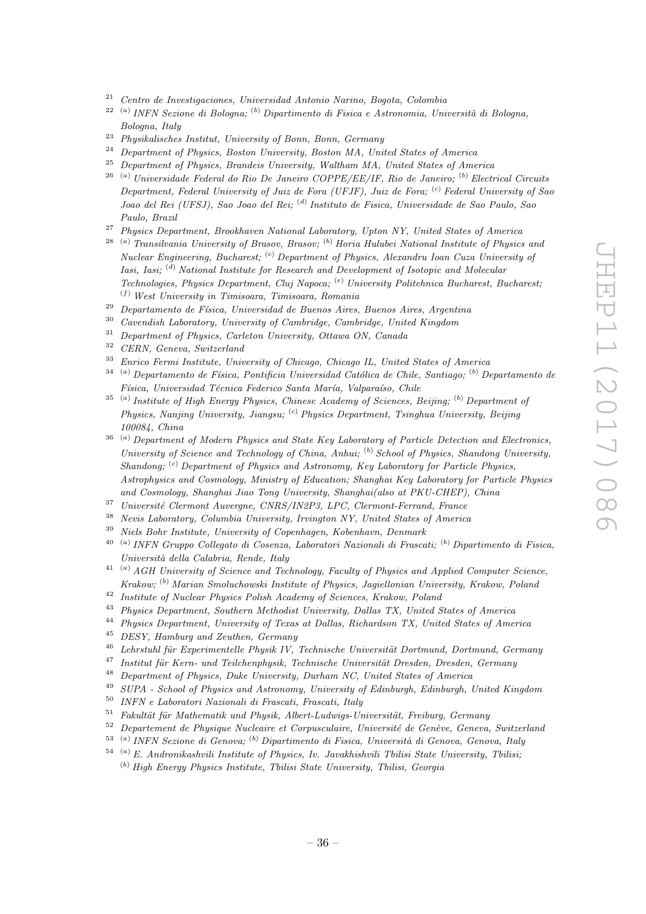- $21$  Centro de Investigaciones, Universidad Antonio Narino, Bogota, Colombia
- <sup>22 (a)</sup> INFN Sezione di Bologna; <sup>(b)</sup> Dipartimento di Fisica e Astronomia, Università di Bologna, Bologna, Italy
- <sup>23</sup> Physikalisches Institut, University of Bonn, Bonn, Germany
- <sup>24</sup> Department of Physics, Boston University, Boston MA, United States of America<br><sup>25</sup> Department of Physics, Brandeis University, Waltham MA, United States of Ameri
- <sup>25</sup> Department of Physics, Brandeis University, Waltham MA, United States of America
- $^{26}$ <sup>(a)</sup> Universidade Federal do Rio De Janeiro COPPE/EE/IF, Rio de Janeiro; <sup>(b)</sup> Electrical Circuits Department, Federal University of Juiz de Fora (UFJF), Juiz de Fora; <sup>(c)</sup> Federal University of Sao Joao del Rei (UFSJ), Sao Joao del Rei; <sup>(d)</sup> Instituto de Fisica, Universidade de Sao Paulo, Sao Paulo, Brazil
- <sup>27</sup> Physics Department, Brookhaven National Laboratory, Upton NY, United States of America
- $28$ <sup>(a)</sup> Transilvania University of Brasov, Brasov; <sup>(b)</sup> Horia Hulubei National Institute of Physics and Nuclear Engineering, Bucharest; <sup>(c)</sup> Department of Physics, Alexandru Ioan Cuza University of Iasi, Iasi; <sup>(d)</sup> National Institute for Research and Development of Isotopic and Molecular Technologies, Physics Department, Cluj Napoca; <sup>(e)</sup> University Politehnica Bucharest, Bucharest;  $(f)$  West University in Timisoara, Timisoara, Romania
- $29$  Departamento de Física, Universidad de Buenos Aires, Buenos Aires, Argentina
- $30$  Cavendish Laboratory, University of Cambridge, Cambridge, United Kingdom
- <sup>31</sup> Department of Physics, Carleton University, Ottawa ON, Canada
- <sup>32</sup> CERN, Geneva, Switzerland
- <sup>33</sup> Enrico Fermi Institute, University of Chicago, Chicago IL, United States of America
- $34$ <sup>(a)</sup> Departamento de Física, Pontificia Universidad Católica de Chile, Santiago; <sup>(b)</sup> Departamento de Física, Universidad Técnica Federico Santa María, Valparaíso, Chile
- $35$ <sup>(a)</sup> Institute of High Energy Physics, Chinese Academy of Sciences, Beijing; <sup>(b)</sup> Department of Physics, Nanjing University, Jiangsu; <sup>(c)</sup> Physics Department, Tsinghua University, Beijing 100084, China
- $36$ <sup>(a)</sup> Department of Modern Physics and State Key Laboratory of Particle Detection and Electronics, University of Science and Technology of China, Anhui;  $^{(b)}$  School of Physics, Shandong University, Shandong;  $^{(c)}$  Department of Physics and Astronomy, Key Laboratory for Particle Physics, Astrophysics and Cosmology, Ministry of Education; Shanghai Key Laboratory for Particle Physics and Cosmology, Shanghai Jiao Tong University, Shanghai(also at PKU-CHEP), China
- $37$  Université Clermont Auvergne, CNRS/IN2P3, LPC, Clermont-Ferrand, France
- $38$  Nevis Laboratory, Columbia University, Irvington NY, United States of America<br> $39$  Nicle Behr Institute, University of Cancribegan, Kohenhawn, Denmark
- <sup>39</sup> Niels Bohr Institute, University of Copenhagen, Kobenhavn, Denmark
- <sup>40 (a)</sup> INFN Gruppo Collegato di Cosenza, Laboratori Nazionali di Frascati; <sup>(b)</sup> Dipartimento di Fisica, Universit`a della Calabria, Rende, Italy
- $^{41-(a)}$  AGH University of Science and Technology, Faculty of Physics and Applied Computer Science, Krakow; <sup>(b)</sup> Marian Smoluchowski Institute of Physics, Jagiellonian University, Krakow, Poland
- <sup>42</sup> Institute of Nuclear Physics Polish Academy of Sciences, Krakow, Poland
- <sup>43</sup> Physics Department, Southern Methodist University, Dallas TX, United States of America
- <sup>44</sup> Physics Department, University of Texas at Dallas, Richardson TX, United States of America
- <sup>45</sup> DESY, Hamburg and Zeuthen, Germany
- $^{46}$  Lehrstuhl für Experimentelle Physik IV, Technische Universität Dortmund, Dortmund, Germany
- <sup>47</sup> Institut für Kern- und Teilchenphysik, Technische Universität Dresden, Dresden, Germany
- <sup>48</sup> Department of Physics, Duke University, Durham NC, United States of America<br><sup>49</sup> SUDA, School of Physics and Astronomy, University of Ediphysich Ediphysics
- <sup>49</sup> SUPA School of Physics and Astronomy, University of Edinburgh, Edinburgh, United Kingdom
- <sup>50</sup> INFN e Laboratori Nazionali di Frascati, Frascati, Italy
- $51$  Fakultät für Mathematik und Physik, Albert-Ludwigs-Universität, Freiburg, Germany
- $52$  Departement de Physique Nucleaire et Corpusculaire, Université de Genève, Geneva, Switzerland
- $^{53}$  <sup>(a)</sup> INFN Sezione di Genova; <sup>(b)</sup> Dipartimento di Fisica, Università di Genova, Genova, Italy
- <sup>54</sup> (a) E. Andronikashvili Institute of Physics, Iv. Javakhishvili Tbilisi State University, Tbilisi;
	- $<sup>(b)</sup>$  High Energy Physics Institute, Tbilisi State University, Tbilisi, Georgia</sup>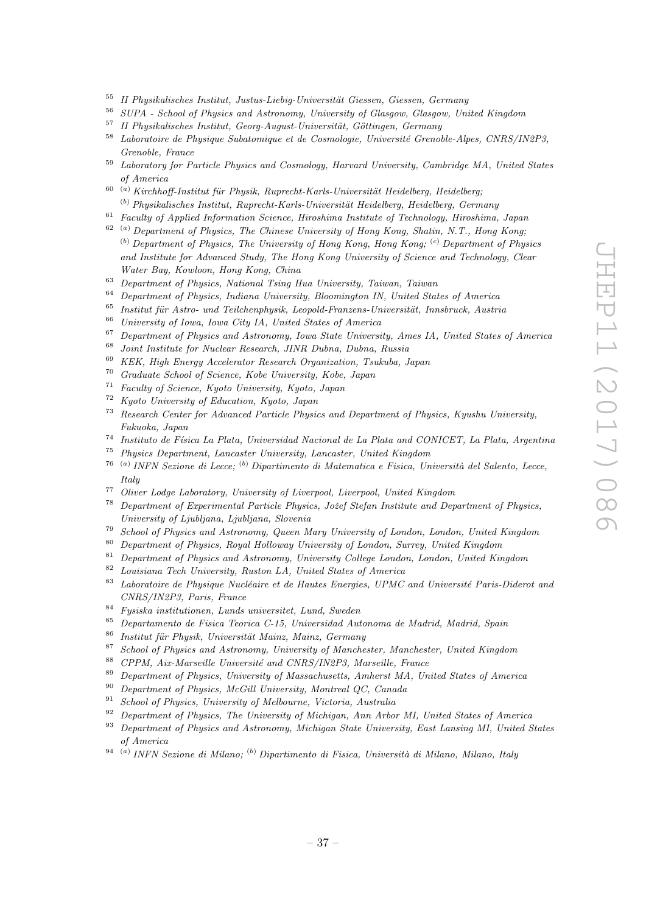- $55$  II Physikalisches Institut, Justus-Liebig-Universität Giessen, Giessen, Germany
- <sup>56</sup> SUPA School of Physics and Astronomy, University of Glasgow, Glasgow, United Kingdom
- $57$  II Physikalisches Institut, Georg-August-Universität, Göttingen, Germany
- $58$  Laboratoire de Physique Subatomique et de Cosmologie, Université Grenoble-Alpes, CNRS/IN2P3, Grenoble, France
- <sup>59</sup> Laboratory for Particle Physics and Cosmology, Harvard University, Cambridge MA, United States of America
- $\overset{(a)}{\sim}$  Kirchhoff-Institut für Physik, Ruprecht-Karls-Universität Heidelberg, Heidelberg;  $<sup>(b)</sup> Physikalisches Institut, Runrecht-Karls-Universität Heidelberg, Heidelberg, Germany$ </sup>
- $61$  Faculty of Applied Information Science, Hiroshima Institute of Technology, Hiroshima, Japan
- $62$  (a) Department of Physics, The Chinese University of Hong Kong, Shatin, N.T., Hong Kong;  $<sup>(b)</sup> Department of Physics, The University of Hong Kong, Hong Kong; <sup>(c)</sup> Department of Physics$ </sup> and Institute for Advanced Study, The Hong Kong University of Science and Technology, Clear Water Bay, Kowloon, Hong Kong, China
- <sup>63</sup> Department of Physics, National Tsing Hua University, Taiwan, Taiwan
- <sup>64</sup> Department of Physics, Indiana University, Bloomington IN, United States of America
- $65$  Institut für Astro- und Teilchenphysik, Leopold-Franzens-Universität, Innsbruck, Austria
- <sup>66</sup> University of Iowa, Iowa City IA, United States of America
- $67$  Department of Physics and Astronomy, Iowa State University, Ames IA, United States of America
- <sup>68</sup> Joint Institute for Nuclear Research, JINR Dubna, Dubna, Russia
- <sup>69</sup> KEK, High Energy Accelerator Research Organization, Tsukuba, Japan<br><sup>70</sup> Craduate School of Science, Kobe University, Kobe, Japan
- Graduate School of Science, Kobe University, Kobe, Japan
- <sup>71</sup> Faculty of Science, Kyoto University, Kyoto, Japan
- <sup>72</sup> Kyoto University of Education, Kyoto, Japan
- $73$  Research Center for Advanced Particle Physics and Department of Physics, Kyushu University, Fukuoka, Japan
- <sup>74</sup> Instituto de Física La Plata, Universidad Nacional de La Plata and CONICET, La Plata, Argentina
- <sup>75</sup> Physics Department, Lancaster University, Lancaster, United Kingdom
- <sup>76 (a)</sup> INFN Sezione di Lecce; <sup>(b)</sup> Dipartimento di Matematica e Fisica, Università del Salento, Lecce, Italy
- <sup>77</sup> Oliver Lodge Laboratory, University of Liverpool, Liverpool, United Kingdom
- Department of Experimental Particle Physics, Jožef Stefan Institute and Department of Physics, University of Ljubljana, Ljubljana, Slovenia
- <sup>79</sup> School of Physics and Astronomy, Queen Mary University of London, London, United Kingdom
- <sup>80</sup> Department of Physics, Royal Holloway University of London, Surrey, United Kingdom
- <sup>81</sup> Department of Physics and Astronomy, University College London, London, United Kingdom
- <sup>82</sup> Louisiana Tech University, Ruston LA, United States of America
- $83$  Laboratoire de Physique Nucléaire et de Hautes Energies, UPMC and Université Paris-Diderot and CNRS/IN2P3, Paris, France
- <sup>84</sup> Fysiska institutionen, Lunds universitet, Lund, Sweden
- <sup>85</sup> Departamento de Fisica Teorica C-15, Universidad Autonoma de Madrid, Madrid, Spain
- $86$  Institut für Physik, Universität Mainz, Mainz, Germany
- <sup>87</sup> School of Physics and Astronomy, University of Manchester, Manchester, United Kingdom
- <sup>88</sup> CPPM, Aix-Marseille Université and CNRS/IN2P3, Marseille, France<br><sup>89</sup> Department of Physics, University of Massachusette, Amband MA, University
- <sup>89</sup> Department of Physics, University of Massachusetts, Amherst MA, United States of America<br><sup>90</sup> Department of Physics, McCill University, Martyrel OG Canada
- <sup>90</sup> Department of Physics, McGill University, Montreal QC, Canada
- $91$  School of Physics, University of Melbourne, Victoria, Australia
- <sup>92</sup> Department of Physics, The University of Michigan, Ann Arbor MI, United States of America
- <sup>93</sup> Department of Physics and Astronomy, Michigan State University, East Lansing MI, United States of America
- <sup>94 (a)</sup> INFN Sezione di Milano; <sup>(b)</sup> Dipartimento di Fisica, Università di Milano, Milano, Italy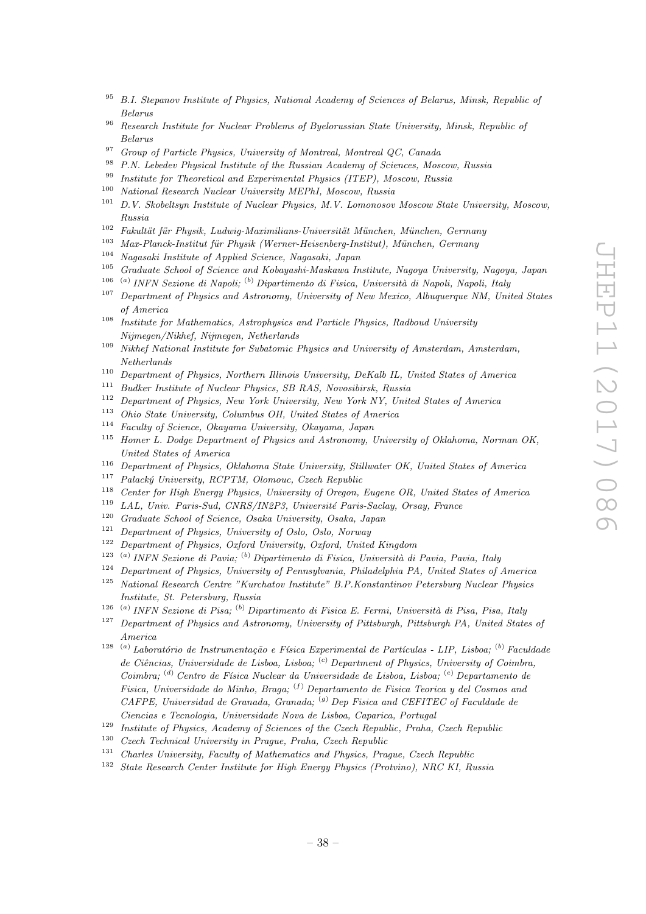- <sup>95</sup> B.I. Stepanov Institute of Physics, National Academy of Sciences of Belarus, Minsk, Republic of Belarus
- <sup>96</sup> Research Institute for Nuclear Problems of Byelorussian State University, Minsk, Republic of Belarus
- <sup>97</sup> Group of Particle Physics, University of Montreal, Montreal QC, Canada
- <sup>98</sup> P.N. Lebedev Physical Institute of the Russian Academy of Sciences, Moscow, Russia
- <sup>99</sup> Institute for Theoretical and Experimental Physics (ITEP), Moscow, Russia<br> $\frac{100 \text{ N} + \text{N}}{200 \text{ N}}$
- <sup>100</sup> National Research Nuclear University MEPhI, Moscow, Russia<br><sup>101</sup> D. V. Skykeltyn Jactitete of Nuclear Plantine M.V. Language
- <sup>101</sup> D.V. Skobeltsyn Institute of Nuclear Physics, M.V. Lomonosov Moscow State University, Moscow, Russia
- $102$  Fakultät für Physik, Ludwig-Maximilians-Universität München, München, Germany
- 103 Max-Planck-Institut für Physik (Werner-Heisenberg-Institut), München, Germany
- <sup>104</sup> Nagasaki Institute of Applied Science, Nagasaki, Japan
- <sup>105</sup> Graduate School of Science and Kobayashi-Maskawa Institute, Nagoya University, Nagoya, Japan
- <sup>106 (a)</sup> INFN Sezione di Napoli; <sup>(b)</sup> Dipartimento di Fisica, Università di Napoli, Napoli, Italy
- $107$  Department of Physics and Astronomy, University of New Mexico, Albuquerque NM, United States of America
- <sup>108</sup> Institute for Mathematics, Astrophysics and Particle Physics, Radboud University Nijmegen/Nikhef, Nijmegen, Netherlands
- <sup>109</sup> Nikhef National Institute for Subatomic Physics and University of Amsterdam, Amsterdam, Netherlands
- <sup>110</sup> Department of Physics, Northern Illinois University, DeKalb IL, United States of America
- <sup>111</sup> Budker Institute of Nuclear Physics, SB RAS, Novosibirsk, Russia
- <sup>112</sup> Department of Physics, New York University, New York NY, United States of America<br><sup>113</sup> Okia State University, Calumbus OIL United States of America
- <sup>113</sup> Ohio State University, Columbus OH, United States of America<br><sup>114</sup> Example of Science, Obsusma University, Obsusma Janar
- <sup>114</sup> Faculty of Science, Okayama University, Okayama, Japan
- <sup>115</sup> Homer L. Dodge Department of Physics and Astronomy, University of Oklahoma, Norman OK, United States of America
- <sup>116</sup> Department of Physics, Oklahoma State University, Stillwater OK, United States of America
- <sup>117</sup> Palacký University, RCPTM, Olomouc, Czech Republic
- <sup>118</sup> Center for High Energy Physics, University of Oregon, Eugene OR, United States of America
- <sup>119</sup> LAL, Univ. Paris-Sud, CNRS/IN2P3, Université Paris-Saclay, Orsay, France
- <sup>120</sup> Graduate School of Science, Osaka University, Osaka, Japan<br><sup>121</sup> Department of Physics University of Oslo, Oslo, Namuay
- <sup>121</sup> Department of Physics, University of Oslo, Oslo, Norway<br><sup>122</sup> Department of Physics, Orford University, Orford United
- <sup>122</sup> Department of Physics, Oxford University, Oxford, United Kingdom
- <sup>123 (a)</sup> INFN Sezione di Pavia; <sup>(b)</sup> Dipartimento di Fisica, Università di Pavia, Pavia, Italy
- <sup>124</sup> Department of Physics, University of Pennsylvania, Philadelphia PA, United States of America
- <sup>125</sup> National Research Centre "Kurchatov Institute" B.P.Konstantinov Petersburg Nuclear Physics Institute, St. Petersburg, Russia
- <sup>126 (a)</sup> INFN Sezione di Pisa; <sup>(b)</sup> Dipartimento di Fisica E. Fermi, Università di Pisa, Pisa, Italy
- <sup>127</sup> Department of Physics and Astronomy, University of Pittsburgh, Pittsburgh PA, United States of America
- <sup>128 (a)</sup> Laboratório de Instrumentação e Física Experimental de Partículas LIP, Lisboa; <sup>(b)</sup> Faculdade de Ciências, Universidade de Lisboa, Lisboa; <sup>(c)</sup> Department of Physics, University of Coimbra, Coimbra; <sup>(d)</sup> Centro de Física Nuclear da Universidade de Lisboa, Lisboa; <sup>(e)</sup> Departamento de Fisica, Universidade do Minho, Braga; (f) Departamento de Fisica Teorica y del Cosmos and CAFPE, Universidad de Granada, Granada; <sup>(g)</sup> Dep Fisica and CEFITEC of Faculdade de Ciencias e Tecnologia, Universidade Nova de Lisboa, Caparica, Portugal
- <sup>129</sup> Institute of Physics, Academy of Sciences of the Czech Republic, Praha, Czech Republic
- <sup>130</sup> Czech Technical University in Prague, Praha, Czech Republic
- <sup>131</sup> Charles University, Faculty of Mathematics and Physics, Prague, Czech Republic
- <sup>132</sup> State Research Center Institute for High Energy Physics (Protvino), NRC KI, Russia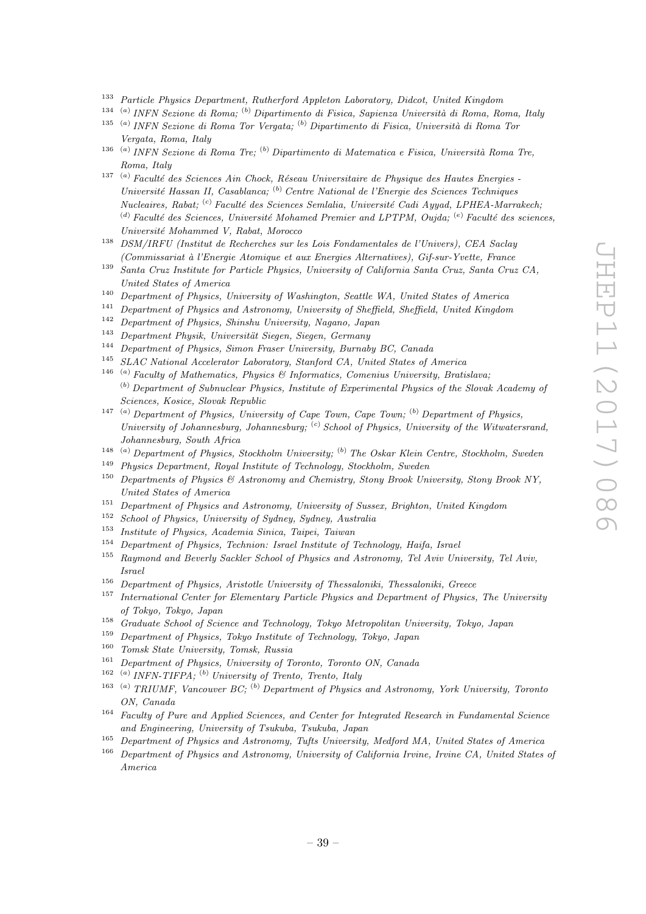- <sup>133</sup> Particle Physics Department, Rutherford Appleton Laboratory, Didcot, United Kingdom
- <sup>134 (a)</sup> INFN Sezione di Roma; <sup>(b)</sup> Dipartimento di Fisica, Sapienza Università di Roma, Roma, Italy
- <sup>135 (a)</sup> INFN Sezione di Roma Tor Vergata; <sup>(b)</sup> Dipartimento di Fisica, Università di Roma Tor Vergata, Roma, Italy
- <sup>136</sup><sup>(a)</sup> INFN Sezione di Roma Tre; <sup>(b)</sup> Dipartimento di Matematica e Fisica, Università Roma Tre, Roma, Italy
- $137$ <sup>(a)</sup> Faculté des Sciences Ain Chock, Réseau Universitaire de Physique des Hautes Energies -Université Hassan II, Casablanca; <sup>(b)</sup> Centre National de l'Energie des Sciences Techniques  $Nucleaires, Rabat; (c) Faculté des Sciences Semlalia, Université Cadi Ayyad, LPHEA-Marrakech;$  $^{(d)}$  Faculté des Sciences, Université Mohamed Premier and LPTPM, Oujda;  $^{(e)}$  Faculté des sciences, Universit´e Mohammed V, Rabat, Morocco
- <sup>138</sup> DSM/IRFU (Institut de Recherches sur les Lois Fondamentales de l'Univers), CEA Saclay (Commissariat `a l'Energie Atomique et aux Energies Alternatives), Gif-sur-Yvette, France
- <sup>139</sup> Santa Cruz Institute for Particle Physics, University of California Santa Cruz, Santa Cruz CA, United States of America
- <sup>140</sup> Department of Physics, University of Washington, Seattle WA, United States of America
- <sup>141</sup> Department of Physics and Astronomy, University of Sheffield, Sheffield, United Kingdom
- <sup>142</sup> Department of Physics, Shinshu University, Nagano, Japan<br><sup>143</sup> Department Physic<sup>1</sup> Universität Siegen, Siegen, Germany
- <sup>143</sup> Department Physik, Universität Siegen, Siegen, Germany<br><sup>144</sup> Department of Physics Simon Factor Heinrich Premot
- <sup>144</sup> Department of Physics, Simon Fraser University, Burnaby BC, Canada<br><sup>145</sup> SLAC National Accelerator Laboratory, Stanford CA, United States of a
- SLAC National Accelerator Laboratory, Stanford CA, United States of America
- <sup>146</sup> <sup>(a)</sup> Faculty of Mathematics, Physics & Informatics, Comenius University, Bratislava;  $<sup>(b)</sup>$  Department of Subnuclear Physics, Institute of Experimental Physics of the Slovak Academy of</sup> Sciences, Kosice, Slovak Republic
- <sup>147</sup> (a) Department of Physics, University of Cape Town, Cape Town; <sup>(b)</sup> Department of Physics, University of Johannesburg, Johannesburg;  $^{(c)}$  School of Physics, University of the Witwatersrand, Johannesburg, South Africa
- <sup>148</sup> (a) Department of Physics, Stockholm University; (b) The Oskar Klein Centre, Stockholm, Sweden
- <sup>149</sup> Physics Department, Royal Institute of Technology, Stockholm, Sweden
- <sup>150</sup> Departments of Physics & Astronomy and Chemistry, Stony Brook University, Stony Brook NY, United States of America
- <sup>151</sup> Department of Physics and Astronomy, University of Sussex, Brighton, United Kingdom
- <sup>152</sup> School of Physics, University of Sydney, Sydney, Australia<br><sup>153</sup> Institute of Physics, Academia Sinics, Tringi, Trinuan
- <sup>153</sup> Institute of Physics, Academia Sinica, Taipei, Taiwan
- <sup>154</sup> Department of Physics, Technion: Israel Institute of Technology, Haifa, Israel
- <sup>155</sup> Raymond and Beverly Sackler School of Physics and Astronomy, Tel Aviv University, Tel Aviv, Israel
- <sup>156</sup> Department of Physics, Aristotle University of Thessaloniki, Thessaloniki, Greece
- <sup>157</sup> International Center for Elementary Particle Physics and Department of Physics, The University of Tokyo, Tokyo, Japan
- <sup>158</sup> Graduate School of Science and Technology, Tokyo Metropolitan University, Tokyo, Japan<br><sup>159</sup> Department of Physics Telus Institute of Technology, Telus, Japan
- <sup>159</sup> Department of Physics, Tokyo Institute of Technology, Tokyo, Japan
- <sup>160</sup> Tomsk State University, Tomsk, Russia
- <sup>161</sup> Department of Physics, University of Toronto, Toronto ON, Canada
- $162$  (a) INFN-TIFPA; (b) University of Trento, Trento, Italy
- <sup>163</sup> <sup>(a)</sup> TRIUMF, Vancouver BC;  $\overline{b}$  Department of Physics and Astronomy, York University, Toronto ON, Canada
- <sup>164</sup> Faculty of Pure and Applied Sciences, and Center for Integrated Research in Fundamental Science and Engineering, University of Tsukuba, Tsukuba, Japan
- <sup>165</sup> Department of Physics and Astronomy, Tufts University, Medford MA, United States of America
- <sup>166</sup> Department of Physics and Astronomy, University of California Irvine, Irvine CA, United States of America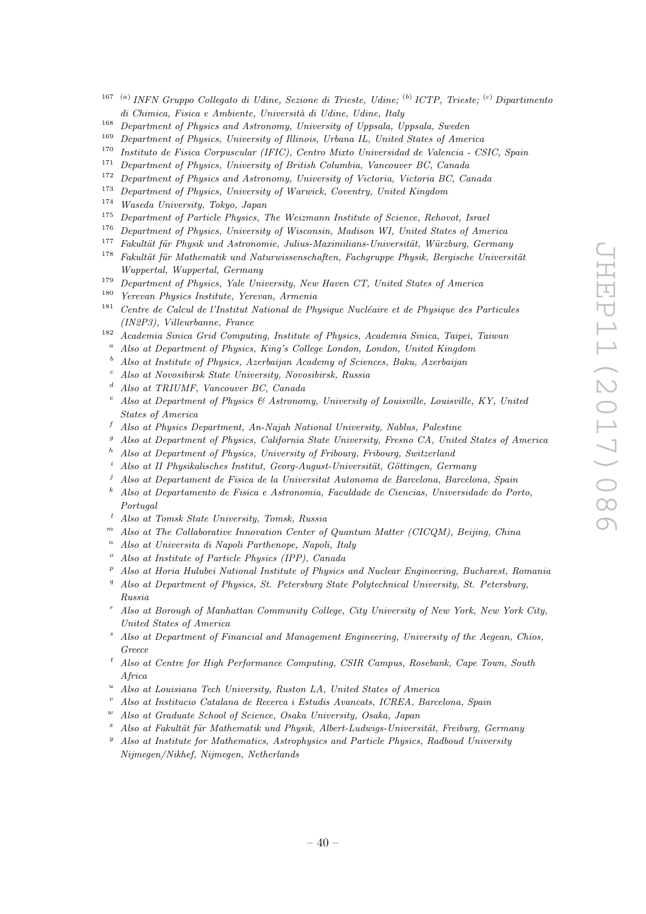- <sup>167 (a)</sup> INFN Gruppo Collegato di Udine, Sezione di Trieste, Udine; <sup>(b)</sup> ICTP, Trieste; <sup>(c)</sup> Dipartimento di Chimica, Fisica e Ambiente, Università di Udine, Udine, Italy
- <sup>168</sup> Department of Physics and Astronomy, University of Uppsala, Uppsala, Sweden
- <sup>169</sup> Department of Physics, University of Illinois, Urbana IL, United States of America<br><sup>170</sup> Institute de Fisica Corpuscular (IEIC), Centro Mirto Universidad de Valencia CS
- <sup>170</sup> Instituto de Fisica Corpuscular (IFIC), Centro Mixto Universidad de Valencia CSIC, Spain<br><sup>171</sup> Department of Physics University of Puttick Columbia Verseum P.C. Centrol
- <sup>171</sup> Department of Physics, University of British Columbia, Vancouver BC, Canada<br><sup>172</sup> Department of Physics and Astronomy, University of Victoria, Victoria BC, Ca
- <sup>172</sup> Department of Physics and Astronomy, University of Victoria, Victoria BC, Canada<br><sup>173</sup> Department of Physics Haivenity of Wannish Country Haited Kingdom
- <sup>173</sup> Department of Physics, University of Warwick, Coventry, United Kingdom<br> $\frac{174}{100}$  Warwick, Taking Taking Lines
- <sup>174</sup> Waseda University, Tokyo, Japan
- <sup>175</sup> Department of Particle Physics, The Weizmann Institute of Science, Rehovot, Israel
- <sup>176</sup> Department of Physics, University of Wisconsin, Madison WI, United States of America<br><sup>177</sup> Eshaltit für Physik und Actronomia Julius Maximilians Universität Wärelung Compan
- $Fakultät für Physik und Astronomie, Julius-Maximilians-Universität, Würzburg, Germany$
- $178$  Fakultät für Mathematik und Naturwissenschaften, Fachgruppe Physik, Bergische Universität Wuppertal, Wuppertal, Germany
- <sup>179</sup> Department of Physics, Yale University, New Haven CT, United States of America
- <sup>180</sup> Yerevan Physics Institute, Yerevan, Armenia
- $181$  Centre de Calcul de l'Institut National de Physique Nucléaire et de Physique des Particules (IN2P3), Villeurbanne, France
- <sup>182</sup> Academia Sinica Grid Computing, Institute of Physics, Academia Sinica, Taipei, Taiwan
- <sup>a</sup> Also at Department of Physics, King's College London, London, United Kingdom
- <sup>b</sup> Also at Institute of Physics, Azerbaijan Academy of Sciences, Baku, Azerbaijan
- <sup>c</sup> Also at Novosibirsk State University, Novosibirsk, Russia
- <sup>d</sup> Also at TRIUMF, Vancouver BC, Canada
- <sup>e</sup> Also at Department of Physics & Astronomy, University of Louisville, Louisville, KY, United States of America
- $f$  Also at Physics Department, An-Najah National University, Nablus, Palestine
- <sup>g</sup> Also at Department of Physics, California State University, Fresno CA, United States of America
- <sup>h</sup> Also at Department of Physics, University of Fribourg, Fribourg, Switzerland
- Also at II Physikalisches Institut, Georg-August-Universität, Göttingen, Germany
- <sup>j</sup> Also at Departament de Fisica de la Universitat Autonoma de Barcelona, Barcelona, Spain
- $k$  Also at Departamento de Fisica e Astronomia, Faculdade de Ciencias, Universidade do Porto, Portugal
- <sup>l</sup> Also at Tomsk State University, Tomsk, Russia
- <sup>m</sup> Also at The Collaborative Innovation Center of Quantum Matter (CICQM), Beijing, China
- $n$  Also at Universita di Napoli Parthenope, Napoli, Italy
- Also at Institute of Particle Physics (IPP), Canada
- <sup>p</sup> Also at Horia Hulubei National Institute of Physics and Nuclear Engineering, Bucharest, Romania
- <sup>q</sup> Also at Department of Physics, St. Petersburg State Polytechnical University, St. Petersburg, Russia
- <sup>r</sup> Also at Borough of Manhattan Community College, City University of New York, New York City, United States of America
- Also at Department of Financial and Management Engineering, University of the Aegean, Chios, Greece
- <sup>t</sup> Also at Centre for High Performance Computing, CSIR Campus, Rosebank, Cape Town, South Africa
- <sup>u</sup> Also at Louisiana Tech University, Ruston LA, United States of America
- <sup>v</sup> Also at Institucio Catalana de Recerca i Estudis Avancats, ICREA, Barcelona, Spain
- Also at Graduate School of Science, Osaka University, Osaka, Japan
- Also at Fakultät für Mathematik und Physik, Albert-Ludwigs-Universität, Freiburg, Germany
- Also at Institute for Mathematics, Astrophysics and Particle Physics, Radboud University Nijmegen/Nikhef, Nijmegen, Netherlands